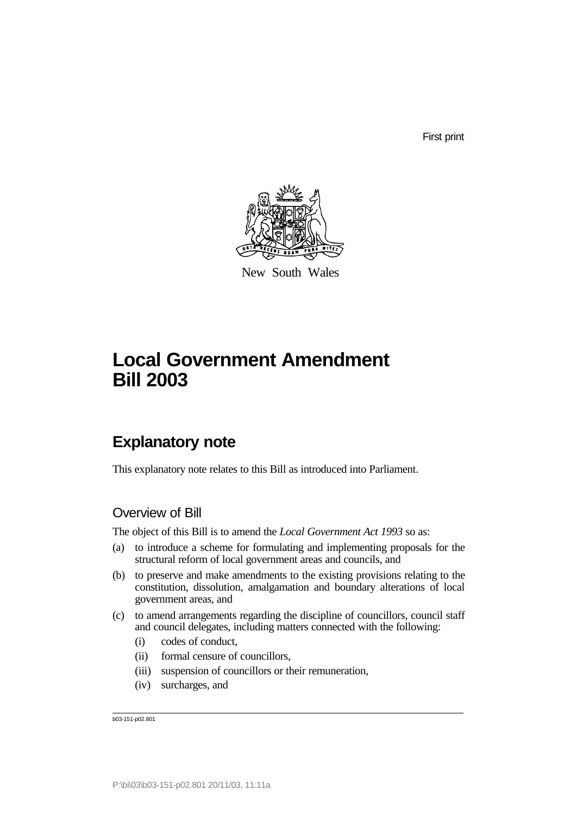First print



New South Wales

# **Local Government Amendment Bill 2003**

# **Explanatory note**

This explanatory note relates to this Bill as introduced into Parliament.

# Overview of Bill

The object of this Bill is to amend the *Local Government Act 1993* so as:

- (a) to introduce a scheme for formulating and implementing proposals for the structural reform of local government areas and councils, and
- (b) to preserve and make amendments to the existing provisions relating to the constitution, dissolution, amalgamation and boundary alterations of local government areas, and
- (c) to amend arrangements regarding the discipline of councillors, council staff and council delegates, including matters connected with the following:
	- (i) codes of conduct,
	- (ii) formal censure of councillors,
	- (iii) suspension of councillors or their remuneration,
	- (iv) surcharges, and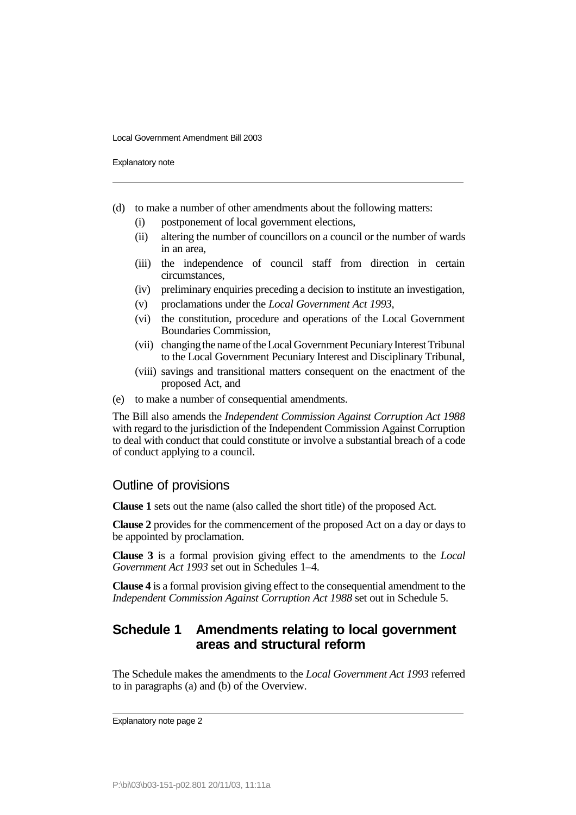Explanatory note

- (d) to make a number of other amendments about the following matters:
	- (i) postponement of local government elections,
	- (ii) altering the number of councillors on a council or the number of wards in an area,
	- (iii) the independence of council staff from direction in certain circumstances,
	- (iv) preliminary enquiries preceding a decision to institute an investigation,
	- (v) proclamations under the *Local Government Act 1993*,
	- (vi) the constitution, procedure and operations of the Local Government Boundaries Commission,
	- (vii) changing the name of the Local Government Pecuniary Interest Tribunal to the Local Government Pecuniary Interest and Disciplinary Tribunal,
	- (viii) savings and transitional matters consequent on the enactment of the proposed Act, and
- (e) to make a number of consequential amendments.

The Bill also amends the *Independent Commission Against Corruption Act 1988* with regard to the jurisdiction of the Independent Commission Against Corruption to deal with conduct that could constitute or involve a substantial breach of a code of conduct applying to a council.

### Outline of provisions

**Clause 1** sets out the name (also called the short title) of the proposed Act.

**Clause 2** provides for the commencement of the proposed Act on a day or days to be appointed by proclamation.

**Clause 3** is a formal provision giving effect to the amendments to the *Local Government Act 1993* set out in Schedules 1–4.

**Clause 4** is a formal provision giving effect to the consequential amendment to the *Independent Commission Against Corruption Act 1988* set out in Schedule 5.

### **Schedule 1 Amendments relating to local government areas and structural reform**

The Schedule makes the amendments to the *Local Government Act 1993* referred to in paragraphs (a) and (b) of the Overview.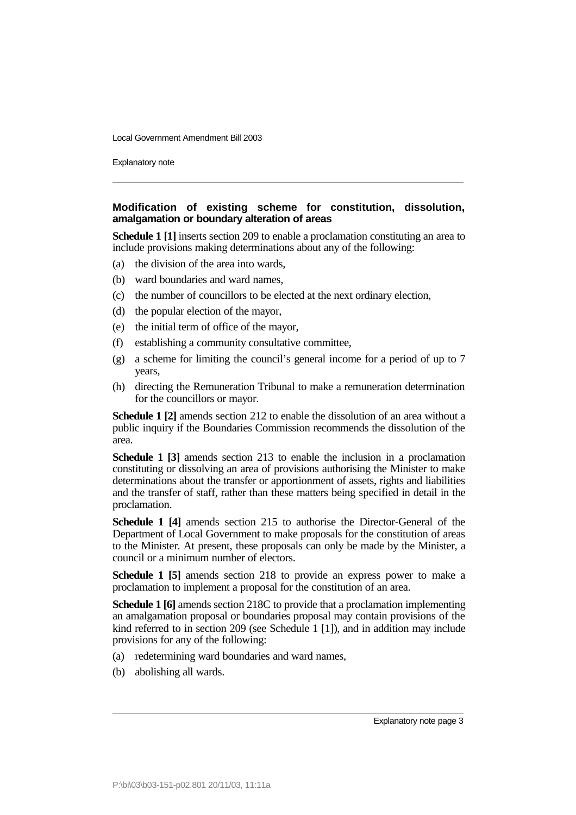Explanatory note

### **Modification of existing scheme for constitution, dissolution, amalgamation or boundary alteration of areas**

**Schedule 1 [1]** inserts section 209 to enable a proclamation constituting an area to include provisions making determinations about any of the following:

- (a) the division of the area into wards,
- (b) ward boundaries and ward names,
- (c) the number of councillors to be elected at the next ordinary election,
- (d) the popular election of the mayor,
- (e) the initial term of office of the mayor,
- (f) establishing a community consultative committee,
- (g) a scheme for limiting the council's general income for a period of up to 7 years,
- (h) directing the Remuneration Tribunal to make a remuneration determination for the councillors or mayor.

**Schedule 1 [2]** amends section 212 to enable the dissolution of an area without a public inquiry if the Boundaries Commission recommends the dissolution of the area.

**Schedule 1 [3]** amends section 213 to enable the inclusion in a proclamation constituting or dissolving an area of provisions authorising the Minister to make determinations about the transfer or apportionment of assets, rights and liabilities and the transfer of staff, rather than these matters being specified in detail in the proclamation.

**Schedule 1 [4]** amends section 215 to authorise the Director-General of the Department of Local Government to make proposals for the constitution of areas to the Minister. At present, these proposals can only be made by the Minister, a council or a minimum number of electors.

**Schedule 1 [5]** amends section 218 to provide an express power to make a proclamation to implement a proposal for the constitution of an area.

**Schedule 1 [6]** amends section 218C to provide that a proclamation implementing an amalgamation proposal or boundaries proposal may contain provisions of the kind referred to in section 209 (see Schedule 1 [1]), and in addition may include provisions for any of the following:

- (a) redetermining ward boundaries and ward names,
- (b) abolishing all wards.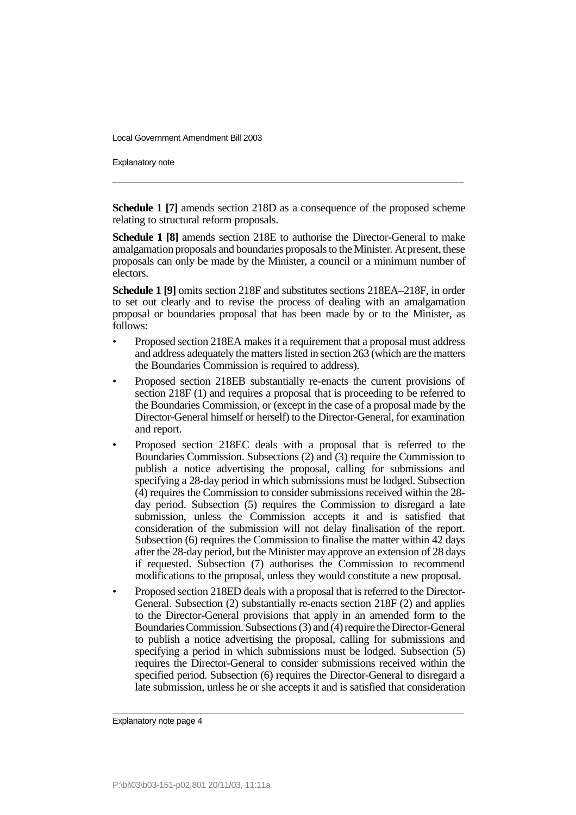Explanatory note

**Schedule 1 [7]** amends section 218D as a consequence of the proposed scheme relating to structural reform proposals.

**Schedule 1 [8]** amends section 218E to authorise the Director-General to make amalgamation proposals and boundaries proposals to the Minister. At present, these proposals can only be made by the Minister, a council or a minimum number of electors.

**Schedule 1 [9]** omits section 218F and substitutes sections 218EA–218F, in order to set out clearly and to revise the process of dealing with an amalgamation proposal or boundaries proposal that has been made by or to the Minister, as follows:

- Proposed section 218EA makes it a requirement that a proposal must address and address adequately the matters listed in section 263 (which are the matters the Boundaries Commission is required to address).
- Proposed section 218EB substantially re-enacts the current provisions of section 218F (1) and requires a proposal that is proceeding to be referred to the Boundaries Commission, or (except in the case of a proposal made by the Director-General himself or herself) to the Director-General, for examination and report.
- Proposed section 218EC deals with a proposal that is referred to the Boundaries Commission. Subsections (2) and (3) require the Commission to publish a notice advertising the proposal, calling for submissions and specifying a 28-day period in which submissions must be lodged. Subsection (4) requires the Commission to consider submissions received within the 28 day period. Subsection (5) requires the Commission to disregard a late submission, unless the Commission accepts it and is satisfied that consideration of the submission will not delay finalisation of the report. Subsection (6) requires the Commission to finalise the matter within 42 days after the 28-day period, but the Minister may approve an extension of 28 days if requested. Subsection (7) authorises the Commission to recommend modifications to the proposal, unless they would constitute a new proposal.
- Proposed section 218ED deals with a proposal that is referred to the Director-General. Subsection (2) substantially re-enacts section 218F (2) and applies to the Director-General provisions that apply in an amended form to the Boundaries Commission. Subsections (3) and (4) require the Director-General to publish a notice advertising the proposal, calling for submissions and specifying a period in which submissions must be lodged. Subsection (5) requires the Director-General to consider submissions received within the specified period. Subsection (6) requires the Director-General to disregard a late submission, unless he or she accepts it and is satisfied that consideration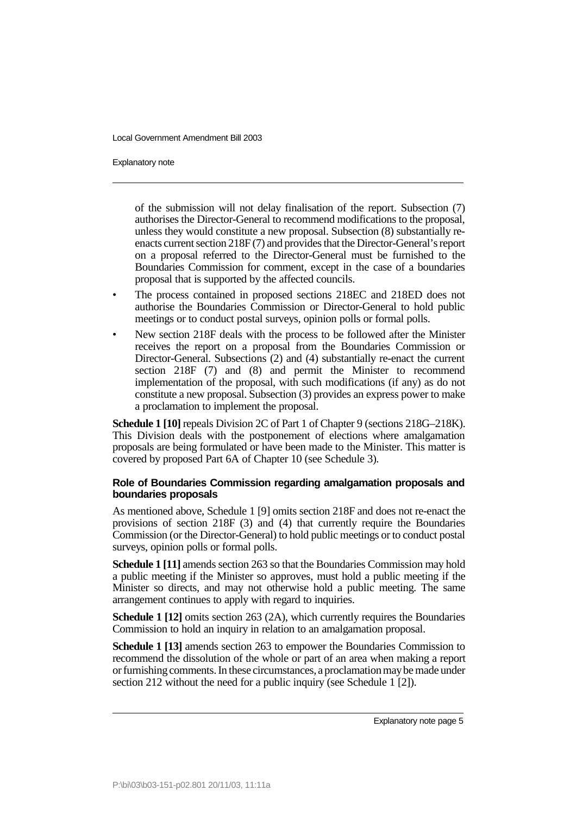Explanatory note

of the submission will not delay finalisation of the report. Subsection (7) authorises the Director-General to recommend modifications to the proposal, unless they would constitute a new proposal. Subsection (8) substantially reenacts current section 218F (7) and provides that the Director-General's report on a proposal referred to the Director-General must be furnished to the Boundaries Commission for comment, except in the case of a boundaries proposal that is supported by the affected councils.

- The process contained in proposed sections 218EC and 218ED does not authorise the Boundaries Commission or Director-General to hold public meetings or to conduct postal surveys, opinion polls or formal polls.
- New section 218F deals with the process to be followed after the Minister receives the report on a proposal from the Boundaries Commission or Director-General. Subsections (2) and (4) substantially re-enact the current section 218F (7) and (8) and permit the Minister to recommend implementation of the proposal, with such modifications (if any) as do not constitute a new proposal. Subsection (3) provides an express power to make a proclamation to implement the proposal.

**Schedule 1 [10]** repeals Division 2C of Part 1 of Chapter 9 (sections 218G–218K). This Division deals with the postponement of elections where amalgamation proposals are being formulated or have been made to the Minister. This matter is covered by proposed Part 6A of Chapter 10 (see Schedule 3).

### **Role of Boundaries Commission regarding amalgamation proposals and boundaries proposals**

As mentioned above, Schedule 1 [9] omits section 218F and does not re-enact the provisions of section 218F (3) and (4) that currently require the Boundaries Commission (or the Director-General) to hold public meetings or to conduct postal surveys, opinion polls or formal polls.

**Schedule 1 [11]** amends section 263 so that the Boundaries Commission may hold a public meeting if the Minister so approves, must hold a public meeting if the Minister so directs, and may not otherwise hold a public meeting. The same arrangement continues to apply with regard to inquiries.

**Schedule 1 [12]** omits section 263 (2A), which currently requires the Boundaries Commission to hold an inquiry in relation to an amalgamation proposal.

**Schedule 1 [13]** amends section 263 to empower the Boundaries Commission to recommend the dissolution of the whole or part of an area when making a report or furnishing comments. In these circumstances, a proclamation may be made under section 212 without the need for a public inquiry (see Schedule 1 [2]).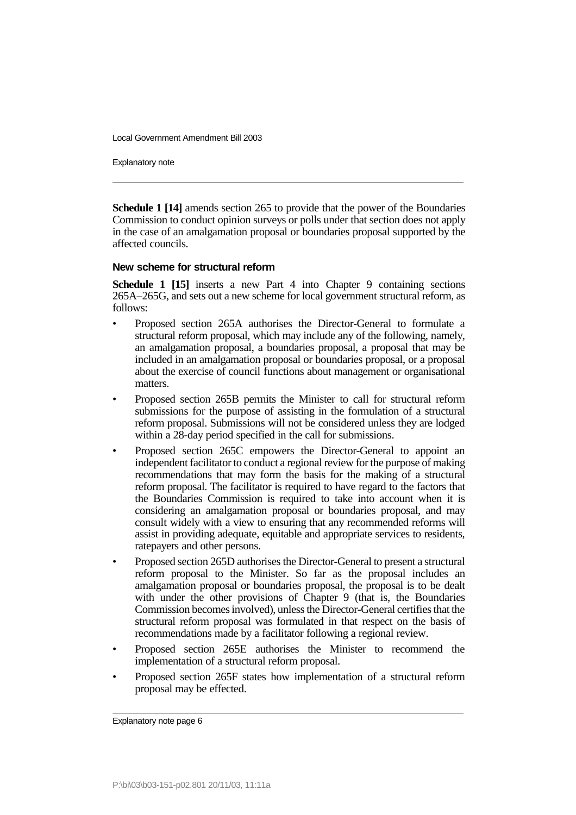Explanatory note

**Schedule 1 [14]** amends section 265 to provide that the power of the Boundaries Commission to conduct opinion surveys or polls under that section does not apply in the case of an amalgamation proposal or boundaries proposal supported by the affected councils.

### **New scheme for structural reform**

**Schedule 1 [15]** inserts a new Part 4 into Chapter 9 containing sections 265A–265G, and sets out a new scheme for local government structural reform, as follows:

- Proposed section 265A authorises the Director-General to formulate a structural reform proposal, which may include any of the following, namely, an amalgamation proposal, a boundaries proposal, a proposal that may be included in an amalgamation proposal or boundaries proposal, or a proposal about the exercise of council functions about management or organisational matters.
- Proposed section 265B permits the Minister to call for structural reform submissions for the purpose of assisting in the formulation of a structural reform proposal. Submissions will not be considered unless they are lodged within a 28-day period specified in the call for submissions.
- Proposed section 265C empowers the Director-General to appoint an independent facilitator to conduct a regional review for the purpose of making recommendations that may form the basis for the making of a structural reform proposal. The facilitator is required to have regard to the factors that the Boundaries Commission is required to take into account when it is considering an amalgamation proposal or boundaries proposal, and may consult widely with a view to ensuring that any recommended reforms will assist in providing adequate, equitable and appropriate services to residents, ratepayers and other persons.
- Proposed section 265D authorises the Director-General to present a structural reform proposal to the Minister. So far as the proposal includes an amalgamation proposal or boundaries proposal, the proposal is to be dealt with under the other provisions of Chapter 9 (that is, the Boundaries Commission becomes involved), unless the Director-General certifies that the structural reform proposal was formulated in that respect on the basis of recommendations made by a facilitator following a regional review.
- Proposed section 265E authorises the Minister to recommend the implementation of a structural reform proposal.
- Proposed section 265F states how implementation of a structural reform proposal may be effected.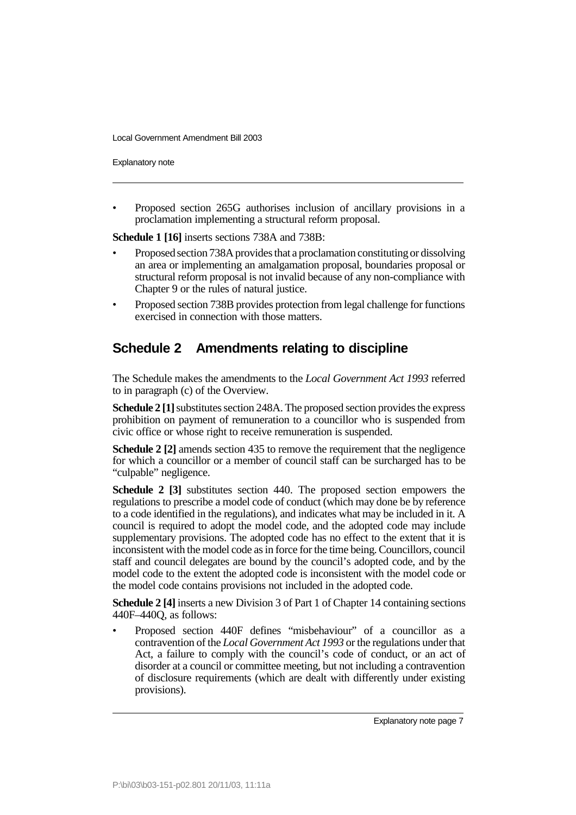Explanatory note

• Proposed section 265G authorises inclusion of ancillary provisions in a proclamation implementing a structural reform proposal.

**Schedule 1 [16]** inserts sections 738A and 738B:

- Proposed section 738A provides that a proclamation constituting or dissolving an area or implementing an amalgamation proposal, boundaries proposal or structural reform proposal is not invalid because of any non-compliance with Chapter 9 or the rules of natural justice.
- Proposed section 738B provides protection from legal challenge for functions exercised in connection with those matters.

# **Schedule 2 Amendments relating to discipline**

The Schedule makes the amendments to the *Local Government Act 1993* referred to in paragraph (c) of the Overview.

**Schedule 2 [1]** substitutes section 248A. The proposed section provides the express prohibition on payment of remuneration to a councillor who is suspended from civic office or whose right to receive remuneration is suspended.

**Schedule 2 [2]** amends section 435 to remove the requirement that the negligence for which a councillor or a member of council staff can be surcharged has to be "culpable" negligence.

**Schedule 2 [3]** substitutes section 440. The proposed section empowers the regulations to prescribe a model code of conduct (which may done be by reference to a code identified in the regulations), and indicates what may be included in it. A council is required to adopt the model code, and the adopted code may include supplementary provisions. The adopted code has no effect to the extent that it is inconsistent with the model code as in force for the time being. Councillors, council staff and council delegates are bound by the council's adopted code, and by the model code to the extent the adopted code is inconsistent with the model code or the model code contains provisions not included in the adopted code.

**Schedule 2 [4]** inserts a new Division 3 of Part 1 of Chapter 14 containing sections 440F–440Q, as follows:

• Proposed section 440F defines "misbehaviour" of a councillor as a contravention of the *Local Government Act 1993* or the regulations under that Act, a failure to comply with the council's code of conduct, or an act of disorder at a council or committee meeting, but not including a contravention of disclosure requirements (which are dealt with differently under existing provisions).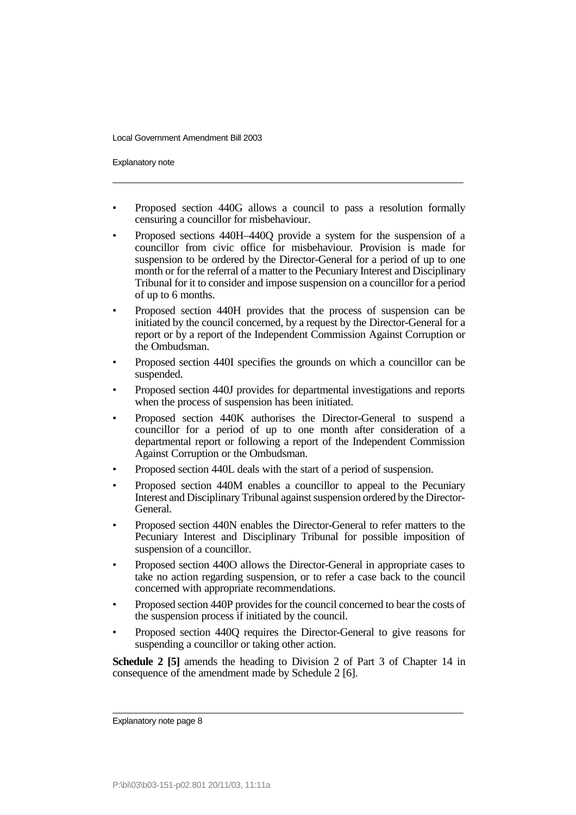Explanatory note

- Proposed section 440G allows a council to pass a resolution formally censuring a councillor for misbehaviour.
- Proposed sections 440H–440Q provide a system for the suspension of a councillor from civic office for misbehaviour. Provision is made for suspension to be ordered by the Director-General for a period of up to one month or for the referral of a matter to the Pecuniary Interest and Disciplinary Tribunal for it to consider and impose suspension on a councillor for a period of up to 6 months.
- Proposed section 440H provides that the process of suspension can be initiated by the council concerned, by a request by the Director-General for a report or by a report of the Independent Commission Against Corruption or the Ombudsman.
- Proposed section 440I specifies the grounds on which a councillor can be suspended.
- Proposed section 440J provides for departmental investigations and reports when the process of suspension has been initiated.
- Proposed section 440K authorises the Director-General to suspend a councillor for a period of up to one month after consideration of a departmental report or following a report of the Independent Commission Against Corruption or the Ombudsman.
- Proposed section 440L deals with the start of a period of suspension.
- Proposed section 440M enables a councillor to appeal to the Pecuniary Interest and Disciplinary Tribunal against suspension ordered by the Director-General.
- Proposed section 440N enables the Director-General to refer matters to the Pecuniary Interest and Disciplinary Tribunal for possible imposition of suspension of a councillor.
- Proposed section 440O allows the Director-General in appropriate cases to take no action regarding suspension, or to refer a case back to the council concerned with appropriate recommendations.
- Proposed section 440P provides for the council concerned to bear the costs of the suspension process if initiated by the council.
- Proposed section 440Q requires the Director-General to give reasons for suspending a councillor or taking other action.

**Schedule 2 [5]** amends the heading to Division 2 of Part 3 of Chapter 14 in consequence of the amendment made by Schedule 2 [6].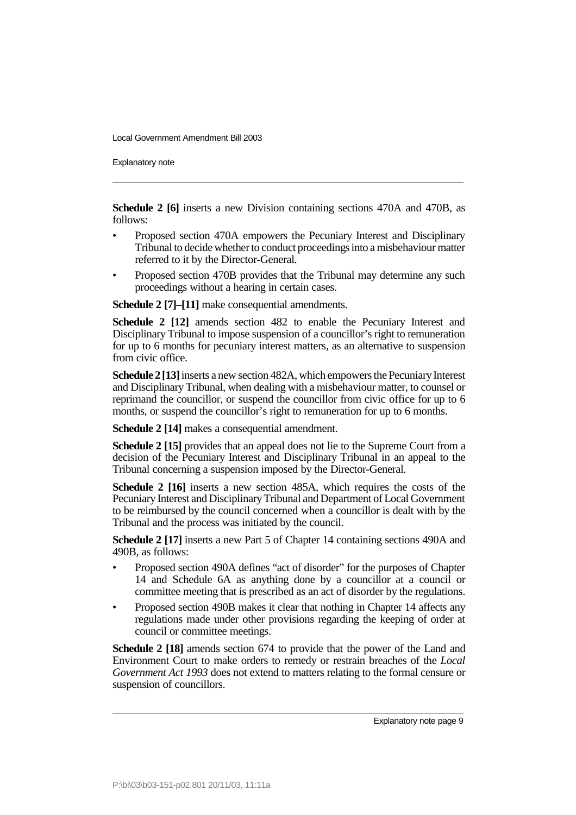Explanatory note

**Schedule 2 [6]** inserts a new Division containing sections 470A and 470B, as follows:

- Proposed section 470A empowers the Pecuniary Interest and Disciplinary Tribunal to decide whether to conduct proceedings into a misbehaviour matter referred to it by the Director-General.
- Proposed section 470B provides that the Tribunal may determine any such proceedings without a hearing in certain cases.

**Schedule 2 [7]–[11]** make consequential amendments.

**Schedule 2 [12]** amends section 482 to enable the Pecuniary Interest and Disciplinary Tribunal to impose suspension of a councillor's right to remuneration for up to 6 months for pecuniary interest matters, as an alternative to suspension from civic office.

**Schedule 2 [13]** inserts a new section 482A, which empowers the Pecuniary Interest and Disciplinary Tribunal, when dealing with a misbehaviour matter, to counsel or reprimand the councillor, or suspend the councillor from civic office for up to 6 months, or suspend the councillor's right to remuneration for up to 6 months.

**Schedule 2 [14]** makes a consequential amendment.

**Schedule 2 [15]** provides that an appeal does not lie to the Supreme Court from a decision of the Pecuniary Interest and Disciplinary Tribunal in an appeal to the Tribunal concerning a suspension imposed by the Director-General.

**Schedule 2 [16]** inserts a new section 485A, which requires the costs of the Pecuniary Interest and Disciplinary Tribunal and Department of Local Government to be reimbursed by the council concerned when a councillor is dealt with by the Tribunal and the process was initiated by the council.

**Schedule 2 [17]** inserts a new Part 5 of Chapter 14 containing sections 490A and 490B, as follows:

- Proposed section 490A defines "act of disorder" for the purposes of Chapter 14 and Schedule 6A as anything done by a councillor at a council or committee meeting that is prescribed as an act of disorder by the regulations.
- Proposed section 490B makes it clear that nothing in Chapter 14 affects any regulations made under other provisions regarding the keeping of order at council or committee meetings.

**Schedule 2 [18]** amends section 674 to provide that the power of the Land and Environment Court to make orders to remedy or restrain breaches of the *Local Government Act 1993* does not extend to matters relating to the formal censure or suspension of councillors.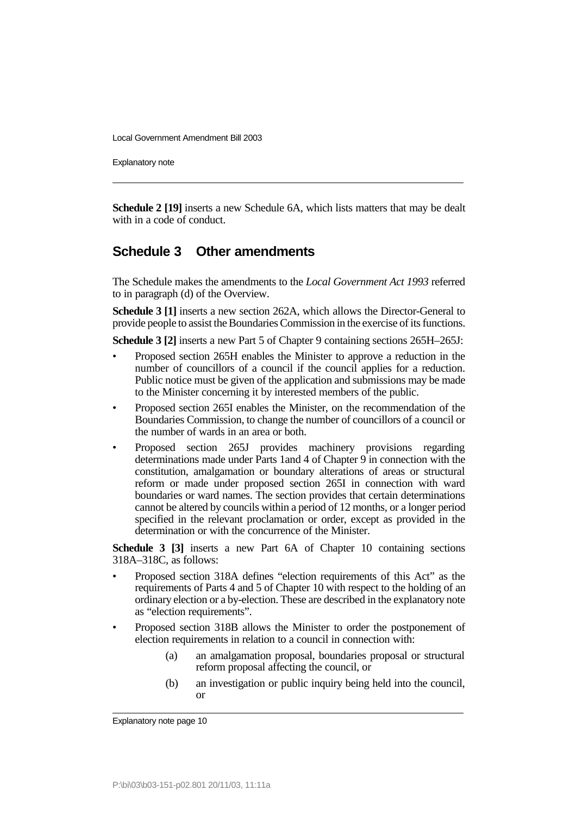Explanatory note

**Schedule 2 [19]** inserts a new Schedule 6A, which lists matters that may be dealt with in a code of conduct.

# **Schedule 3 Other amendments**

The Schedule makes the amendments to the *Local Government Act 1993* referred to in paragraph (d) of the Overview.

**Schedule 3 [1]** inserts a new section 262A, which allows the Director-General to provide people to assist the Boundaries Commission in the exercise of its functions.

**Schedule 3 [2]** inserts a new Part 5 of Chapter 9 containing sections 265H–265J:

- Proposed section 265H enables the Minister to approve a reduction in the number of councillors of a council if the council applies for a reduction. Public notice must be given of the application and submissions may be made to the Minister concerning it by interested members of the public.
- Proposed section 265I enables the Minister, on the recommendation of the Boundaries Commission, to change the number of councillors of a council or the number of wards in an area or both.
- Proposed section 265J provides machinery provisions regarding determinations made under Parts 1and 4 of Chapter 9 in connection with the constitution, amalgamation or boundary alterations of areas or structural reform or made under proposed section 265I in connection with ward boundaries or ward names. The section provides that certain determinations cannot be altered by councils within a period of 12 months, or a longer period specified in the relevant proclamation or order, except as provided in the determination or with the concurrence of the Minister.

**Schedule 3 [3]** inserts a new Part 6A of Chapter 10 containing sections 318A–318C, as follows:

- Proposed section 318A defines "election requirements of this Act" as the requirements of Parts 4 and 5 of Chapter 10 with respect to the holding of an ordinary election or a by-election. These are described in the explanatory note as "election requirements".
- Proposed section 318B allows the Minister to order the postponement of election requirements in relation to a council in connection with:
	- (a) an amalgamation proposal, boundaries proposal or structural reform proposal affecting the council, or
	- (b) an investigation or public inquiry being held into the council, or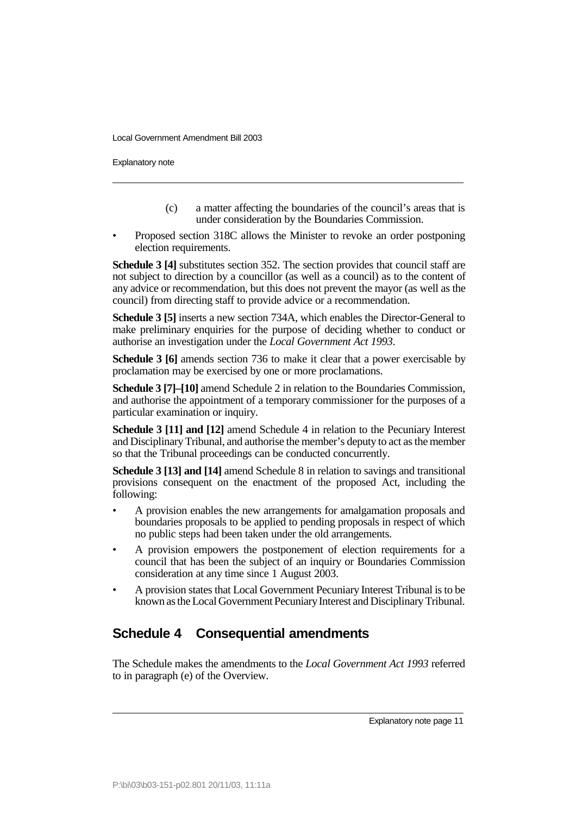Explanatory note

- (c) a matter affecting the boundaries of the council's areas that is under consideration by the Boundaries Commission.
- Proposed section 318C allows the Minister to revoke an order postponing election requirements.

**Schedule 3 [4]** substitutes section 352. The section provides that council staff are not subject to direction by a councillor (as well as a council) as to the content of any advice or recommendation, but this does not prevent the mayor (as well as the council) from directing staff to provide advice or a recommendation.

**Schedule 3 [5]** inserts a new section 734A, which enables the Director-General to make preliminary enquiries for the purpose of deciding whether to conduct or authorise an investigation under the *Local Government Act 1993*.

**Schedule 3 [6]** amends section 736 to make it clear that a power exercisable by proclamation may be exercised by one or more proclamations.

**Schedule 3 [7]–[10]** amend Schedule 2 in relation to the Boundaries Commission, and authorise the appointment of a temporary commissioner for the purposes of a particular examination or inquiry.

**Schedule 3 [11] and [12]** amend Schedule 4 in relation to the Pecuniary Interest and Disciplinary Tribunal, and authorise the member's deputy to act as the member so that the Tribunal proceedings can be conducted concurrently.

**Schedule 3 [13] and [14]** amend Schedule 8 in relation to savings and transitional provisions consequent on the enactment of the proposed Act, including the following:

- A provision enables the new arrangements for amalgamation proposals and boundaries proposals to be applied to pending proposals in respect of which no public steps had been taken under the old arrangements.
- A provision empowers the postponement of election requirements for a council that has been the subject of an inquiry or Boundaries Commission consideration at any time since 1 August 2003.
- A provision states that Local Government Pecuniary Interest Tribunal is to be known as the Local Government Pecuniary Interest and Disciplinary Tribunal.

# **Schedule 4 Consequential amendments**

The Schedule makes the amendments to the *Local Government Act 1993* referred to in paragraph (e) of the Overview.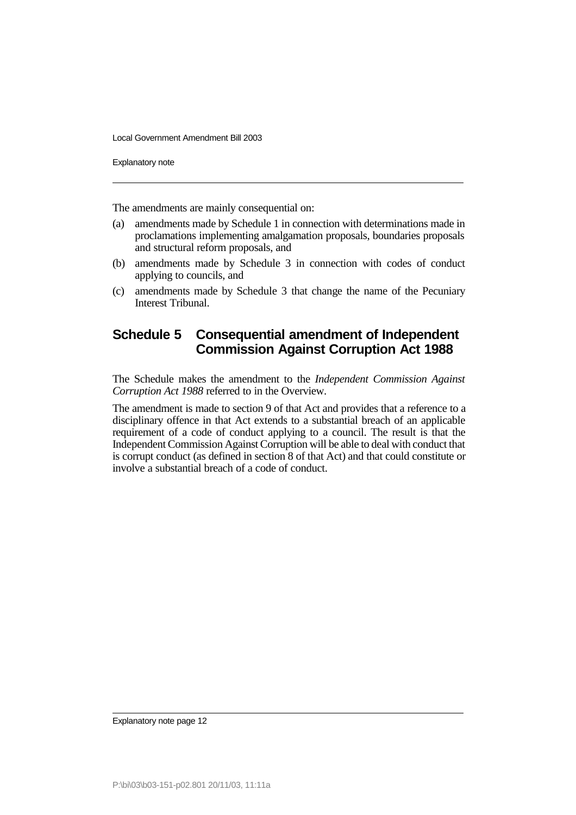Explanatory note

The amendments are mainly consequential on:

- (a) amendments made by Schedule 1 in connection with determinations made in proclamations implementing amalgamation proposals, boundaries proposals and structural reform proposals, and
- (b) amendments made by Schedule 3 in connection with codes of conduct applying to councils, and
- (c) amendments made by Schedule 3 that change the name of the Pecuniary Interest Tribunal.

## **Schedule 5 Consequential amendment of Independent Commission Against Corruption Act 1988**

The Schedule makes the amendment to the *Independent Commission Against Corruption Act 1988* referred to in the Overview.

The amendment is made to section 9 of that Act and provides that a reference to a disciplinary offence in that Act extends to a substantial breach of an applicable requirement of a code of conduct applying to a council. The result is that the Independent Commission Against Corruption will be able to deal with conduct that is corrupt conduct (as defined in section 8 of that Act) and that could constitute or involve a substantial breach of a code of conduct.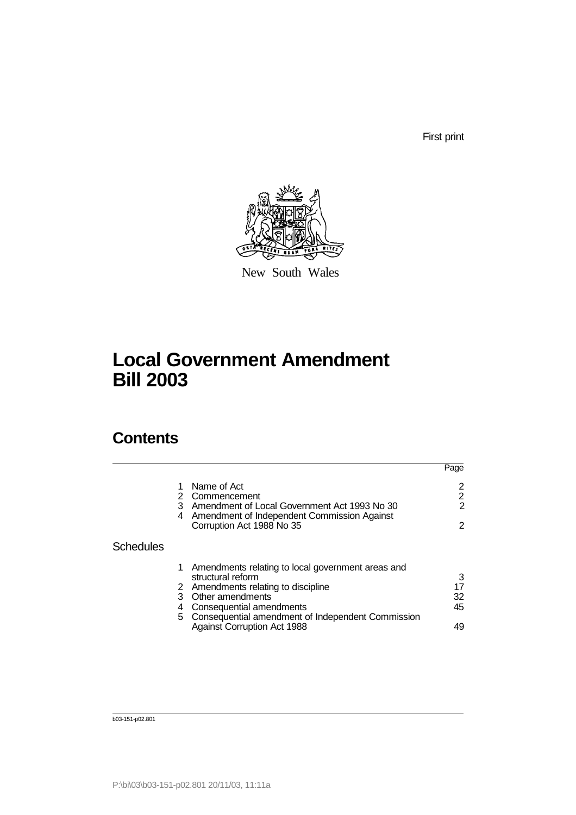First print



New South Wales

# **Local Government Amendment Bill 2003**

# **Contents**

|                  |        |                                                                                                                                                                                                                        | Page                |
|------------------|--------|------------------------------------------------------------------------------------------------------------------------------------------------------------------------------------------------------------------------|---------------------|
|                  |        | Name of Act<br>Commencement                                                                                                                                                                                            | 2                   |
|                  | 3<br>4 | Amendment of Local Government Act 1993 No 30<br>Amendment of Independent Commission Against                                                                                                                            | 2                   |
|                  |        | Corruption Act 1988 No 35                                                                                                                                                                                              | 2                   |
| <b>Schedules</b> |        |                                                                                                                                                                                                                        |                     |
|                  | 1<br>4 | Amendments relating to local government areas and<br>structural reform<br>2 Amendments relating to discipline<br>3 Other amendments<br>Consequential amendments<br>5 Consequential amendment of Independent Commission | 3<br>17<br>32<br>45 |
|                  |        | <b>Against Corruption Act 1988</b>                                                                                                                                                                                     | 49                  |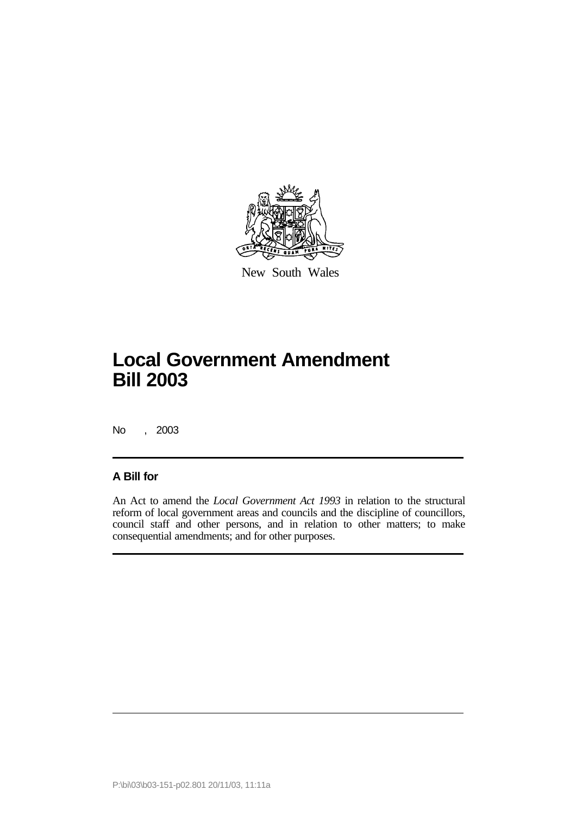

New South Wales

# **Local Government Amendment Bill 2003**

No , 2003

### **A Bill for**

An Act to amend the *Local Government Act 1993* in relation to the structural reform of local government areas and councils and the discipline of councillors, council staff and other persons, and in relation to other matters; to make consequential amendments; and for other purposes.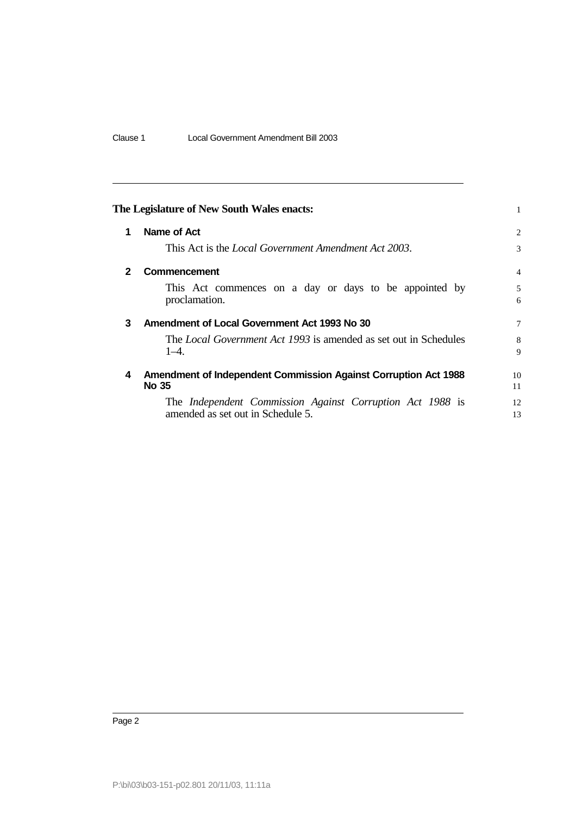|              | The Legislature of New South Wales enacts:                                                     | 1              |
|--------------|------------------------------------------------------------------------------------------------|----------------|
| 1            | Name of Act                                                                                    | $\overline{2}$ |
|              | This Act is the <i>Local Government Amendment Act 2003</i> .                                   | 3              |
| $\mathbf{2}$ | Commencement                                                                                   | $\overline{4}$ |
|              | This Act commences on a day or days to be appointed by<br>proclamation.                        | 5<br>6         |
| 3            | Amendment of Local Government Act 1993 No 30                                                   | 7              |
|              | The <i>Local Government Act 1993</i> is amended as set out in Schedules<br>$1 - 4$ .           | 8<br>9         |
| 4            | Amendment of Independent Commission Against Corruption Act 1988<br>No 35                       | 10<br>11       |
|              | The Independent Commission Against Corruption Act 1988 is<br>amended as set out in Schedule 5. | 12<br>13       |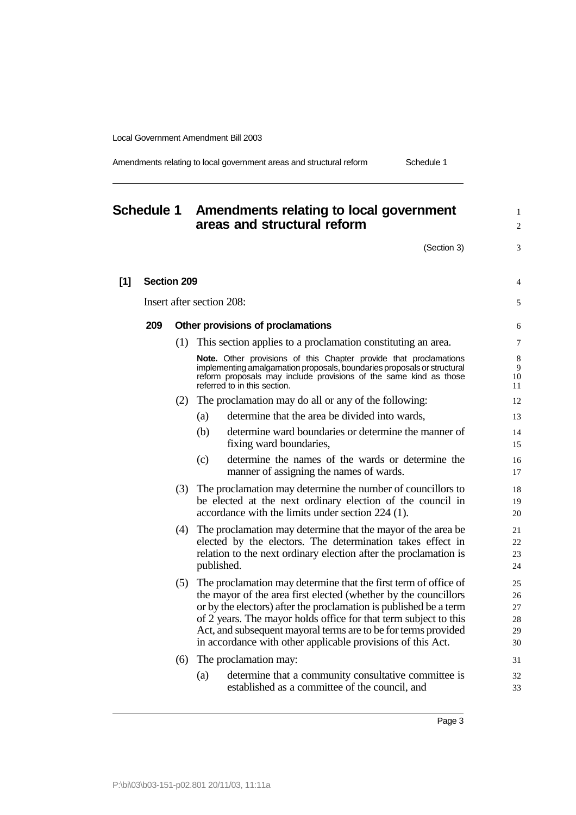|  |  |  | Amendments relating to local government areas and structural reform | Schedule 1 |  |
|--|--|--|---------------------------------------------------------------------|------------|--|
|--|--|--|---------------------------------------------------------------------|------------|--|

# **Schedule 1 Amendments relating to local government areas and structural reform** <sup>2</sup>

 $(Section 3)$  3

|     | <b>Section 209</b> |                                                                                                                                                                                                                                                                                                                                                                                                              |
|-----|--------------------|--------------------------------------------------------------------------------------------------------------------------------------------------------------------------------------------------------------------------------------------------------------------------------------------------------------------------------------------------------------------------------------------------------------|
|     |                    | Insert after section 208:                                                                                                                                                                                                                                                                                                                                                                                    |
| 209 |                    | Other provisions of proclamations                                                                                                                                                                                                                                                                                                                                                                            |
|     |                    | (1) This section applies to a proclamation constituting an area.                                                                                                                                                                                                                                                                                                                                             |
|     |                    | <b>Note.</b> Other provisions of this Chapter provide that proclamations<br>implementing amalgamation proposals, boundaries proposals or structural<br>reform proposals may include provisions of the same kind as those<br>referred to in this section.                                                                                                                                                     |
|     | (2)                | The proclamation may do all or any of the following:                                                                                                                                                                                                                                                                                                                                                         |
|     |                    | determine that the area be divided into wards,<br>(a)                                                                                                                                                                                                                                                                                                                                                        |
|     |                    | determine ward boundaries or determine the manner of<br>(b)<br>fixing ward boundaries,                                                                                                                                                                                                                                                                                                                       |
|     |                    | determine the names of the wards or determine the<br>(c)<br>manner of assigning the names of wards.                                                                                                                                                                                                                                                                                                          |
|     | (3)                | The proclamation may determine the number of councillors to<br>be elected at the next ordinary election of the council in<br>accordance with the limits under section 224 (1).                                                                                                                                                                                                                               |
|     | (4)                | The proclamation may determine that the mayor of the area be.<br>elected by the electors. The determination takes effect in<br>relation to the next ordinary election after the proclamation is<br>published.                                                                                                                                                                                                |
|     | (5)                | The proclamation may determine that the first term of office of<br>the mayor of the area first elected (whether by the councillors<br>or by the electors) after the proclamation is published be a term<br>of 2 years. The mayor holds office for that term subject to this<br>Act, and subsequent mayoral terms are to be for terms provided<br>in accordance with other applicable provisions of this Act. |
|     | (6)                | The proclamation may:                                                                                                                                                                                                                                                                                                                                                                                        |
|     |                    | determine that a community consultative committee is<br>(a)<br>established as a committee of the council, and                                                                                                                                                                                                                                                                                                |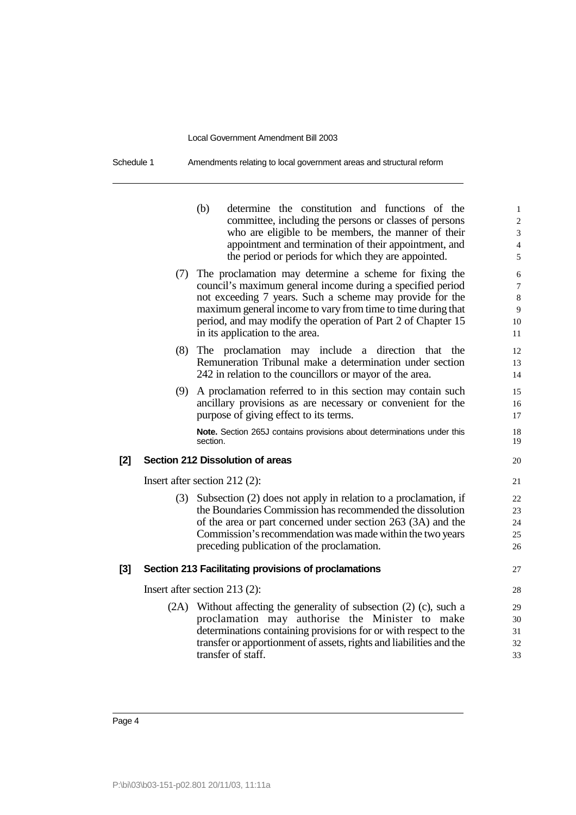| Schedule 1 | Amendments relating to local government areas and structural reform |
|------------|---------------------------------------------------------------------|
|------------|---------------------------------------------------------------------|

|     |      | (b)<br>determine the constitution and functions of the<br>committee, including the persons or classes of persons<br>who are eligible to be members, the manner of their<br>appointment and termination of their appointment, and<br>the period or periods for which they are appointed.                                                                 | $\mathbf{1}$<br>$\overline{c}$<br>3<br>$\overline{4}$<br>5 |
|-----|------|---------------------------------------------------------------------------------------------------------------------------------------------------------------------------------------------------------------------------------------------------------------------------------------------------------------------------------------------------------|------------------------------------------------------------|
|     |      | (7) The proclamation may determine a scheme for fixing the<br>council's maximum general income during a specified period<br>not exceeding 7 years. Such a scheme may provide for the<br>maximum general income to vary from time to time during that<br>period, and may modify the operation of Part 2 of Chapter 15<br>in its application to the area. | 6<br>$\overline{7}$<br>8<br>9<br>10<br>11                  |
|     | (8)  | The proclamation may include a direction that<br>the<br>Remuneration Tribunal make a determination under section<br>242 in relation to the councillors or mayor of the area.                                                                                                                                                                            | 12<br>13<br>14                                             |
|     | (9)  | A proclamation referred to in this section may contain such<br>ancillary provisions as are necessary or convenient for the<br>purpose of giving effect to its terms.                                                                                                                                                                                    | 15<br>16<br>17                                             |
|     |      | Note. Section 265J contains provisions about determinations under this<br>section.                                                                                                                                                                                                                                                                      | 18<br>19                                                   |
| [2] |      | Section 212 Dissolution of areas                                                                                                                                                                                                                                                                                                                        | 20                                                         |
|     |      | Insert after section $212(2)$ :                                                                                                                                                                                                                                                                                                                         | 21                                                         |
|     |      | (3) Subsection (2) does not apply in relation to a proclamation, if<br>the Boundaries Commission has recommended the dissolution<br>of the area or part concerned under section 263 (3A) and the<br>Commission's recommendation was made within the two years<br>preceding publication of the proclamation.                                             | 22<br>23<br>24<br>25<br>26                                 |
| [3] |      | Section 213 Facilitating provisions of proclamations                                                                                                                                                                                                                                                                                                    | 27                                                         |
|     |      | Insert after section 213 $(2)$ :                                                                                                                                                                                                                                                                                                                        | 28                                                         |
|     | (2A) | Without affecting the generality of subsection (2) (c), such a<br>proclamation may authorise the Minister to make<br>determinations containing provisions for or with respect to the<br>transfer or apportionment of assets, rights and liabilities and the<br>transfer of staff.                                                                       | 29<br>30<br>31<br>32<br>33                                 |
|     |      |                                                                                                                                                                                                                                                                                                                                                         |                                                            |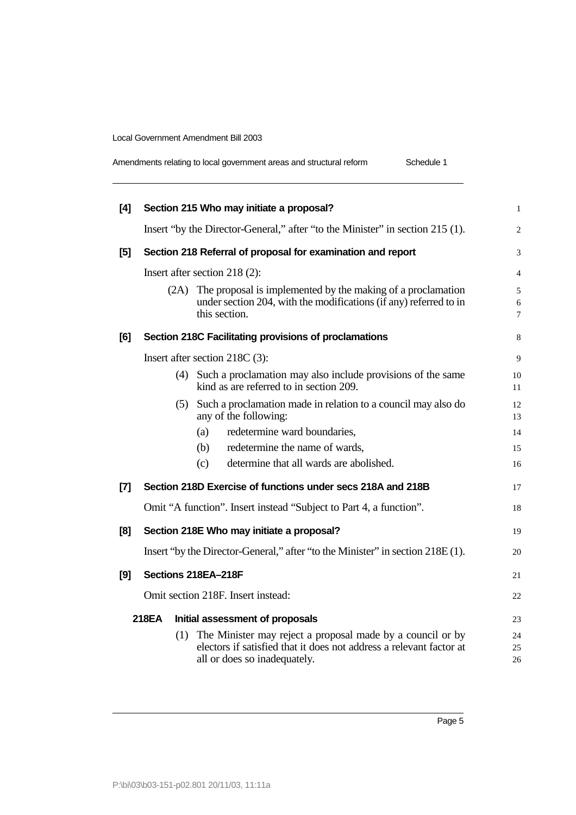| Amendments relating to local government areas and structural reform | Schedule 1 |
|---------------------------------------------------------------------|------------|
|---------------------------------------------------------------------|------------|

| [4]   |       | Section 215 Who may initiate a proposal?                                                                                                                              | $\mathbf{1}$   |
|-------|-------|-----------------------------------------------------------------------------------------------------------------------------------------------------------------------|----------------|
|       |       | Insert "by the Director-General," after "to the Minister" in section 215 (1).                                                                                         | $\overline{c}$ |
| $[5]$ |       | Section 218 Referral of proposal for examination and report                                                                                                           | 3              |
|       |       | Insert after section 218 (2):                                                                                                                                         | 4              |
|       | (2A)  | The proposal is implemented by the making of a proclamation<br>under section 204, with the modifications (if any) referred to in<br>this section.                     | 5<br>6<br>7    |
| [6]   |       | Section 218C Facilitating provisions of proclamations                                                                                                                 | 8              |
|       |       | Insert after section 218C (3):                                                                                                                                        | 9              |
|       |       | (4) Such a proclamation may also include provisions of the same<br>kind as are referred to in section 209.                                                            | 10<br>11       |
|       |       | (5) Such a proclamation made in relation to a council may also do<br>any of the following:                                                                            | 12<br>13       |
|       |       | redetermine ward boundaries,<br>(a)                                                                                                                                   | 14             |
|       |       | redetermine the name of wards,<br>(b)                                                                                                                                 | 15             |
|       |       | determine that all wards are abolished.<br>(c)                                                                                                                        | 16             |
| $[7]$ |       | Section 218D Exercise of functions under secs 218A and 218B                                                                                                           | 17             |
|       |       | Omit "A function". Insert instead "Subject to Part 4, a function".                                                                                                    | 18             |
| [8]   |       | Section 218E Who may initiate a proposal?                                                                                                                             | 19             |
|       |       | Insert "by the Director-General," after "to the Minister" in section 218E (1).                                                                                        | 20             |
| [9]   |       | Sections 218EA-218F                                                                                                                                                   | 21             |
|       |       | Omit section 218F. Insert instead:                                                                                                                                    | 22             |
|       | 218EA | Initial assessment of proposals                                                                                                                                       | 23             |
|       |       | (1) The Minister may reject a proposal made by a council or by<br>electors if satisfied that it does not address a relevant factor at<br>all or does so inadequately. | 24<br>25<br>26 |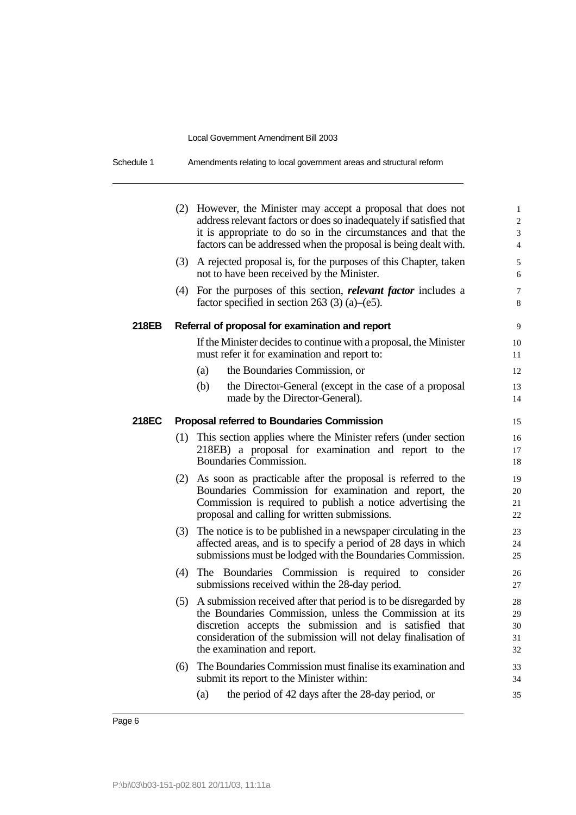Schedule 1 Amendments relating to local government areas and structural reform

|       |     | (2) However, the Minister may accept a proposal that does not<br>address relevant factors or does so inadequately if satisfied that<br>it is appropriate to do so in the circumstances and that the<br>factors can be addressed when the proposal is being dealt with.                 | $\mathbf{1}$<br>$\overline{c}$<br>3<br>$\overline{4}$ |
|-------|-----|----------------------------------------------------------------------------------------------------------------------------------------------------------------------------------------------------------------------------------------------------------------------------------------|-------------------------------------------------------|
|       | (3) | A rejected proposal is, for the purposes of this Chapter, taken<br>not to have been received by the Minister.                                                                                                                                                                          | 5<br>6                                                |
|       | (4) | For the purposes of this section, <i>relevant factor</i> includes a<br>factor specified in section 263 (3) (a)–(e5).                                                                                                                                                                   | $\overline{7}$<br>8                                   |
| 218EB |     | Referral of proposal for examination and report                                                                                                                                                                                                                                        | 9                                                     |
|       |     | If the Minister decides to continue with a proposal, the Minister<br>must refer it for examination and report to:                                                                                                                                                                      | 10<br>11                                              |
|       |     | the Boundaries Commission, or<br>(a)                                                                                                                                                                                                                                                   | 12                                                    |
|       |     | (b)<br>the Director-General (except in the case of a proposal<br>made by the Director-General).                                                                                                                                                                                        | 13<br>14                                              |
| 218EC |     | <b>Proposal referred to Boundaries Commission</b>                                                                                                                                                                                                                                      | 15                                                    |
|       |     | (1) This section applies where the Minister refers (under section<br>218EB) a proposal for examination and report to the<br>Boundaries Commission.                                                                                                                                     | 16<br>17<br>18                                        |
|       |     | (2) As soon as practicable after the proposal is referred to the<br>Boundaries Commission for examination and report, the<br>Commission is required to publish a notice advertising the<br>proposal and calling for written submissions.                                               | 19<br>20<br>21<br>22                                  |
|       | (3) | The notice is to be published in a newspaper circulating in the<br>affected areas, and is to specify a period of 28 days in which<br>submissions must be lodged with the Boundaries Commission.                                                                                        | 23<br>24<br>25                                        |
|       | (4) | The Boundaries Commission is required to consider<br>submissions received within the 28-day period.                                                                                                                                                                                    | 26<br>27                                              |
|       | (5) | A submission received after that period is to be disregarded by<br>the Boundaries Commission, unless the Commission at its<br>discretion accepts the submission and is satisfied that<br>consideration of the submission will not delay finalisation of<br>the examination and report. | 28<br>29<br>30<br>31<br>32                            |
|       | (6) | The Boundaries Commission must finalise its examination and<br>submit its report to the Minister within:                                                                                                                                                                               | 33<br>34                                              |
|       |     | the period of 42 days after the 28-day period, or<br>(a)                                                                                                                                                                                                                               | 35                                                    |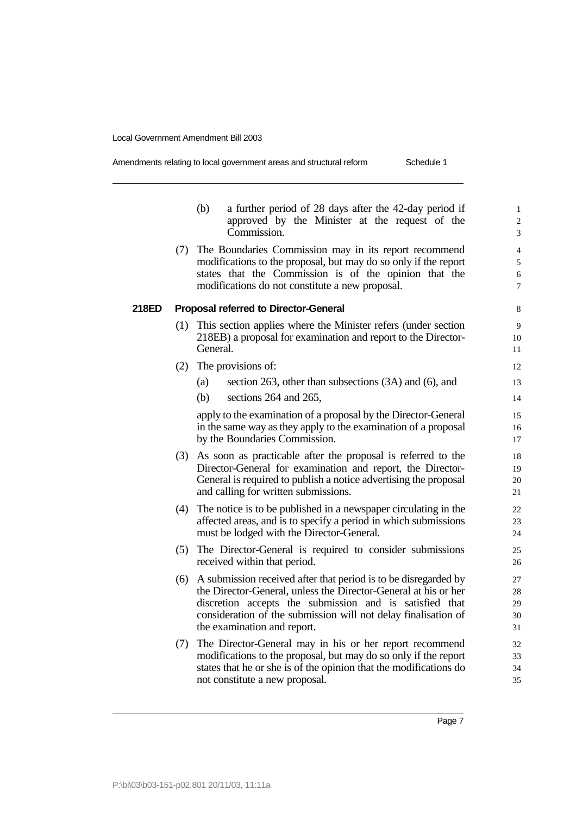| Amendments relating to local government areas and structural reform | Schedule 1 |
|---------------------------------------------------------------------|------------|
|                                                                     |            |

|       |     | (b)<br>a further period of 28 days after the 42-day period if<br>approved by the Minister at the request of the<br>Commission.                                                                                                                                                                 | $\mathbf{1}$<br>$\boldsymbol{2}$<br>3 |
|-------|-----|------------------------------------------------------------------------------------------------------------------------------------------------------------------------------------------------------------------------------------------------------------------------------------------------|---------------------------------------|
|       |     | (7) The Boundaries Commission may in its report recommend<br>modifications to the proposal, but may do so only if the report<br>states that the Commission is of the opinion that the<br>modifications do not constitute a new proposal.                                                       | 4<br>$\sqrt{5}$<br>6<br>7             |
| 218ED |     | <b>Proposal referred to Director-General</b>                                                                                                                                                                                                                                                   | 8                                     |
|       | (1) | This section applies where the Minister refers (under section<br>218EB) a proposal for examination and report to the Director-<br>General.                                                                                                                                                     | 9<br>10<br>11                         |
|       | (2) | The provisions of:                                                                                                                                                                                                                                                                             | 12                                    |
|       |     | section 263, other than subsections (3A) and (6), and<br>(a)                                                                                                                                                                                                                                   | 13                                    |
|       |     | (b)<br>sections 264 and 265,                                                                                                                                                                                                                                                                   | 14                                    |
|       |     | apply to the examination of a proposal by the Director-General<br>in the same way as they apply to the examination of a proposal<br>by the Boundaries Commission.                                                                                                                              | 15<br>16<br>17                        |
|       | (3) | As soon as practicable after the proposal is referred to the<br>Director-General for examination and report, the Director-<br>General is required to publish a notice advertising the proposal<br>and calling for written submissions.                                                         | 18<br>19<br>20<br>21                  |
|       | (4) | The notice is to be published in a newspaper circulating in the<br>affected areas, and is to specify a period in which submissions<br>must be lodged with the Director-General.                                                                                                                | 22<br>23<br>24                        |
|       |     | (5) The Director-General is required to consider submissions<br>received within that period.                                                                                                                                                                                                   | 25<br>26                              |
|       | (6) | A submission received after that period is to be disregarded by<br>the Director-General, unless the Director-General at his or her<br>discretion accepts the submission and is satisfied that<br>consideration of the submission will not delay finalisation of<br>the examination and report. | 27<br>28<br>29<br>30<br>31            |
|       | (7) | The Director-General may in his or her report recommend<br>modifications to the proposal, but may do so only if the report<br>states that he or she is of the opinion that the modifications do<br>not constitute a new proposal.                                                              | 32<br>33<br>34<br>35                  |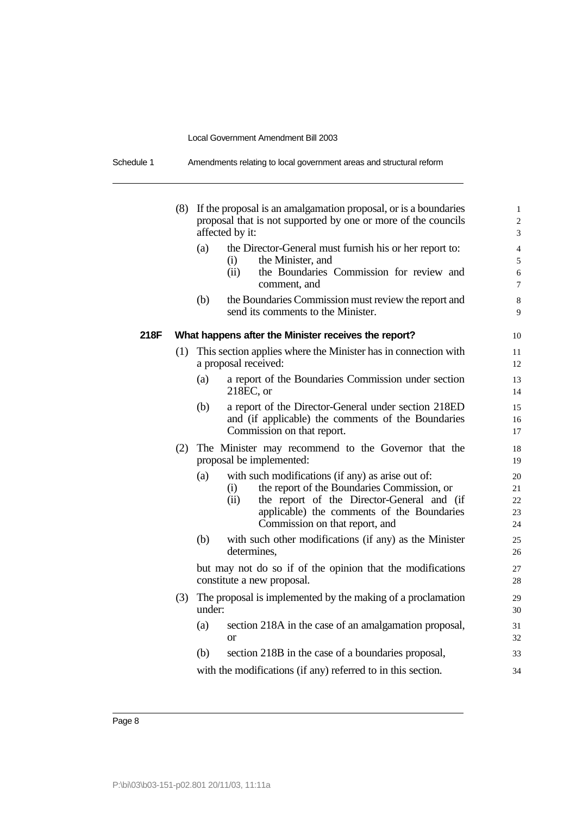| Schedule 1 | Amendments relating to local government areas and structural reform |
|------------|---------------------------------------------------------------------|
|------------|---------------------------------------------------------------------|

|      | (8) |        | If the proposal is an amalgamation proposal, or is a boundaries<br>proposal that is not supported by one or more of the councils<br>affected by it:                                                                                           | $\mathbf{1}$<br>$\overline{2}$<br>3 |
|------|-----|--------|-----------------------------------------------------------------------------------------------------------------------------------------------------------------------------------------------------------------------------------------------|-------------------------------------|
|      |     | (a)    | the Director-General must furnish his or her report to:<br>the Minister, and<br>(i)<br>the Boundaries Commission for review and<br>(ii)<br>comment, and                                                                                       | $\overline{4}$<br>5<br>6<br>$\tau$  |
|      |     | (b)    | the Boundaries Commission must review the report and<br>send its comments to the Minister.                                                                                                                                                    | $\,8\,$<br>9                        |
| 218F |     |        | What happens after the Minister receives the report?                                                                                                                                                                                          | 10                                  |
|      | (1) |        | This section applies where the Minister has in connection with<br>a proposal received:                                                                                                                                                        | 11<br>12                            |
|      |     | (a)    | a report of the Boundaries Commission under section<br>$218EC$ , or                                                                                                                                                                           | 13<br>14                            |
|      |     | (b)    | a report of the Director-General under section 218ED<br>and (if applicable) the comments of the Boundaries<br>Commission on that report.                                                                                                      | 15<br>16<br>17                      |
|      | (2) |        | The Minister may recommend to the Governor that the<br>proposal be implemented:                                                                                                                                                               | 18<br>19                            |
|      |     | (a)    | with such modifications (if any) as arise out of:<br>the report of the Boundaries Commission, or<br>(i)<br>(ii)<br>the report of the Director-General and (if<br>applicable) the comments of the Boundaries<br>Commission on that report, and | 20<br>21<br>22<br>23<br>24          |
|      |     | (b)    | with such other modifications (if any) as the Minister<br>determines,                                                                                                                                                                         | 25<br>26                            |
|      |     |        | but may not do so if of the opinion that the modifications<br>constitute a new proposal.                                                                                                                                                      | 27<br>28                            |
|      | (3) | under: | The proposal is implemented by the making of a proclamation                                                                                                                                                                                   | 29<br>30                            |
|      |     | (a)    | section 218A in the case of an amalgamation proposal,<br><sub>or</sub>                                                                                                                                                                        | 31<br>32                            |
|      |     | (b)    | section 218B in the case of a boundaries proposal,                                                                                                                                                                                            | 33                                  |
|      |     |        | with the modifications (if any) referred to in this section.                                                                                                                                                                                  | 34                                  |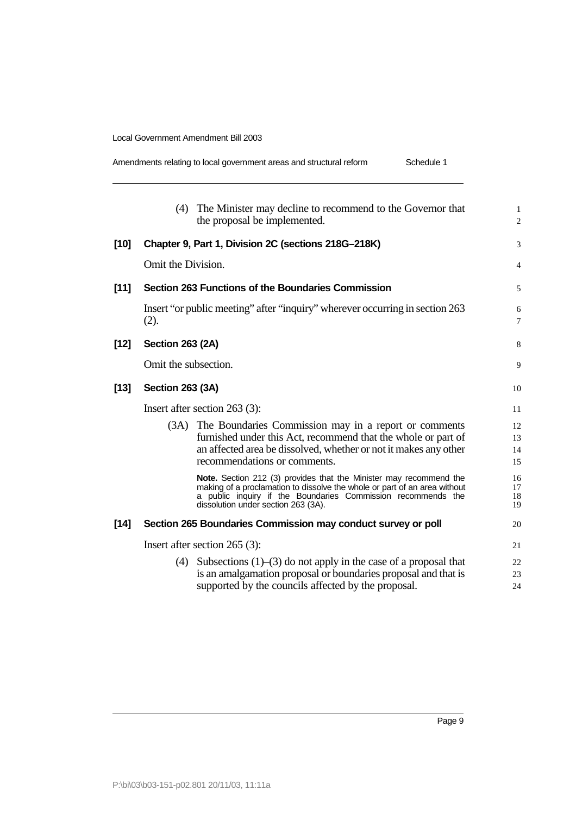| Amendments relating to local government areas and structural reform | Schedule 1 |
|---------------------------------------------------------------------|------------|
|---------------------------------------------------------------------|------------|

|        | (4) The Minister may decline to recommend to the Governor that<br>the proposal be implemented.                                                                                                                                                         | $\mathbf{1}$<br>$\overline{2}$ |
|--------|--------------------------------------------------------------------------------------------------------------------------------------------------------------------------------------------------------------------------------------------------------|--------------------------------|
| $[10]$ | Chapter 9, Part 1, Division 2C (sections 218G-218K)                                                                                                                                                                                                    | 3                              |
|        | Omit the Division.                                                                                                                                                                                                                                     | $\overline{4}$                 |
| $[11]$ | Section 263 Functions of the Boundaries Commission                                                                                                                                                                                                     | 5                              |
|        | Insert "or public meeting" after "inquiry" wherever occurring in section 263<br>(2).                                                                                                                                                                   | 6<br>$\overline{7}$            |
| $[12]$ | <b>Section 263 (2A)</b>                                                                                                                                                                                                                                | 8                              |
|        | Omit the subsection.                                                                                                                                                                                                                                   | 9                              |
| $[13]$ | <b>Section 263 (3A)</b>                                                                                                                                                                                                                                | 10                             |
|        | Insert after section $263$ (3):                                                                                                                                                                                                                        | 11                             |
|        | The Boundaries Commission may in a report or comments<br>(3A)<br>furnished under this Act, recommend that the whole or part of<br>an affected area be dissolved, whether or not it makes any other<br>recommendations or comments.                     | 12<br>13<br>14<br>15           |
|        | Note. Section 212 (3) provides that the Minister may recommend the<br>making of a proclamation to dissolve the whole or part of an area without<br>a public inquiry if the Boundaries Commission recommends the<br>dissolution under section 263 (3A). | 16<br>17<br>18<br>19           |
| $[14]$ | Section 265 Boundaries Commission may conduct survey or poll                                                                                                                                                                                           | 20                             |
|        | Insert after section $265$ (3):                                                                                                                                                                                                                        | 21                             |
|        | (4) Subsections $(1)$ – $(3)$ do not apply in the case of a proposal that<br>is an amalgamation proposal or boundaries proposal and that is                                                                                                            | 22                             |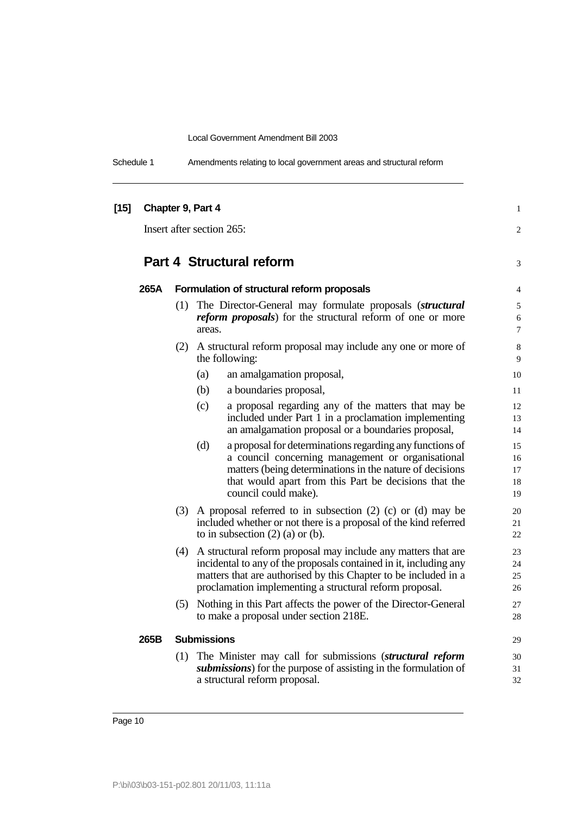Schedule 1 Amendments relating to local government areas and structural reform

| [15] |                           |     | Chapter 9, Part 4                                                                                                                                                                                                                                                 | $\mathbf{1}$               |
|------|---------------------------|-----|-------------------------------------------------------------------------------------------------------------------------------------------------------------------------------------------------------------------------------------------------------------------|----------------------------|
|      | Insert after section 265: |     |                                                                                                                                                                                                                                                                   | 2                          |
|      |                           |     | <b>Part 4 Structural reform</b>                                                                                                                                                                                                                                   | 3                          |
|      | 265A                      |     | Formulation of structural reform proposals                                                                                                                                                                                                                        | 4                          |
|      |                           | (1) | The Director-General may formulate proposals (structural<br><i>reform proposals</i> ) for the structural reform of one or more<br>areas.                                                                                                                          | 5<br>6<br>7                |
|      |                           |     | (2) A structural reform proposal may include any one or more of<br>the following:                                                                                                                                                                                 | 8<br>9                     |
|      |                           |     | an amalgamation proposal,<br>(a)                                                                                                                                                                                                                                  | 10                         |
|      |                           |     | (b)<br>a boundaries proposal,                                                                                                                                                                                                                                     | 11                         |
|      |                           |     | a proposal regarding any of the matters that may be<br>(c)<br>included under Part 1 in a proclamation implementing<br>an amalgamation proposal or a boundaries proposal,                                                                                          | 12<br>13<br>14             |
|      |                           |     | (d)<br>a proposal for determinations regarding any functions of<br>a council concerning management or organisational<br>matters (being determinations in the nature of decisions<br>that would apart from this Part be decisions that the<br>council could make). | 15<br>16<br>17<br>18<br>19 |
|      |                           |     | $(3)$ A proposal referred to in subsection $(2)$ $(c)$ or $(d)$ may be<br>included whether or not there is a proposal of the kind referred<br>to in subsection $(2)$ (a) or (b).                                                                                  | 20<br>21<br>22             |
|      |                           | (4) | A structural reform proposal may include any matters that are<br>incidental to any of the proposals contained in it, including any<br>matters that are authorised by this Chapter to be included in a<br>proclamation implementing a structural reform proposal.  | 23<br>24<br>25<br>26       |
|      |                           | (5) | Nothing in this Part affects the power of the Director-General<br>to make a proposal under section 218E.                                                                                                                                                          | 27<br>28                   |
|      | 265B                      |     | <b>Submissions</b>                                                                                                                                                                                                                                                | 29                         |
|      |                           | (1) | The Minister may call for submissions (structural reform<br>submissions) for the purpose of assisting in the formulation of<br>a structural reform proposal.                                                                                                      | 30<br>31<br>32             |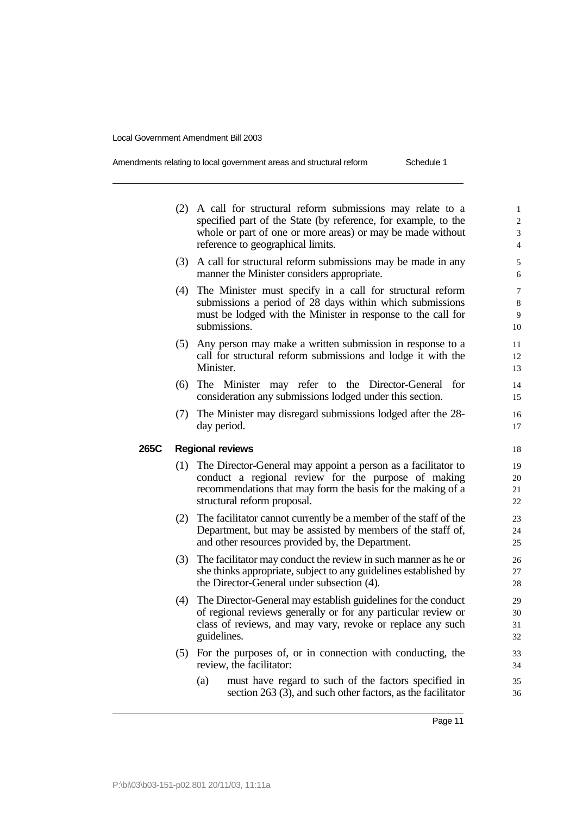| Amendments relating to local government areas and structural reform | Schedule 1 |
|---------------------------------------------------------------------|------------|
|---------------------------------------------------------------------|------------|

|      |     | (2) A call for structural reform submissions may relate to a<br>specified part of the State (by reference, for example, to the<br>whole or part of one or more areas) or may be made without<br>reference to geographical limits. | $\mathbf{1}$<br>$\overline{c}$<br>3<br>$\overline{\mathcal{L}}$ |
|------|-----|-----------------------------------------------------------------------------------------------------------------------------------------------------------------------------------------------------------------------------------|-----------------------------------------------------------------|
|      | (3) | A call for structural reform submissions may be made in any<br>manner the Minister considers appropriate.                                                                                                                         | 5<br>6                                                          |
|      | (4) | The Minister must specify in a call for structural reform<br>submissions a period of 28 days within which submissions<br>must be lodged with the Minister in response to the call for<br>submissions.                             | $\overline{7}$<br>8<br>9<br>10                                  |
|      | (5) | Any person may make a written submission in response to a<br>call for structural reform submissions and lodge it with the<br>Minister.                                                                                            | 11<br>12<br>13                                                  |
|      | (6) | The Minister may refer to the Director-General<br>for<br>consideration any submissions lodged under this section.                                                                                                                 | 14<br>15                                                        |
|      |     | (7) The Minister may disregard submissions lodged after the 28-<br>day period.                                                                                                                                                    | 16<br>17                                                        |
| 265C |     | <b>Regional reviews</b>                                                                                                                                                                                                           | 18                                                              |
|      |     | (1) The Director-General may appoint a person as a facilitator to<br>conduct a regional review for the purpose of making<br>recommendations that may form the basis for the making of a<br>structural reform proposal.            | 19<br>20<br>21<br>22                                            |
|      | (2) | The facilitator cannot currently be a member of the staff of the<br>Department, but may be assisted by members of the staff of,<br>and other resources provided by, the Department.                                               | 23<br>24<br>25                                                  |
|      | (3) | The facilitator may conduct the review in such manner as he or<br>she thinks appropriate, subject to any guidelines established by<br>the Director-General under subsection (4).                                                  | 26<br>27<br>28                                                  |
|      | (4) | The Director-General may establish guidelines for the conduct<br>of regional reviews generally or for any particular review or<br>class of reviews, and may vary, revoke or replace any such<br>guidelines.                       | 29<br>30<br>31<br>32                                            |
|      |     | (5) For the purposes of, or in connection with conducting, the<br>review, the facilitator:                                                                                                                                        | 33<br>34                                                        |
|      |     | must have regard to such of the factors specified in<br>(a)<br>section 263 (3), and such other factors, as the facilitator                                                                                                        | 35<br>36                                                        |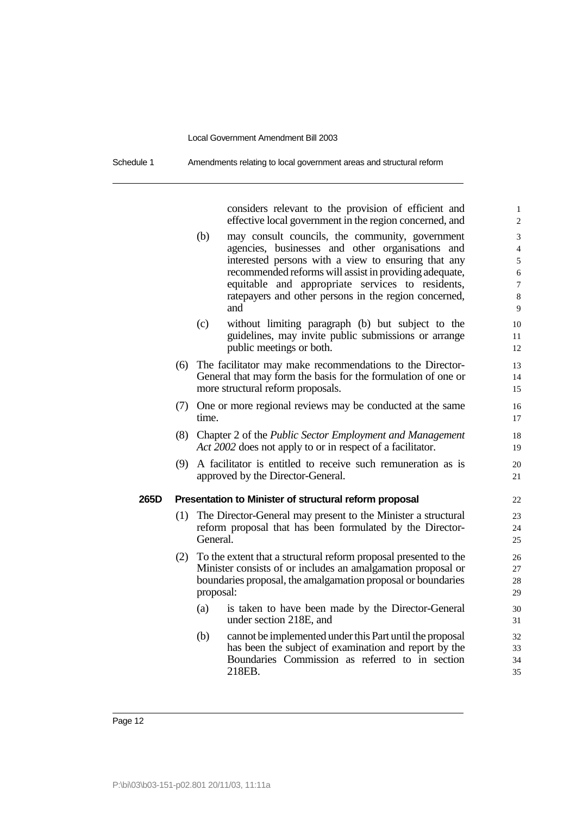| Schedule 1 | Amendments relating to local government areas and structural reform |
|------------|---------------------------------------------------------------------|
|------------|---------------------------------------------------------------------|

considers relevant to the provision of efficient and 1 effective local government in the region concerned, and 2

- (b) may consult councils, the community, government 3 agencies, businesses and other organisations and 4 interested persons with a view to ensuring that any 5 recommended reforms will assist in providing adequate, 6 equitable and appropriate services to residents,  $\frac{7}{7}$ ratepayers and other persons in the region concerned, 8 and 9
- (c) without limiting paragraph (b) but subject to the 10 guidelines, may invite public submissions or arrange 11 public meetings or both. 12
- (6) The facilitator may make recommendations to the Director- 13 General that may form the basis for the formulation of one or 14 more structural reform proposals. 15
- (7) One or more regional reviews may be conducted at the same 16 time. 17
- (8) Chapter 2 of the *Public Sector Employment and Management* 18 *Act 2002* does not apply to or in respect of a facilitator. 19
- (9) A facilitator is entitled to receive such remuneration as is 20 approved by the Director-General. 21

#### **265D Presentation to Minister of structural reform proposal** 22

- (1) The Director-General may present to the Minister a structural 23 reform proposal that has been formulated by the Director- 24 General. 25
- (2) To the extent that a structural reform proposal presented to the 26 Minister consists of or includes an amalgamation proposal or 27 boundaries proposal, the amalgamation proposal or boundaries 28 proposal: 29
	- (a) is taken to have been made by the Director-General 30 under section 218E, and 31
	- (b) cannot be implemented under this Part until the proposal 32 has been the subject of examination and report by the 33 Boundaries Commission as referred to in section 34 218EB. 35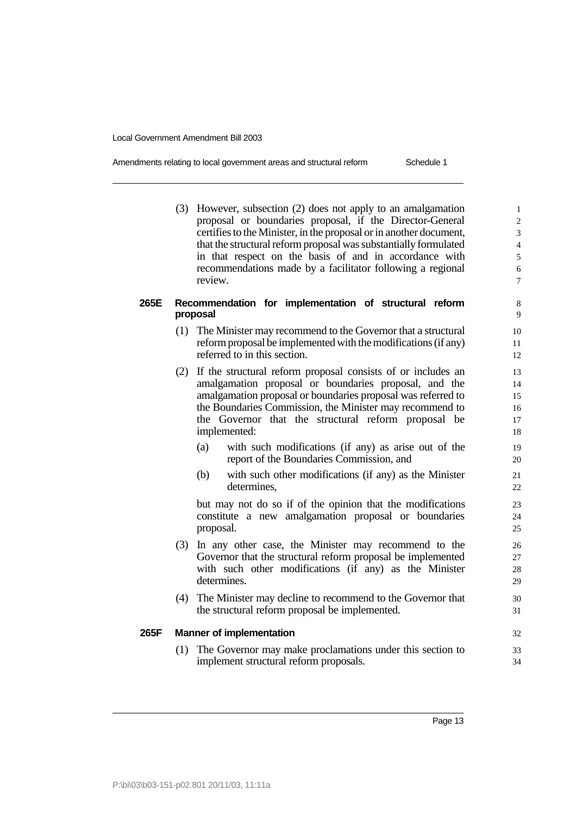| Amendments relating to local government areas and structural reform | Schedule 1 |
|---------------------------------------------------------------------|------------|
|                                                                     |            |

(3) However, subsection (2) does not apply to an amalgamation 1 proposal or boundaries proposal, if the Director-General 2 certifies to the Minister, in the proposal or in another document,  $\frac{3}{2}$ that the structural reform proposal was substantially formulated 4 in that respect on the basis of and in accordance with 5 recommendations made by a facilitator following a regional 6 review. The contract of the contract of the contract of the contract of the contract of the contract of the contract of the contract of the contract of the contract of the contract of the contract of the contract of the co

#### **265E Recommendation for implementation of structural reform** 8 proposal

- (1) The Minister may recommend to the Governor that a structural 10 reform proposal be implemented with the modifications (if any) 11 referred to in this section. 12
- (2) If the structural reform proposal consists of or includes an 13 amalgamation proposal or boundaries proposal, and the 14 amalgamation proposal or boundaries proposal was referred to 15 the Boundaries Commission, the Minister may recommend to 16 the Governor that the structural reform proposal be 17 implemented: 18
	- (a) with such modifications (if any) as arise out of the 19 report of the Boundaries Commission, and 20
	- (b) with such other modifications (if any) as the Minister 21 determines, 22

but may not do so if of the opinion that the modifications 23 constitute a new amalgamation proposal or boundaries 24 proposal. 25

- (3) In any other case, the Minister may recommend to the 26 Governor that the structural reform proposal be implemented 27 with such other modifications (if any) as the Minister 28 determines. 29
- (4) The Minister may decline to recommend to the Governor that 30 the structural reform proposal be implemented. 31

#### **265F Manner of implementation** 32

(1) The Governor may make proclamations under this section to 33 implement structural reform proposals. 34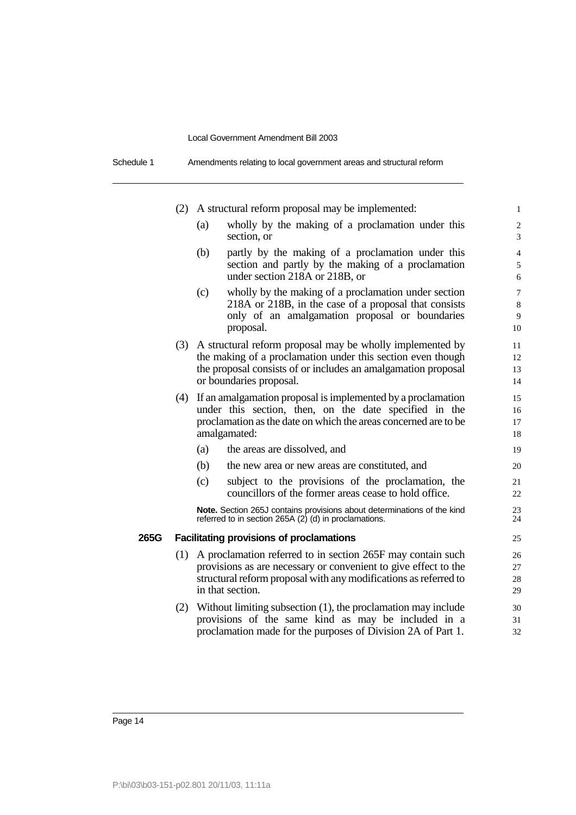Schedule 1 Amendments relating to local government areas and structural reform

|      |     |     | (2) A structural reform proposal may be implemented:                                                                                                                                                                     | $\mathbf{1}$                   |
|------|-----|-----|--------------------------------------------------------------------------------------------------------------------------------------------------------------------------------------------------------------------------|--------------------------------|
|      |     | (a) | wholly by the making of a proclamation under this<br>section, or                                                                                                                                                         | $\overline{\mathbf{c}}$<br>3   |
|      |     | (b) | partly by the making of a proclamation under this<br>section and partly by the making of a proclamation<br>under section 218A or 218B, or                                                                                | $\overline{4}$<br>5<br>6       |
|      |     | (c) | wholly by the making of a proclamation under section<br>218A or 218B, in the case of a proposal that consists<br>only of an amalgamation proposal or boundaries<br>proposal.                                             | $\overline{7}$<br>8<br>9<br>10 |
|      |     |     | (3) A structural reform proposal may be wholly implemented by<br>the making of a proclamation under this section even though<br>the proposal consists of or includes an amalgamation proposal<br>or boundaries proposal. | 11<br>12<br>13<br>14           |
|      | (4) |     | If an amalgamation proposal is implemented by a proclamation<br>under this section, then, on the date specified in the<br>proclamation as the date on which the areas concerned are to be<br>amalgamated:                | 15<br>16<br>17<br>18           |
|      |     | (a) | the areas are dissolved, and                                                                                                                                                                                             | 19                             |
|      |     | (b) | the new area or new areas are constituted, and                                                                                                                                                                           | 20                             |
|      |     | (c) | subject to the provisions of the proclamation, the<br>councillors of the former areas cease to hold office.                                                                                                              | 21<br>22                       |
|      |     |     | Note. Section 265J contains provisions about determinations of the kind<br>referred to in section 265A (2) (d) in proclamations.                                                                                         | 23<br>24                       |
| 265G |     |     | <b>Facilitating provisions of proclamations</b>                                                                                                                                                                          | 25                             |
|      | (1) |     | A proclamation referred to in section 265F may contain such<br>provisions as are necessary or convenient to give effect to the<br>structural reform proposal with any modifications as referred to<br>in that section.   | 26<br>27<br>28<br>29           |
|      | (2) |     | Without limiting subsection (1), the proclamation may include<br>provisions of the same kind as may be included in a<br>proclamation made for the purposes of Division 2A of Part 1.                                     | 30<br>31<br>32                 |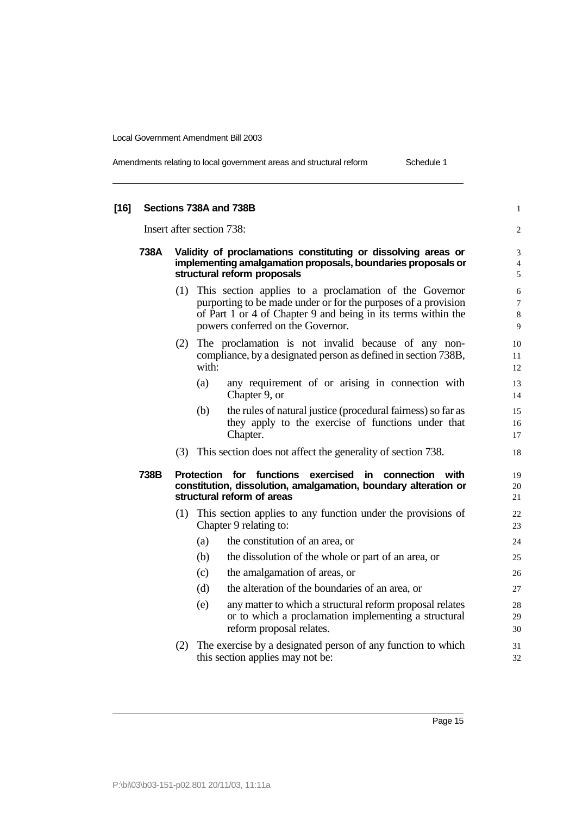|  | Amendments relating to local government areas and structural reform | Schedule 1 |
|--|---------------------------------------------------------------------|------------|
|--|---------------------------------------------------------------------|------------|

| $[16]$ |                           |                                                                                                                                                              |       | Sections 738A and 738B                                                                                                                                                                                                             | $\mathbf{1}$                  |  |
|--------|---------------------------|--------------------------------------------------------------------------------------------------------------------------------------------------------------|-------|------------------------------------------------------------------------------------------------------------------------------------------------------------------------------------------------------------------------------------|-------------------------------|--|
|        | Insert after section 738: |                                                                                                                                                              |       |                                                                                                                                                                                                                                    |                               |  |
|        | 738A                      | Validity of proclamations constituting or dissolving areas or<br>implementing amalgamation proposals, boundaries proposals or<br>structural reform proposals |       |                                                                                                                                                                                                                                    |                               |  |
|        |                           |                                                                                                                                                              |       | (1) This section applies to a proclamation of the Governor<br>purporting to be made under or for the purposes of a provision<br>of Part 1 or 4 of Chapter 9 and being in its terms within the<br>powers conferred on the Governor. | 6<br>$\overline{7}$<br>8<br>9 |  |
|        |                           | (2)                                                                                                                                                          | with: | The proclamation is not invalid because of any non-<br>compliance, by a designated person as defined in section 738B,                                                                                                              | 10<br>11<br>12                |  |
|        |                           |                                                                                                                                                              | (a)   | any requirement of or arising in connection with<br>Chapter 9, or                                                                                                                                                                  | 13<br>14                      |  |
|        |                           |                                                                                                                                                              | (b)   | the rules of natural justice (procedural fairness) so far as<br>they apply to the exercise of functions under that<br>Chapter.                                                                                                     | 15<br>16<br>17                |  |
|        |                           |                                                                                                                                                              |       | (3) This section does not affect the generality of section 738.                                                                                                                                                                    | 18                            |  |
|        | 738B                      |                                                                                                                                                              |       | Protection for functions<br>exercised<br>connection with<br>in<br>constitution, dissolution, amalgamation, boundary alteration or<br>structural reform of areas                                                                    | 19<br>20<br>21                |  |
|        |                           |                                                                                                                                                              |       | (1) This section applies to any function under the provisions of<br>Chapter 9 relating to:                                                                                                                                         | 22<br>23                      |  |
|        |                           |                                                                                                                                                              | (a)   | the constitution of an area, or                                                                                                                                                                                                    | 24                            |  |
|        |                           |                                                                                                                                                              | (b)   | the dissolution of the whole or part of an area, or                                                                                                                                                                                | 25                            |  |
|        |                           |                                                                                                                                                              | (c)   | the amalgamation of areas, or                                                                                                                                                                                                      | 26                            |  |
|        |                           |                                                                                                                                                              | (d)   | the alteration of the boundaries of an area, or                                                                                                                                                                                    | 27                            |  |
|        |                           |                                                                                                                                                              | (e)   | any matter to which a structural reform proposal relates<br>or to which a proclamation implementing a structural<br>reform proposal relates.                                                                                       | 28<br>29<br>30                |  |
|        |                           |                                                                                                                                                              |       | (2) The exercise by a designated person of any function to which<br>this section applies may not be:                                                                                                                               | 31<br>32                      |  |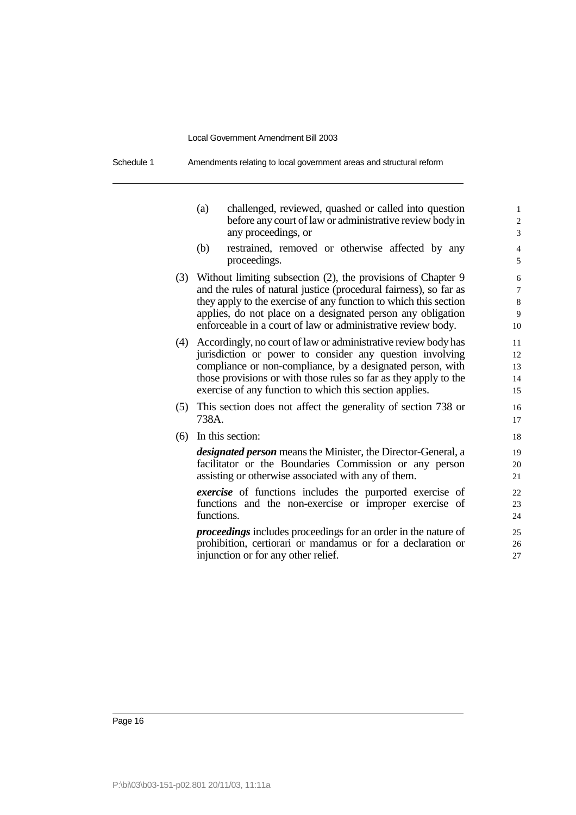| Schedule 1 | Amendments relating to local government areas and structural reform |
|------------|---------------------------------------------------------------------|
|------------|---------------------------------------------------------------------|

|     | (a)        | challenged, reviewed, quashed or called into question<br>before any court of law or administrative review body in<br>any proceedings, or                                                                                                                                                                                             | $\mathbf{1}$<br>$\overline{c}$<br>3 |
|-----|------------|--------------------------------------------------------------------------------------------------------------------------------------------------------------------------------------------------------------------------------------------------------------------------------------------------------------------------------------|-------------------------------------|
|     | (b)        | restrained, removed or otherwise affected by any<br>proceedings.                                                                                                                                                                                                                                                                     | $\overline{4}$<br>5                 |
| (3) |            | Without limiting subsection (2), the provisions of Chapter 9<br>and the rules of natural justice (procedural fairness), so far as<br>they apply to the exercise of any function to which this section<br>applies, do not place on a designated person any obligation<br>enforceable in a court of law or administrative review body. | 6<br>$\overline{7}$<br>8<br>9<br>10 |
| (4) |            | Accordingly, no court of law or administrative review body has<br>jurisdiction or power to consider any question involving<br>compliance or non-compliance, by a designated person, with<br>those provisions or with those rules so far as they apply to the<br>exercise of any function to which this section applies.              | 11<br>12<br>13<br>14<br>15          |
| (5) | 738A.      | This section does not affect the generality of section 738 or                                                                                                                                                                                                                                                                        | 16<br>17                            |
| (6) |            | In this section:                                                                                                                                                                                                                                                                                                                     | 18                                  |
|     |            | designated person means the Minister, the Director-General, a<br>facilitator or the Boundaries Commission or any person<br>assisting or otherwise associated with any of them.                                                                                                                                                       | 19<br>20<br>21                      |
|     | functions. | <i>exercise</i> of functions includes the purported exercise of<br>functions and the non-exercise or improper exercise of                                                                                                                                                                                                            | 22<br>23<br>24                      |
|     |            | <i>proceedings</i> includes proceedings for an order in the nature of<br>prohibition, certiorari or mandamus or for a declaration or<br>injunction or for any other relief.                                                                                                                                                          | 25<br>26<br>27                      |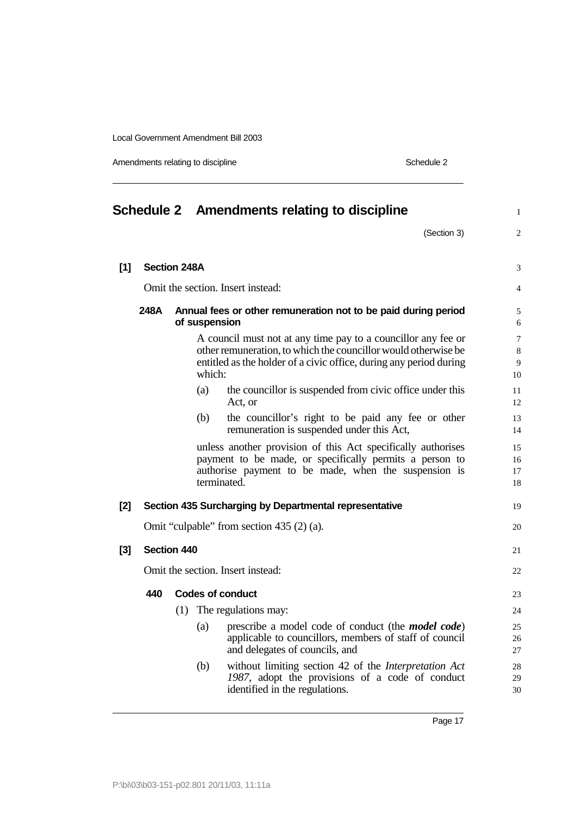Amendments relating to discipline Schedule 2

|       |                                                                                         |     |               | Schedule 2 Amendments relating to discipline                                                                                                                                                                                                                       | $\mathbf{1}$                 |  |
|-------|-----------------------------------------------------------------------------------------|-----|---------------|--------------------------------------------------------------------------------------------------------------------------------------------------------------------------------------------------------------------------------------------------------------------|------------------------------|--|
|       |                                                                                         |     |               | (Section 3)                                                                                                                                                                                                                                                        | 2                            |  |
| $[1]$ | <b>Section 248A</b>                                                                     |     |               |                                                                                                                                                                                                                                                                    | 3                            |  |
|       |                                                                                         |     |               |                                                                                                                                                                                                                                                                    |                              |  |
|       | Omit the section. Insert instead:                                                       |     |               |                                                                                                                                                                                                                                                                    |                              |  |
|       | 248A<br>Annual fees or other remuneration not to be paid during period<br>of suspension |     |               |                                                                                                                                                                                                                                                                    |                              |  |
|       |                                                                                         |     | which:<br>(a) | A council must not at any time pay to a council or any fee or<br>other remuneration, to which the council lor would otherwise be<br>entitled as the holder of a civic office, during any period during<br>the councillor is suspended from civic office under this | $\tau$<br>8<br>9<br>10<br>11 |  |
|       |                                                                                         |     |               | Act, or                                                                                                                                                                                                                                                            | 12                           |  |
|       |                                                                                         |     | (b)           | the councillor's right to be paid any fee or other<br>remuneration is suspended under this Act,                                                                                                                                                                    | 13<br>14                     |  |
|       |                                                                                         |     |               | unless another provision of this Act specifically authorises<br>payment to be made, or specifically permits a person to<br>authorise payment to be made, when the suspension is<br>terminated.                                                                     | 15<br>16<br>17<br>18         |  |
| [2]   |                                                                                         |     |               | Section 435 Surcharging by Departmental representative                                                                                                                                                                                                             | 19                           |  |
|       |                                                                                         |     |               | Omit "culpable" from section 435 (2) (a).                                                                                                                                                                                                                          | 20                           |  |
| $[3]$ | Section 440                                                                             |     |               |                                                                                                                                                                                                                                                                    | 21                           |  |
|       |                                                                                         |     |               | Omit the section. Insert instead:                                                                                                                                                                                                                                  | 22                           |  |
|       | 440                                                                                     |     |               | <b>Codes of conduct</b>                                                                                                                                                                                                                                            | 23                           |  |
|       |                                                                                         | (1) |               | The regulations may:                                                                                                                                                                                                                                               | 24                           |  |
|       |                                                                                         |     | (a)           | prescribe a model code of conduct (the <i>model code</i> )<br>applicable to councillors, members of staff of council<br>and delegates of councils, and                                                                                                             | 25<br>26<br>27               |  |
|       |                                                                                         |     | (b)           | without limiting section 42 of the <i>Interpretation Act</i><br>1987, adopt the provisions of a code of conduct<br>identified in the regulations.                                                                                                                  | 28<br>29<br>30               |  |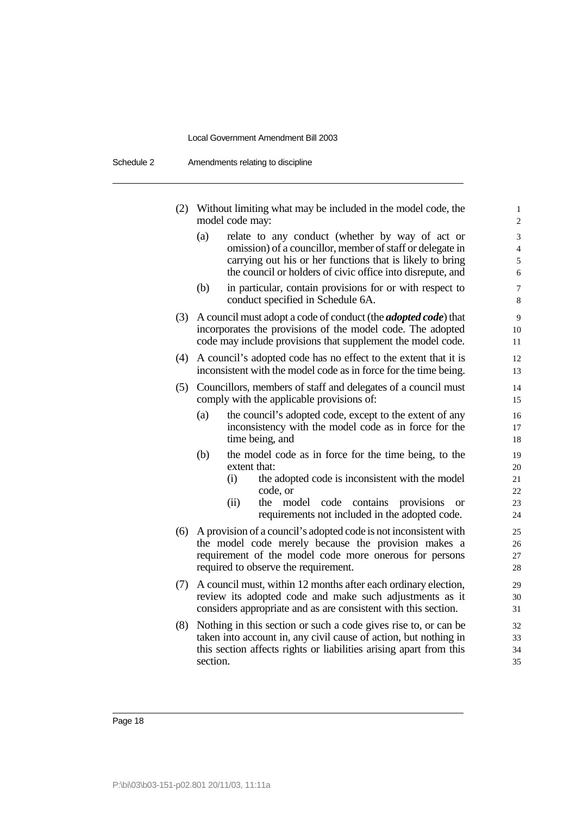| Schedule 2 | Amendments relating to discipline |
|------------|-----------------------------------|
|------------|-----------------------------------|

| (2) |          | Without limiting what may be included in the model code, the<br>model code may:                                                     | $\mathbf{1}$<br>$\overline{c}$ |
|-----|----------|-------------------------------------------------------------------------------------------------------------------------------------|--------------------------------|
|     | (a)      | relate to any conduct (whether by way of act or                                                                                     | 3                              |
|     |          | omission) of a councillor, member of staff or delegate in                                                                           | $\overline{4}$                 |
|     |          | carrying out his or her functions that is likely to bring<br>the council or holders of civic office into disrepute, and             | 5<br>6                         |
|     | (b)      | in particular, contain provisions for or with respect to<br>conduct specified in Schedule 6A.                                       | $\overline{7}$<br>8            |
| (3) |          | A council must adopt a code of conduct (the <i>adopted code</i> ) that                                                              | 9                              |
|     |          | incorporates the provisions of the model code. The adopted                                                                          | 10                             |
|     |          | code may include provisions that supplement the model code.                                                                         | 11                             |
| (4) |          | A council's adopted code has no effect to the extent that it is<br>inconsistent with the model code as in force for the time being. | 12<br>13                       |
| (5) |          | Councillors, members of staff and delegates of a council must<br>comply with the applicable provisions of:                          | 14<br>15                       |
|     | (a)      | the council's adopted code, except to the extent of any                                                                             | 16                             |
|     |          | inconsistency with the model code as in force for the                                                                               | 17                             |
|     |          | time being, and                                                                                                                     | 18                             |
|     | (b)      | the model code as in force for the time being, to the<br>extent that:                                                               | 19<br>20                       |
|     |          | the adopted code is inconsistent with the model<br>(i)                                                                              | 21                             |
|     |          | code, or                                                                                                                            | 22                             |
|     |          | (ii)<br>model<br>code<br>contains<br>the<br>provisions<br><sub>or</sub><br>requirements not included in the adopted code.           | 23<br>24                       |
| (6) |          | A provision of a council's adopted code is not inconsistent with                                                                    | 25                             |
|     |          | the model code merely because the provision makes a                                                                                 | 26                             |
|     |          | requirement of the model code more onerous for persons<br>required to observe the requirement.                                      | 27<br>28                       |
|     |          |                                                                                                                                     |                                |
| (7) |          | A council must, within 12 months after each ordinary election,<br>review its adopted code and make such adjustments as it           | 29<br>30                       |
|     |          | considers appropriate and as are consistent with this section.                                                                      | 31                             |
| (8) |          | Nothing in this section or such a code gives rise to, or can be                                                                     | 32                             |
|     |          | taken into account in, any civil cause of action, but nothing in                                                                    | 33                             |
|     | section. | this section affects rights or liabilities arising apart from this                                                                  | 34<br>35                       |
|     |          |                                                                                                                                     |                                |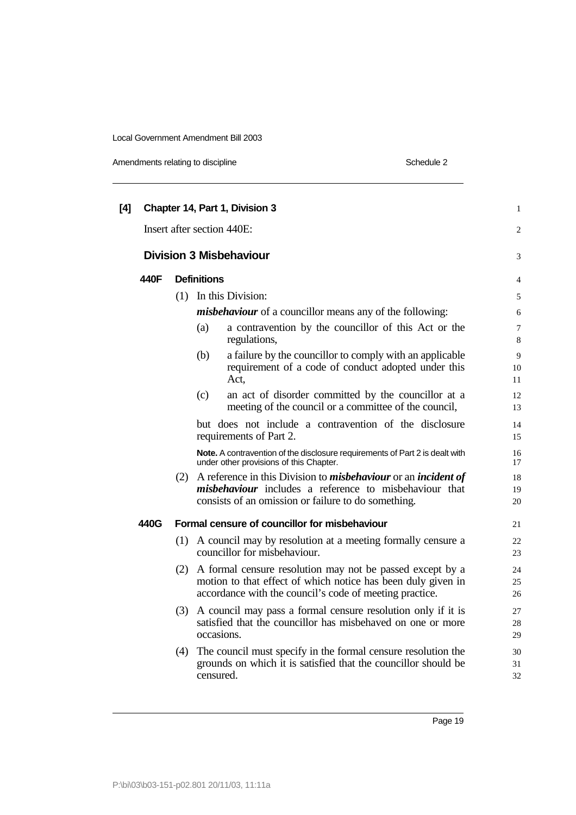Amendments relating to discipline Schedule 2

| [4] |      |     | Chapter 14, Part 1, Division 3                                                                                                                                                                       | $\mathbf{1}$   |
|-----|------|-----|------------------------------------------------------------------------------------------------------------------------------------------------------------------------------------------------------|----------------|
|     |      |     | Insert after section 440E:                                                                                                                                                                           | $\overline{2}$ |
|     |      |     | <b>Division 3 Misbehaviour</b>                                                                                                                                                                       | 3              |
|     | 440F |     | <b>Definitions</b>                                                                                                                                                                                   | 4              |
|     |      |     | (1) In this Division:                                                                                                                                                                                | 5              |
|     |      |     | <i>misbehaviour</i> of a councillor means any of the following:                                                                                                                                      | 6              |
|     |      |     | a contravention by the councillor of this Act or the<br>(a)<br>regulations,                                                                                                                          | 7<br>8         |
|     |      |     | a failure by the councillor to comply with an applicable<br>(b)<br>requirement of a code of conduct adopted under this<br>Act,                                                                       | 9<br>10<br>11  |
|     |      |     | (c)<br>an act of disorder committed by the councillor at a<br>meeting of the council or a committee of the council,                                                                                  | 12<br>13       |
|     |      |     | but does not include a contravention of the disclosure<br>requirements of Part 2.                                                                                                                    | 14<br>15       |
|     |      |     | Note. A contravention of the disclosure requirements of Part 2 is dealt with<br>under other provisions of this Chapter.                                                                              | 16<br>17       |
|     |      | (2) | A reference in this Division to <i>misbehaviour</i> or an <i>incident of</i><br><i>misbehaviour</i> includes a reference to misbehaviour that<br>consists of an omission or failure to do something. | 18<br>19<br>20 |
|     | 440G |     | Formal censure of councillor for misbehaviour                                                                                                                                                        | 21             |
|     |      | (1) | A council may by resolution at a meeting formally censure a<br>councillor for misbehaviour.                                                                                                          | 22<br>23       |
|     |      | (2) | A formal censure resolution may not be passed except by a<br>motion to that effect of which notice has been duly given in<br>accordance with the council's code of meeting practice.                 | 24<br>25<br>26 |
|     |      | (3) | A council may pass a formal censure resolution only if it is<br>satisfied that the councillor has misbehaved on one or more<br>occasions.                                                            | 27<br>28<br>29 |
|     |      | (4) | The council must specify in the formal censure resolution the<br>grounds on which it is satisfied that the council or should be<br>censured.                                                         | 30<br>31<br>32 |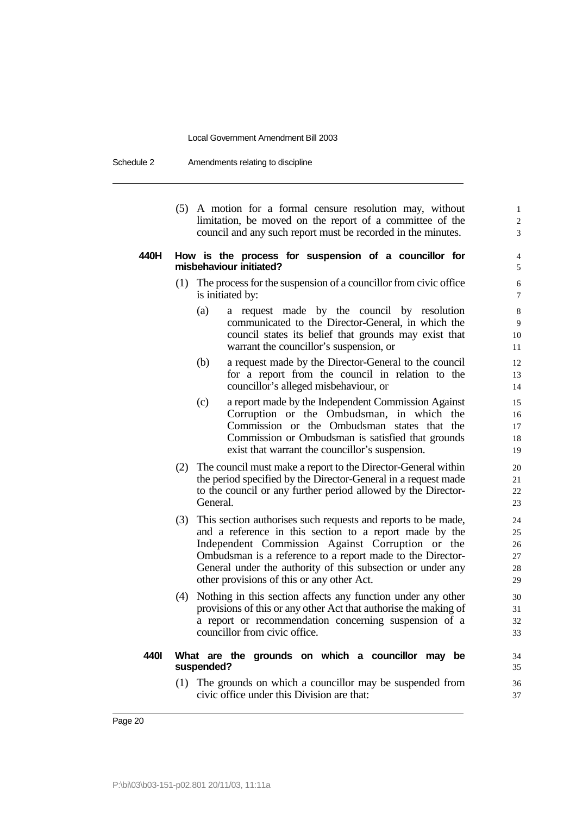Schedule 2 Amendments relating to discipline

(5) A motion for a formal censure resolution may, without 1 limitation, be moved on the report of a committee of the  $\frac{2}{3}$ council and any such report must be recorded in the minutes. 3

#### **440H How is the process for suspension of a councillor for** 4 **misbehaviour initiated?** 5

- (1) The process for the suspension of a councillor from civic office  $\sim$  6 is initiated by:  $\frac{7}{2}$ 
	- (a) a request made by the council by resolution 8 communicated to the Director-General, in which the 9 council states its belief that grounds may exist that 10 warrant the councillor's suspension, or 11
	- (b) a request made by the Director-General to the council 12 for a report from the council in relation to the 13 councillor's alleged misbehaviour, or 14
	- (c) a report made by the Independent Commission Against 15 Corruption or the Ombudsman, in which the 16 Commission or the Ombudsman states that the 17 Commission or Ombudsman is satisfied that grounds 18 exist that warrant the councillor's suspension. 19
- (2) The council must make a report to the Director-General within 20 the period specified by the Director-General in a request made 21 to the council or any further period allowed by the Director- 22 General. 23
- (3) This section authorises such requests and reports to be made, 24 and a reference in this section to a report made by the 25 Independent Commission Against Corruption or the 26 Ombudsman is a reference to a report made to the Director- 27 General under the authority of this subsection or under any 28 other provisions of this or any other Act. 29
- (4) Nothing in this section affects any function under any other 30 provisions of this or any other Act that authorise the making of 31 a report or recommendation concerning suspension of a 32 councillor from civic office.  $\frac{33}{33}$

#### **440I What are the grounds on which a councillor may be** 34 **suspended?** 35

(1) The grounds on which a councillor may be suspended from 36 civic office under this Division are that: 37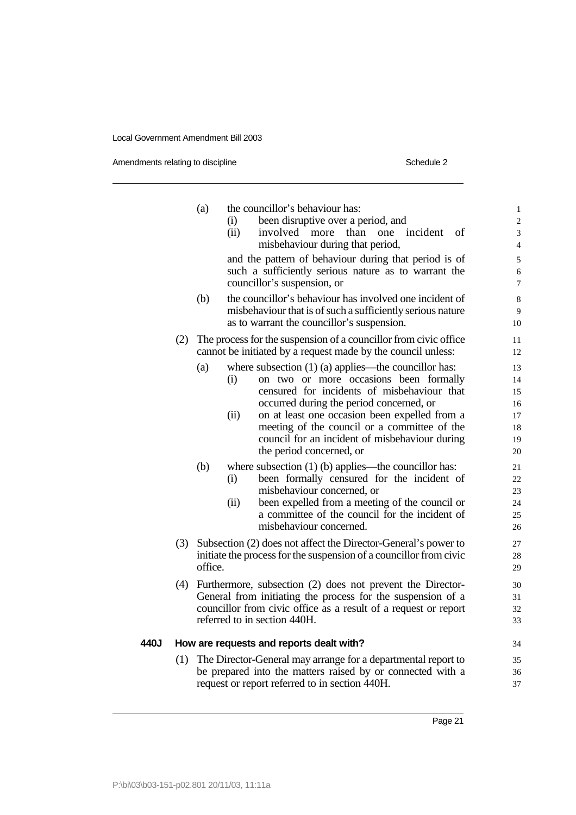| Amendments relating to discipline |  |  |
|-----------------------------------|--|--|
|                                   |  |  |

| Schedule 2 |
|------------|
|------------|

|      |     | (a)     | the councillor's behaviour has:<br>been disruptive over a period, and<br>(i)<br>(ii)<br>than<br>involved more<br>one<br>incident<br>οf<br>misbehaviour during that period,                                                                                                                                                                                                                | $\,1$<br>$\overline{c}$<br>3<br>$\overline{4}$ |
|------|-----|---------|-------------------------------------------------------------------------------------------------------------------------------------------------------------------------------------------------------------------------------------------------------------------------------------------------------------------------------------------------------------------------------------------|------------------------------------------------|
|      |     |         | and the pattern of behaviour during that period is of<br>such a sufficiently serious nature as to warrant the<br>councillor's suspension, or                                                                                                                                                                                                                                              | 5<br>6<br>$\overline{7}$                       |
|      |     | (b)     | the councillor's behaviour has involved one incident of<br>misbehaviour that is of such a sufficiently serious nature<br>as to warrant the councillor's suspension.                                                                                                                                                                                                                       | $\,8\,$<br>9<br>10                             |
|      | (2) |         | The process for the suspension of a councillor from civic office<br>cannot be initiated by a request made by the council unless:                                                                                                                                                                                                                                                          | 11<br>12                                       |
|      |     | (a)     | where subsection $(1)$ (a) applies—the councillor has:<br>on two or more occasions been formally<br>(i)<br>censured for incidents of misbehaviour that<br>occurred during the period concerned, or<br>on at least one occasion been expelled from a<br>(ii)<br>meeting of the council or a committee of the<br>council for an incident of misbehaviour during<br>the period concerned, or | 13<br>14<br>15<br>16<br>17<br>18<br>19<br>20   |
|      |     | (b)     | where subsection $(1)$ (b) applies—the councillor has:<br>been formally censured for the incident of<br>(i)<br>misbehaviour concerned, or<br>(ii)<br>been expelled from a meeting of the council or<br>a committee of the council for the incident of<br>misbehaviour concerned.                                                                                                          | 21<br>22<br>23<br>24<br>25<br>26               |
|      |     | office. | (3) Subsection (2) does not affect the Director-General's power to<br>initiate the process for the suspension of a councillor from civic                                                                                                                                                                                                                                                  | 27<br>28<br>29                                 |
|      | (4) |         | Furthermore, subsection (2) does not prevent the Director-<br>General from initiating the process for the suspension of a<br>councillor from civic office as a result of a request or report<br>referred to in section 440H.                                                                                                                                                              | 30<br>31<br>32<br>33                           |
| 440J |     |         | How are requests and reports dealt with?                                                                                                                                                                                                                                                                                                                                                  | 34                                             |
|      | (1) |         | The Director-General may arrange for a departmental report to<br>be prepared into the matters raised by or connected with a<br>request or report referred to in section 440H.                                                                                                                                                                                                             | 35<br>36<br>37                                 |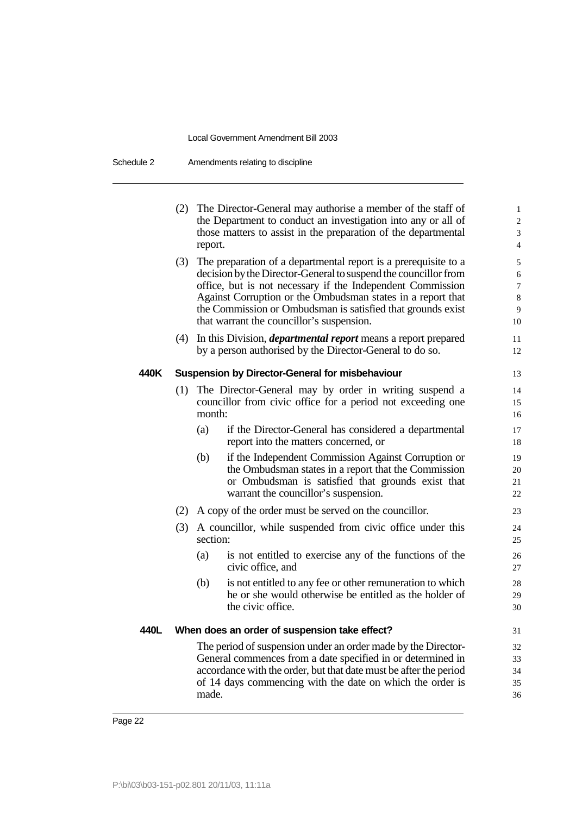Schedule 2 Amendments relating to discipline

| (2) The Director-General may authorise a member of the staff of<br>the Department to conduct an investigation into any or all of<br>those matters to assist in the preparation of the departmental<br>report.<br>(3)<br>The preparation of a departmental report is a prerequisite to a<br>decision by the Director-General to suspend the council lor from<br>office, but is not necessary if the Independent Commission<br>Against Corruption or the Ombudsman states in a report that<br>the Commission or Ombudsman is satisfied that grounds exist<br>that warrant the councillor's suspension.<br>In this Division, <i>departmental report</i> means a report prepared<br>(4)<br>by a person authorised by the Director-General to do so.<br>440K<br><b>Suspension by Director-General for misbehaviour</b><br>The Director-General may by order in writing suspend a<br>(1)<br>councillor from civic office for a period not exceeding one<br>month:<br>(a)<br>if the Director-General has considered a departmental<br>report into the matters concerned, or<br>if the Independent Commission Against Corruption or<br>(b)<br>the Ombudsman states in a report that the Commission<br>or Ombudsman is satisfied that grounds exist that<br>warrant the councillor's suspension.<br>(2) A copy of the order must be served on the council or.<br>(3)<br>A councillor, while suspended from civic office under this<br>section:<br>is not entitled to exercise any of the functions of the<br>(a)<br>civic office, and<br>is not entitled to any fee or other remuneration to which<br>(b)<br>he or she would otherwise be entitled as the holder of<br>the civic office.<br>440L<br>When does an order of suspension take effect?<br>The period of suspension under an order made by the Director-<br>General commences from a date specified in or determined in<br>accordance with the order, but that date must be after the period<br>of 14 days commencing with the date on which the order is |  |  |  |                                          |  |  |  |  |
|------------------------------------------------------------------------------------------------------------------------------------------------------------------------------------------------------------------------------------------------------------------------------------------------------------------------------------------------------------------------------------------------------------------------------------------------------------------------------------------------------------------------------------------------------------------------------------------------------------------------------------------------------------------------------------------------------------------------------------------------------------------------------------------------------------------------------------------------------------------------------------------------------------------------------------------------------------------------------------------------------------------------------------------------------------------------------------------------------------------------------------------------------------------------------------------------------------------------------------------------------------------------------------------------------------------------------------------------------------------------------------------------------------------------------------------------------------------------------------------------------------------------------------------------------------------------------------------------------------------------------------------------------------------------------------------------------------------------------------------------------------------------------------------------------------------------------------------------------------------------------------------------------------------------------------------------------------------------------------------------------------|--|--|--|------------------------------------------|--|--|--|--|
|                                                                                                                                                                                                                                                                                                                                                                                                                                                                                                                                                                                                                                                                                                                                                                                                                                                                                                                                                                                                                                                                                                                                                                                                                                                                                                                                                                                                                                                                                                                                                                                                                                                                                                                                                                                                                                                                                                                                                                                                            |  |  |  | $\mathbf{1}$<br>$\overline{c}$<br>3<br>4 |  |  |  |  |
|                                                                                                                                                                                                                                                                                                                                                                                                                                                                                                                                                                                                                                                                                                                                                                                                                                                                                                                                                                                                                                                                                                                                                                                                                                                                                                                                                                                                                                                                                                                                                                                                                                                                                                                                                                                                                                                                                                                                                                                                            |  |  |  | 5<br>6<br>7<br>8<br>9<br>10              |  |  |  |  |
|                                                                                                                                                                                                                                                                                                                                                                                                                                                                                                                                                                                                                                                                                                                                                                                                                                                                                                                                                                                                                                                                                                                                                                                                                                                                                                                                                                                                                                                                                                                                                                                                                                                                                                                                                                                                                                                                                                                                                                                                            |  |  |  | 11<br>12                                 |  |  |  |  |
|                                                                                                                                                                                                                                                                                                                                                                                                                                                                                                                                                                                                                                                                                                                                                                                                                                                                                                                                                                                                                                                                                                                                                                                                                                                                                                                                                                                                                                                                                                                                                                                                                                                                                                                                                                                                                                                                                                                                                                                                            |  |  |  | 13                                       |  |  |  |  |
|                                                                                                                                                                                                                                                                                                                                                                                                                                                                                                                                                                                                                                                                                                                                                                                                                                                                                                                                                                                                                                                                                                                                                                                                                                                                                                                                                                                                                                                                                                                                                                                                                                                                                                                                                                                                                                                                                                                                                                                                            |  |  |  | 14<br>15<br>16                           |  |  |  |  |
|                                                                                                                                                                                                                                                                                                                                                                                                                                                                                                                                                                                                                                                                                                                                                                                                                                                                                                                                                                                                                                                                                                                                                                                                                                                                                                                                                                                                                                                                                                                                                                                                                                                                                                                                                                                                                                                                                                                                                                                                            |  |  |  | 17<br>18                                 |  |  |  |  |
|                                                                                                                                                                                                                                                                                                                                                                                                                                                                                                                                                                                                                                                                                                                                                                                                                                                                                                                                                                                                                                                                                                                                                                                                                                                                                                                                                                                                                                                                                                                                                                                                                                                                                                                                                                                                                                                                                                                                                                                                            |  |  |  | 19<br>20<br>21<br>22                     |  |  |  |  |
|                                                                                                                                                                                                                                                                                                                                                                                                                                                                                                                                                                                                                                                                                                                                                                                                                                                                                                                                                                                                                                                                                                                                                                                                                                                                                                                                                                                                                                                                                                                                                                                                                                                                                                                                                                                                                                                                                                                                                                                                            |  |  |  | 23                                       |  |  |  |  |
|                                                                                                                                                                                                                                                                                                                                                                                                                                                                                                                                                                                                                                                                                                                                                                                                                                                                                                                                                                                                                                                                                                                                                                                                                                                                                                                                                                                                                                                                                                                                                                                                                                                                                                                                                                                                                                                                                                                                                                                                            |  |  |  | 24<br>25                                 |  |  |  |  |
|                                                                                                                                                                                                                                                                                                                                                                                                                                                                                                                                                                                                                                                                                                                                                                                                                                                                                                                                                                                                                                                                                                                                                                                                                                                                                                                                                                                                                                                                                                                                                                                                                                                                                                                                                                                                                                                                                                                                                                                                            |  |  |  | 26<br>27                                 |  |  |  |  |
|                                                                                                                                                                                                                                                                                                                                                                                                                                                                                                                                                                                                                                                                                                                                                                                                                                                                                                                                                                                                                                                                                                                                                                                                                                                                                                                                                                                                                                                                                                                                                                                                                                                                                                                                                                                                                                                                                                                                                                                                            |  |  |  | 28<br>29<br>30                           |  |  |  |  |
|                                                                                                                                                                                                                                                                                                                                                                                                                                                                                                                                                                                                                                                                                                                                                                                                                                                                                                                                                                                                                                                                                                                                                                                                                                                                                                                                                                                                                                                                                                                                                                                                                                                                                                                                                                                                                                                                                                                                                                                                            |  |  |  |                                          |  |  |  |  |
| made.                                                                                                                                                                                                                                                                                                                                                                                                                                                                                                                                                                                                                                                                                                                                                                                                                                                                                                                                                                                                                                                                                                                                                                                                                                                                                                                                                                                                                                                                                                                                                                                                                                                                                                                                                                                                                                                                                                                                                                                                      |  |  |  | 32<br>33<br>34<br>35<br>36               |  |  |  |  |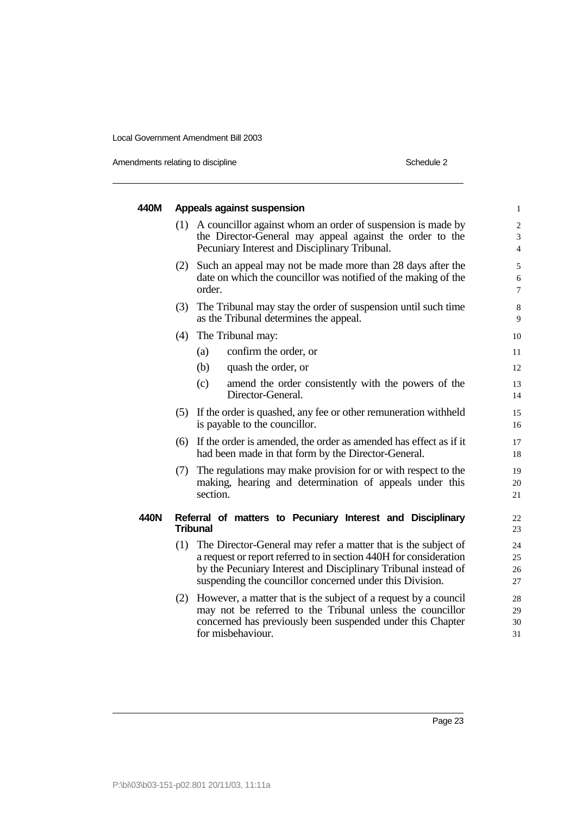Amendments relating to discipline

| Schedule 2 |  |
|------------|--|
|            |  |

| 440M |     | Appeals against suspension                                                                                                                                                                                                                                            | $\mathbf{1}$                        |
|------|-----|-----------------------------------------------------------------------------------------------------------------------------------------------------------------------------------------------------------------------------------------------------------------------|-------------------------------------|
|      | (1) | A councillor against whom an order of suspension is made by<br>the Director-General may appeal against the order to the<br>Pecuniary Interest and Disciplinary Tribunal.                                                                                              | $\mathbf{2}$<br>3<br>$\overline{4}$ |
|      | (2) | Such an appeal may not be made more than 28 days after the<br>date on which the councillor was notified of the making of the<br>order.                                                                                                                                | 5<br>6<br>$\overline{7}$            |
|      |     | (3) The Tribunal may stay the order of suspension until such time<br>as the Tribunal determines the appeal.                                                                                                                                                           | 8<br>9                              |
|      | (4) | The Tribunal may:                                                                                                                                                                                                                                                     | 10                                  |
|      |     | confirm the order, or<br>(a)                                                                                                                                                                                                                                          | 11                                  |
|      |     | (b)<br>quash the order, or                                                                                                                                                                                                                                            | 12                                  |
|      |     | (c)<br>amend the order consistently with the powers of the<br>Director-General.                                                                                                                                                                                       | 13<br>14                            |
|      |     | (5) If the order is quashed, any fee or other remuneration withheld<br>is payable to the councillor.                                                                                                                                                                  | 15<br>16                            |
|      |     | (6) If the order is amended, the order as amended has effect as if it<br>had been made in that form by the Director-General.                                                                                                                                          | 17<br>18                            |
|      | (7) | The regulations may make provision for or with respect to the<br>making, hearing and determination of appeals under this<br>section.                                                                                                                                  | 19<br>20<br>21                      |
| 440N |     | Referral of matters to Pecuniary Interest and Disciplinary<br><b>Tribunal</b>                                                                                                                                                                                         | 22<br>23                            |
|      |     | (1) The Director-General may refer a matter that is the subject of<br>a request or report referred to in section 440H for consideration<br>by the Pecuniary Interest and Disciplinary Tribunal instead of<br>suspending the councillor concerned under this Division. | 24<br>25<br>26<br>27                |
|      | (2) | However, a matter that is the subject of a request by a council<br>may not be referred to the Tribunal unless the councillor<br>concerned has previously been suspended under this Chapter<br>for misbehaviour.                                                       | 28<br>29<br>30<br>31                |
|      |     |                                                                                                                                                                                                                                                                       |                                     |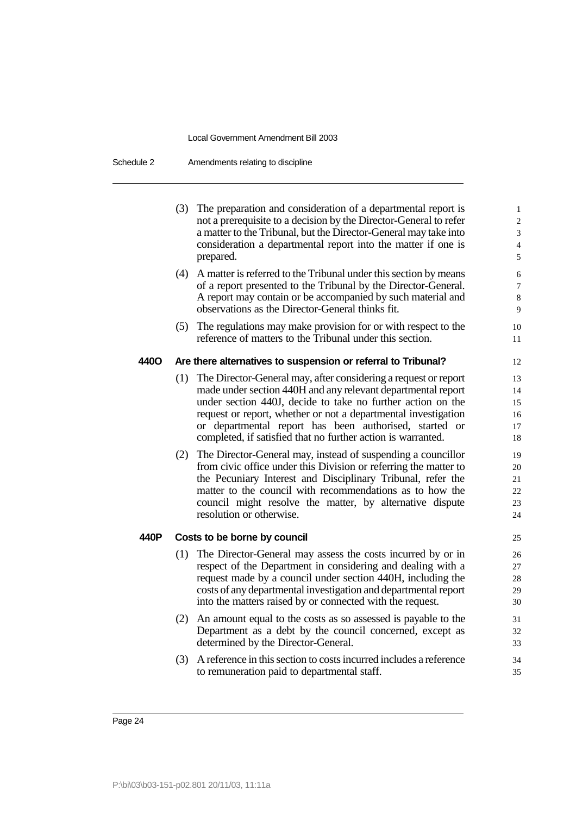Schedule 2 Amendments relating to discipline

|      |     | (3) The preparation and consideration of a departmental report is<br>not a prerequisite to a decision by the Director-General to refer<br>a matter to the Tribunal, but the Director-General may take into<br>consideration a departmental report into the matter if one is<br>prepared.                                                                                                                                                                                                                                                                                                                                                                                                                                                                  | $\mathbf{1}$<br>$\overline{c}$<br>3<br>$\overline{4}$<br>5           |
|------|-----|-----------------------------------------------------------------------------------------------------------------------------------------------------------------------------------------------------------------------------------------------------------------------------------------------------------------------------------------------------------------------------------------------------------------------------------------------------------------------------------------------------------------------------------------------------------------------------------------------------------------------------------------------------------------------------------------------------------------------------------------------------------|----------------------------------------------------------------------|
|      | (4) | A matter is referred to the Tribunal under this section by means<br>of a report presented to the Tribunal by the Director-General.<br>A report may contain or be accompanied by such material and<br>observations as the Director-General thinks fit.                                                                                                                                                                                                                                                                                                                                                                                                                                                                                                     | 6<br>$\overline{7}$<br>8<br>9                                        |
|      |     | (5) The regulations may make provision for or with respect to the<br>reference of matters to the Tribunal under this section.                                                                                                                                                                                                                                                                                                                                                                                                                                                                                                                                                                                                                             | 10<br>11                                                             |
| 440O |     | Are there alternatives to suspension or referral to Tribunal?                                                                                                                                                                                                                                                                                                                                                                                                                                                                                                                                                                                                                                                                                             | 12                                                                   |
|      |     | (1) The Director-General may, after considering a request or report<br>made under section 440H and any relevant departmental report<br>under section 440J, decide to take no further action on the<br>request or report, whether or not a departmental investigation<br>or departmental report has been authorised, started or<br>completed, if satisfied that no further action is warranted.<br>(2) The Director-General may, instead of suspending a councillor<br>from civic office under this Division or referring the matter to<br>the Pecuniary Interest and Disciplinary Tribunal, refer the<br>matter to the council with recommendations as to how the<br>council might resolve the matter, by alternative dispute<br>resolution or otherwise. | 13<br>14<br>15<br>16<br>17<br>18<br>19<br>20<br>21<br>22<br>23<br>24 |
| 440P |     | Costs to be borne by council                                                                                                                                                                                                                                                                                                                                                                                                                                                                                                                                                                                                                                                                                                                              | 25                                                                   |
|      |     | (1) The Director-General may assess the costs incurred by or in<br>respect of the Department in considering and dealing with a<br>request made by a council under section 440H, including the<br>costs of any departmental investigation and departmental report<br>into the matters raised by or connected with the request.                                                                                                                                                                                                                                                                                                                                                                                                                             | 26<br>27<br>28<br>29<br>30                                           |
|      |     | (2) An amount equal to the costs as so assessed is payable to the<br>Department as a debt by the council concerned, except as<br>determined by the Director-General.                                                                                                                                                                                                                                                                                                                                                                                                                                                                                                                                                                                      | 31<br>32<br>33                                                       |
|      |     | (3) A reference in this section to costs incurred includes a reference<br>to remuneration paid to departmental staff.                                                                                                                                                                                                                                                                                                                                                                                                                                                                                                                                                                                                                                     | 34<br>35                                                             |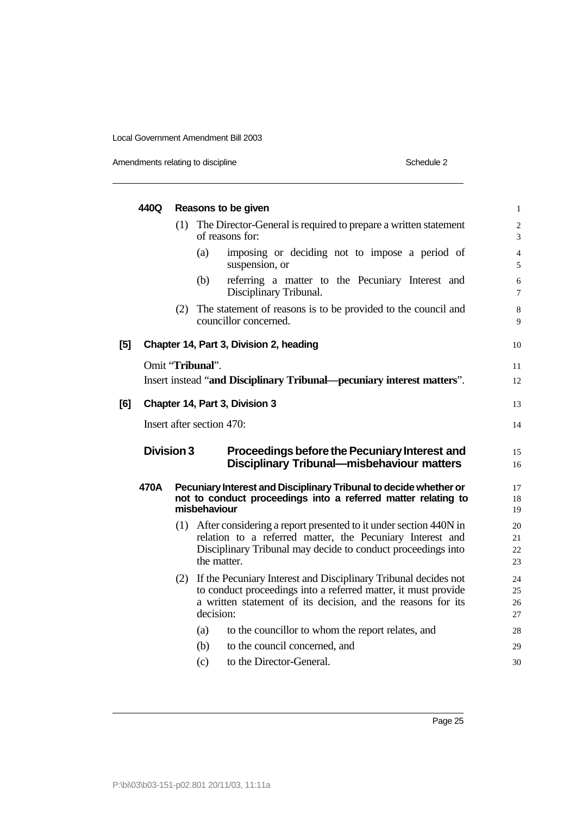Amendments relating to discipline Schedule 2

| 440Q |     | Reasons to be given                                                                                                                                                                                                | $\mathbf{1}$                                                                                                                                                                                                                                                                                   |
|------|-----|--------------------------------------------------------------------------------------------------------------------------------------------------------------------------------------------------------------------|------------------------------------------------------------------------------------------------------------------------------------------------------------------------------------------------------------------------------------------------------------------------------------------------|
|      | (1) | The Director-General is required to prepare a written statement<br>of reasons for:                                                                                                                                 | $\overline{c}$<br>3                                                                                                                                                                                                                                                                            |
|      |     | (a)<br>imposing or deciding not to impose a period of<br>suspension, or                                                                                                                                            | $\overline{4}$<br>5                                                                                                                                                                                                                                                                            |
|      |     | (b)<br>referring a matter to the Pecuniary Interest and<br>Disciplinary Tribunal.                                                                                                                                  | 6<br>$\boldsymbol{7}$                                                                                                                                                                                                                                                                          |
|      |     | councillor concerned.                                                                                                                                                                                              | 8<br>9                                                                                                                                                                                                                                                                                         |
|      |     |                                                                                                                                                                                                                    | 10                                                                                                                                                                                                                                                                                             |
|      |     |                                                                                                                                                                                                                    | 11                                                                                                                                                                                                                                                                                             |
|      |     |                                                                                                                                                                                                                    | 12                                                                                                                                                                                                                                                                                             |
|      |     |                                                                                                                                                                                                                    | 13                                                                                                                                                                                                                                                                                             |
|      |     |                                                                                                                                                                                                                    | 14                                                                                                                                                                                                                                                                                             |
|      |     | Proceedings before the Pecuniary Interest and<br><b>Disciplinary Tribunal-misbehaviour matters</b>                                                                                                                 | 15<br>16                                                                                                                                                                                                                                                                                       |
| 470A |     |                                                                                                                                                                                                                    |                                                                                                                                                                                                                                                                                                |
|      |     | Pecuniary Interest and Disciplinary Tribunal to decide whether or<br>not to conduct proceedings into a referred matter relating to<br>misbehaviour                                                                 | 17<br>18<br>19                                                                                                                                                                                                                                                                                 |
|      |     | (1) After considering a report presented to it under section 440N in<br>relation to a referred matter, the Pecuniary Interest and<br>Disciplinary Tribunal may decide to conduct proceedings into<br>the matter.   | 20<br>21<br>22<br>23                                                                                                                                                                                                                                                                           |
|      |     | (2) If the Pecuniary Interest and Disciplinary Tribunal decides not<br>to conduct proceedings into a referred matter, it must provide<br>a written statement of its decision, and the reasons for its<br>decision: | 24<br>25<br>26<br>27                                                                                                                                                                                                                                                                           |
|      |     | to the councillor to whom the report relates, and<br>(a)                                                                                                                                                           | 28                                                                                                                                                                                                                                                                                             |
|      |     | to the council concerned, and<br>(b)                                                                                                                                                                               | 29                                                                                                                                                                                                                                                                                             |
|      |     |                                                                                                                                                                                                                    | (2) The statement of reasons is to be provided to the council and<br>Chapter 14, Part 3, Division 2, heading<br>Omit "Tribunal".<br>Insert instead "and Disciplinary Tribunal—pecuniary interest matters".<br>Chapter 14, Part 3, Division 3<br>Insert after section 470:<br><b>Division 3</b> |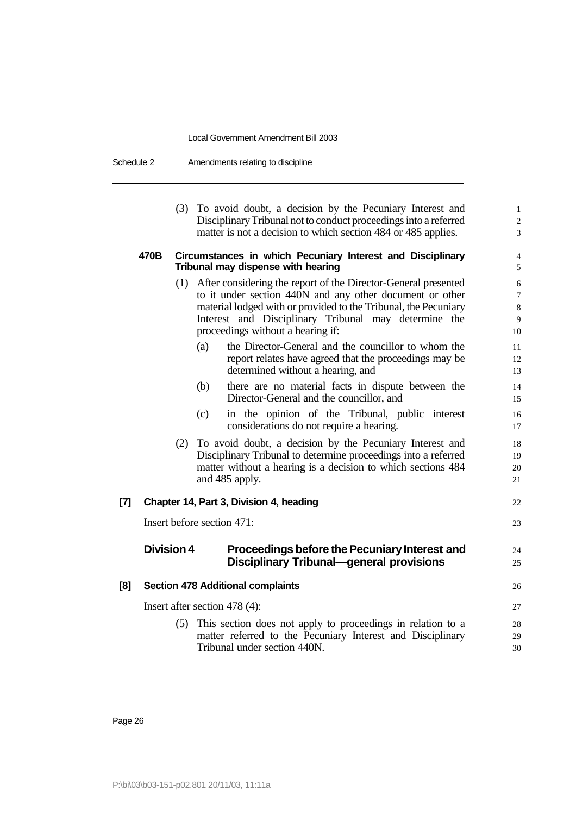Schedule 2 Amendments relating to discipline

|     |                   |     | (3) To avoid doubt, a decision by the Pecuniary Interest and<br>Disciplinary Tribunal not to conduct proceedings into a referred<br>matter is not a decision to which section 484 or 485 applies.                                                                                                                                                                                                                                                                                                                                                                                                                                                                                                                                                                                                                                                                                              | $\mathbf{1}$<br>$\overline{\mathbf{c}}$<br>3                                                          |
|-----|-------------------|-----|------------------------------------------------------------------------------------------------------------------------------------------------------------------------------------------------------------------------------------------------------------------------------------------------------------------------------------------------------------------------------------------------------------------------------------------------------------------------------------------------------------------------------------------------------------------------------------------------------------------------------------------------------------------------------------------------------------------------------------------------------------------------------------------------------------------------------------------------------------------------------------------------|-------------------------------------------------------------------------------------------------------|
|     | 470B              |     | Circumstances in which Pecuniary Interest and Disciplinary<br>Tribunal may dispense with hearing                                                                                                                                                                                                                                                                                                                                                                                                                                                                                                                                                                                                                                                                                                                                                                                               | 4<br>5                                                                                                |
|     |                   |     | (1) After considering the report of the Director-General presented<br>to it under section 440N and any other document or other<br>material lodged with or provided to the Tribunal, the Pecuniary<br>Interest and Disciplinary Tribunal may determine the<br>proceedings without a hearing if:<br>the Director-General and the councillor to whom the<br>(a)<br>report relates have agreed that the proceedings may be<br>determined without a hearing, and<br>(b)<br>there are no material facts in dispute between the<br>Director-General and the councillor, and<br>(c)<br>in the opinion of the Tribunal, public interest<br>considerations do not require a hearing.<br>(2) To avoid doubt, a decision by the Pecuniary Interest and<br>Disciplinary Tribunal to determine proceedings into a referred<br>matter without a hearing is a decision to which sections 484<br>and 485 apply. | 6<br>$\overline{7}$<br>8<br>9<br>10<br>11<br>12<br>13<br>14<br>15<br>16<br>17<br>18<br>19<br>20<br>21 |
| [7] |                   |     | Chapter 14, Part 3, Division 4, heading                                                                                                                                                                                                                                                                                                                                                                                                                                                                                                                                                                                                                                                                                                                                                                                                                                                        | 22                                                                                                    |
|     |                   |     | Insert before section 471:                                                                                                                                                                                                                                                                                                                                                                                                                                                                                                                                                                                                                                                                                                                                                                                                                                                                     | 23                                                                                                    |
|     | <b>Division 4</b> |     | Proceedings before the Pecuniary Interest and<br><b>Disciplinary Tribunal-general provisions</b>                                                                                                                                                                                                                                                                                                                                                                                                                                                                                                                                                                                                                                                                                                                                                                                               | 24<br>25                                                                                              |
| [8] |                   |     | <b>Section 478 Additional complaints</b>                                                                                                                                                                                                                                                                                                                                                                                                                                                                                                                                                                                                                                                                                                                                                                                                                                                       | 26                                                                                                    |
|     |                   |     | Insert after section 478 (4):                                                                                                                                                                                                                                                                                                                                                                                                                                                                                                                                                                                                                                                                                                                                                                                                                                                                  | 27                                                                                                    |
|     |                   | (5) | This section does not apply to proceedings in relation to a<br>matter referred to the Pecuniary Interest and Disciplinary<br>Tribunal under section 440N.                                                                                                                                                                                                                                                                                                                                                                                                                                                                                                                                                                                                                                                                                                                                      | 28<br>29<br>30                                                                                        |
|     |                   |     |                                                                                                                                                                                                                                                                                                                                                                                                                                                                                                                                                                                                                                                                                                                                                                                                                                                                                                |                                                                                                       |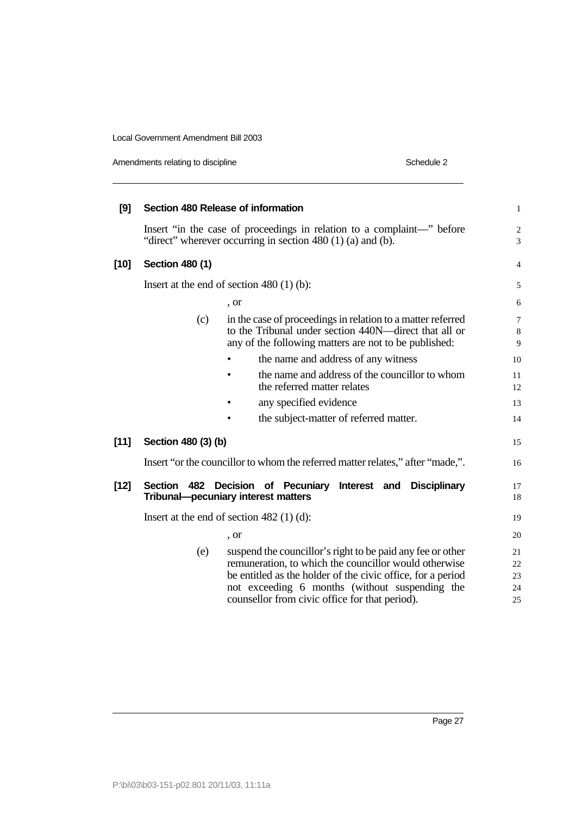Amendments relating to discipline

| Schedule 2 |  |
|------------|--|

| [9]    | Section 480 Release of information |                                                                                                                                                                                                                                                                                         | $\mathbf{1}$                   |
|--------|------------------------------------|-----------------------------------------------------------------------------------------------------------------------------------------------------------------------------------------------------------------------------------------------------------------------------------------|--------------------------------|
|        |                                    | Insert "in the case of proceedings in relation to a complaint-" before<br>"direct" wherever occurring in section 480 (1) (a) and (b).                                                                                                                                                   | $\sqrt{2}$<br>3                |
| $[10]$ | Section 480 (1)                    |                                                                                                                                                                                                                                                                                         | $\overline{4}$                 |
|        |                                    | Insert at the end of section $480(1)(b)$ :                                                                                                                                                                                                                                              | 5                              |
|        |                                    | , or                                                                                                                                                                                                                                                                                    | 6                              |
|        | (c)                                | in the case of proceedings in relation to a matter referred<br>to the Tribunal under section 440N-direct that all or<br>any of the following matters are not to be published:                                                                                                           | $\overline{7}$<br>$\,8\,$<br>9 |
|        |                                    | the name and address of any witness                                                                                                                                                                                                                                                     | 10                             |
|        |                                    | the name and address of the councillor to whom<br>the referred matter relates                                                                                                                                                                                                           | 11<br>12                       |
|        |                                    | any specified evidence                                                                                                                                                                                                                                                                  | 13                             |
|        |                                    | the subject-matter of referred matter.                                                                                                                                                                                                                                                  | 14                             |
| $[11]$ | Section 480 (3) (b)                |                                                                                                                                                                                                                                                                                         | 15                             |
|        |                                    | Insert "or the councillor to whom the referred matter relates," after "made,".                                                                                                                                                                                                          | 16                             |
| $[12]$ | <b>Section</b><br>482              | Decision of Pecuniary<br>Interest and<br><b>Disciplinary</b><br>Tribunal-pecuniary interest matters                                                                                                                                                                                     | 17<br>18                       |
|        |                                    | Insert at the end of section $482$ (1) (d):                                                                                                                                                                                                                                             | 19                             |
|        |                                    | , or                                                                                                                                                                                                                                                                                    | 20                             |
|        | (e)                                | suspend the council lor's right to be paid any fee or other<br>remuneration, to which the councillor would otherwise<br>be entitled as the holder of the civic office, for a period<br>not exceeding 6 months (without suspending the<br>counsellor from civic office for that period). | 21<br>22<br>23<br>24<br>25     |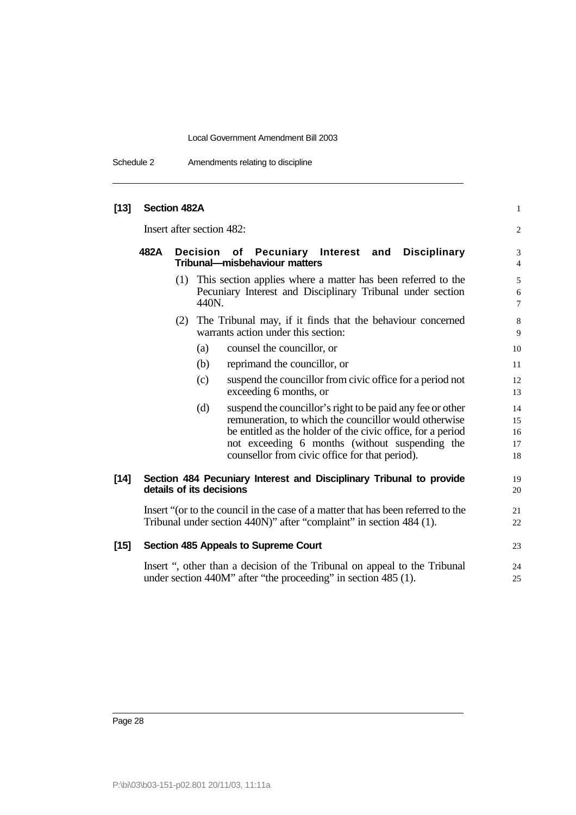Schedule 2 Amendments relating to discipline

| $[13]$ | <b>Section 482A</b>       |                                                                                                                                                                                                                                                                                         | 1                          |
|--------|---------------------------|-----------------------------------------------------------------------------------------------------------------------------------------------------------------------------------------------------------------------------------------------------------------------------------------|----------------------------|
|        | Insert after section 482: |                                                                                                                                                                                                                                                                                         | $\overline{c}$             |
|        | 482A<br><b>Decision</b>   | of Pecuniary Interest and Disciplinary<br>Tribunal-misbehaviour matters                                                                                                                                                                                                                 | 3<br>$\overline{4}$        |
|        |                           | (1) This section applies where a matter has been referred to the<br>Pecuniary Interest and Disciplinary Tribunal under section<br>440N.                                                                                                                                                 | 5<br>6<br>$\overline{7}$   |
|        |                           | (2) The Tribunal may, if it finds that the behaviour concerned<br>warrants action under this section:                                                                                                                                                                                   | 8<br>9                     |
|        | (a)                       | counsel the councillor, or                                                                                                                                                                                                                                                              | 10                         |
|        | (b)                       | reprimand the councillor, or                                                                                                                                                                                                                                                            | 11                         |
|        | (c)                       | suspend the councillor from civic office for a period not<br>exceeding 6 months, or                                                                                                                                                                                                     | 12<br>13                   |
|        | (d)                       | suspend the council lor's right to be paid any fee or other<br>remuneration, to which the councillor would otherwise<br>be entitled as the holder of the civic office, for a period<br>not exceeding 6 months (without suspending the<br>counsellor from civic office for that period). | 14<br>15<br>16<br>17<br>18 |
| $[14]$ | details of its decisions  | Section 484 Pecuniary Interest and Disciplinary Tribunal to provide                                                                                                                                                                                                                     | 19<br>20                   |
|        |                           | Insert "(or to the council in the case of a matter that has been referred to the<br>Tribunal under section 440N)" after "complaint" in section 484 (1).                                                                                                                                 | 21<br>22                   |
| $[15]$ |                           | Section 485 Appeals to Supreme Court                                                                                                                                                                                                                                                    | 23                         |
|        |                           | Insert ", other than a decision of the Tribunal on appeal to the Tribunal<br>under section 440M" after "the proceeding" in section 485 (1).                                                                                                                                             | 24<br>25                   |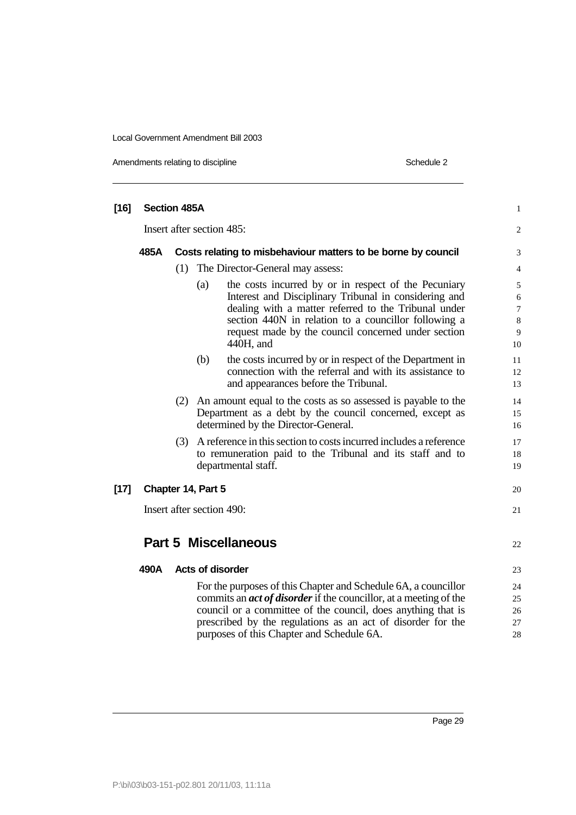Amendments relating to discipline Schedule 2

| $[16]$ | <b>Section 485A</b> |     |                                                                                                                                                                                                                                                                                                                        | $\mathbf{1}$                      |
|--------|---------------------|-----|------------------------------------------------------------------------------------------------------------------------------------------------------------------------------------------------------------------------------------------------------------------------------------------------------------------------|-----------------------------------|
|        |                     |     | Insert after section 485:                                                                                                                                                                                                                                                                                              | $\overline{2}$                    |
|        | 485A                |     | Costs relating to misbehaviour matters to be borne by council                                                                                                                                                                                                                                                          | 3                                 |
|        |                     | (1) | The Director-General may assess:                                                                                                                                                                                                                                                                                       | 4                                 |
|        |                     |     | the costs incurred by or in respect of the Pecuniary<br>(a)<br>Interest and Disciplinary Tribunal in considering and<br>dealing with a matter referred to the Tribunal under                                                                                                                                           | 5<br>$\sqrt{6}$<br>$\overline{7}$ |
|        |                     |     | section 440N in relation to a councillor following a<br>request made by the council concerned under section<br>440H, and                                                                                                                                                                                               | $8\,$<br>9<br>10                  |
|        |                     |     | the costs incurred by or in respect of the Department in<br>(b)<br>connection with the referral and with its assistance to<br>and appearances before the Tribunal.                                                                                                                                                     | 11<br>12<br>13                    |
|        |                     |     | (2) An amount equal to the costs as so assessed is payable to the<br>Department as a debt by the council concerned, except as<br>determined by the Director-General.                                                                                                                                                   | 14<br>15<br>16                    |
|        |                     | (3) | A reference in this section to costs incurred includes a reference<br>to remuneration paid to the Tribunal and its staff and to<br>departmental staff.                                                                                                                                                                 | 17<br>18<br>19                    |
| $[17]$ |                     |     | Chapter 14, Part 5                                                                                                                                                                                                                                                                                                     | 20                                |
|        |                     |     | Insert after section 490:                                                                                                                                                                                                                                                                                              | 21                                |
|        |                     |     | <b>Part 5 Miscellaneous</b>                                                                                                                                                                                                                                                                                            | 22                                |
|        | 490A                |     | <b>Acts of disorder</b>                                                                                                                                                                                                                                                                                                | 23                                |
|        |                     |     | For the purposes of this Chapter and Schedule 6A, a councillor<br>commits an <i>act of disorder</i> if the councillor, at a meeting of the<br>council or a committee of the council, does anything that is<br>prescribed by the regulations as an act of disorder for the<br>purposes of this Chapter and Schedule 6A. | 24<br>25<br>26<br>27<br>28        |
|        |                     |     |                                                                                                                                                                                                                                                                                                                        |                                   |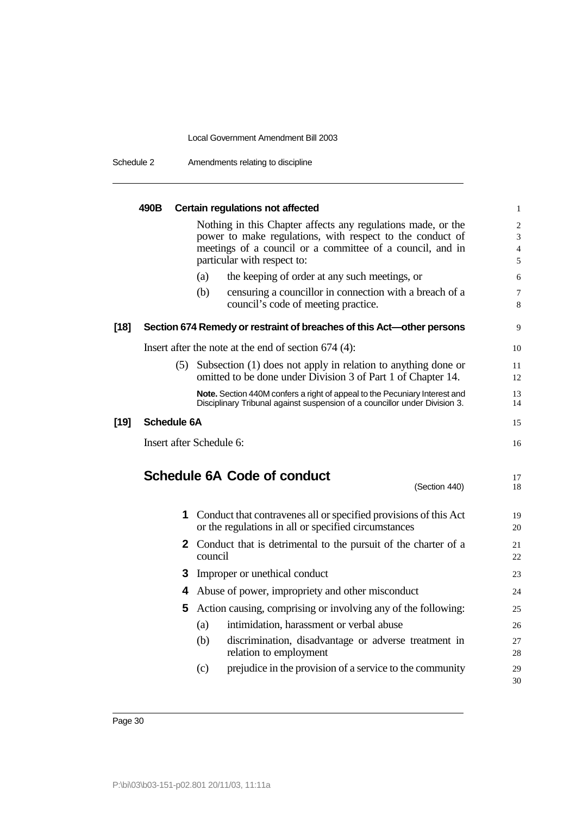Schedule 2 Amendments relating to discipline

|        | 490B               | <b>Certain regulations not affected</b>                                                                                                                                                                               | $\mathbf{1}$                                            |
|--------|--------------------|-----------------------------------------------------------------------------------------------------------------------------------------------------------------------------------------------------------------------|---------------------------------------------------------|
|        |                    | Nothing in this Chapter affects any regulations made, or the<br>power to make regulations, with respect to the conduct of<br>meetings of a council or a committee of a council, and in<br>particular with respect to: | $\overline{2}$<br>$\overline{3}$<br>$\overline{4}$<br>5 |
|        |                    | the keeping of order at any such meetings, or<br>(a)                                                                                                                                                                  | 6                                                       |
|        |                    | censuring a councillor in connection with a breach of a<br>(b)<br>council's code of meeting practice.                                                                                                                 | 7<br>8                                                  |
| $[18]$ |                    | Section 674 Remedy or restraint of breaches of this Act-other persons                                                                                                                                                 | 9                                                       |
|        |                    | Insert after the note at the end of section $674$ (4):                                                                                                                                                                | 10                                                      |
|        |                    | (5) Subsection (1) does not apply in relation to anything done or<br>omitted to be done under Division 3 of Part 1 of Chapter 14.                                                                                     | 11<br>12                                                |
|        |                    | Note. Section 440M confers a right of appeal to the Pecuniary Interest and<br>Disciplinary Tribunal against suspension of a councillor under Division 3.                                                              | 13<br>14                                                |
| $[19]$ | <b>Schedule 6A</b> |                                                                                                                                                                                                                       | 15                                                      |
|        |                    | Insert after Schedule 6:                                                                                                                                                                                              | 16                                                      |
|        |                    | <b>Schedule 6A Code of conduct</b><br>(Section 440)                                                                                                                                                                   | 17<br>18                                                |
|        |                    | <b>1</b> Conduct that contravenes all or specified provisions of this Act<br>or the regulations in all or specified circumstances                                                                                     | 19<br>20                                                |
|        |                    | <b>2</b> Conduct that is detrimental to the pursuit of the charter of a<br>council                                                                                                                                    | 21<br>22                                                |
|        | 3.                 | Improper or unethical conduct                                                                                                                                                                                         | 23                                                      |
|        |                    | 4 Abuse of power, impropriety and other misconduct                                                                                                                                                                    | 24                                                      |
|        | 5.                 | Action causing, comprising or involving any of the following:                                                                                                                                                         | 25                                                      |
|        |                    | intimidation, harassment or verbal abuse<br>(a)                                                                                                                                                                       | 26                                                      |
|        |                    | (b)<br>discrimination, disadvantage or adverse treatment in<br>relation to employment                                                                                                                                 | 27<br>28                                                |
|        |                    | prejudice in the provision of a service to the community<br>(c)                                                                                                                                                       | 29<br>30                                                |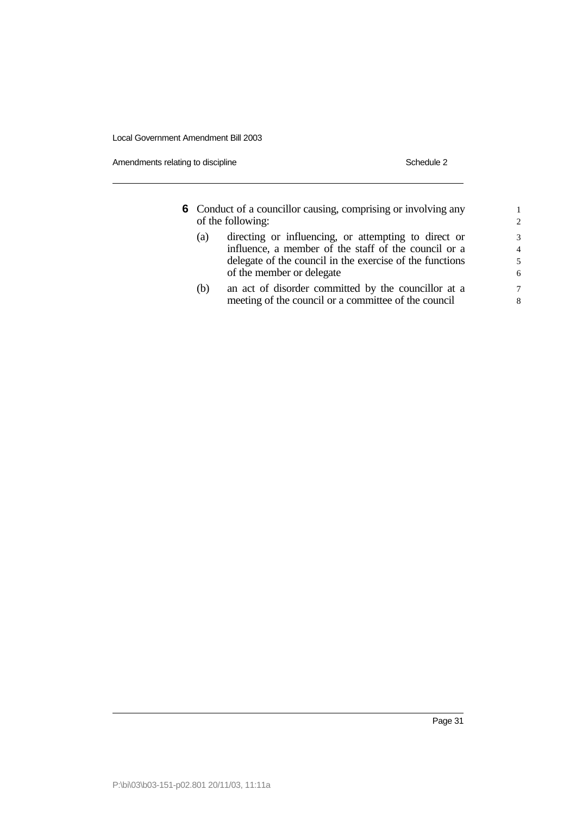Amendments relating to discipline Schedule 2

| <b>6</b> Conduct of a councillor causing, comprising or involving any<br>of the following: |                                                          |                |
|--------------------------------------------------------------------------------------------|----------------------------------------------------------|----------------|
| (a)                                                                                        | directing or influencing, or attempting to direct or     | 3              |
|                                                                                            | influence, a member of the staff of the council or a     | $\overline{4}$ |
|                                                                                            | delegate of the council in the exercise of the functions | 5              |
|                                                                                            | of the member or delegate                                | 6              |
| (b)                                                                                        | an act of disorder committed by the councillor at a      | $\overline{7}$ |
|                                                                                            | meeting of the council or a committee of the council     | 8              |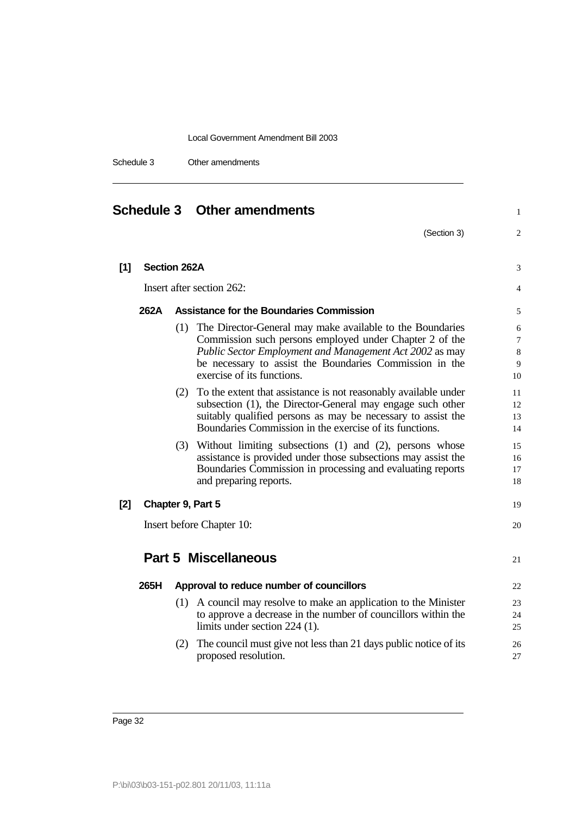| Schedule 3 | Other amendments |
|------------|------------------|
|            |                  |

| <b>Schedule 3 Other amendments</b> |                     |     | $\mathbf{1}$                                                                                                                                                                                                                                                                 |                        |
|------------------------------------|---------------------|-----|------------------------------------------------------------------------------------------------------------------------------------------------------------------------------------------------------------------------------------------------------------------------------|------------------------|
|                                    |                     |     | (Section 3)                                                                                                                                                                                                                                                                  | 2                      |
| [1]                                | <b>Section 262A</b> |     |                                                                                                                                                                                                                                                                              | 3                      |
|                                    |                     |     | Insert after section 262:                                                                                                                                                                                                                                                    | 4                      |
|                                    | 262A                |     | <b>Assistance for the Boundaries Commission</b>                                                                                                                                                                                                                              | 5                      |
|                                    |                     |     | (1) The Director-General may make available to the Boundaries<br>Commission such persons employed under Chapter 2 of the<br>Public Sector Employment and Management Act 2002 as may<br>be necessary to assist the Boundaries Commission in the<br>exercise of its functions. | 6<br>7<br>8<br>9<br>10 |
|                                    |                     | (2) | To the extent that assistance is not reasonably available under<br>subsection (1), the Director-General may engage such other<br>suitably qualified persons as may be necessary to assist the<br>Boundaries Commission in the exercise of its functions.                     | 11<br>12<br>13<br>14   |
|                                    |                     |     | (3) Without limiting subsections (1) and (2), persons whose<br>assistance is provided under those subsections may assist the<br>Boundaries Commission in processing and evaluating reports<br>and preparing reports.                                                         | 15<br>16<br>17<br>18   |
| $[2]$                              |                     |     | Chapter 9, Part 5                                                                                                                                                                                                                                                            | 19                     |
|                                    |                     |     | Insert before Chapter 10:                                                                                                                                                                                                                                                    | 20                     |
|                                    |                     |     | <b>Part 5 Miscellaneous</b>                                                                                                                                                                                                                                                  | 21                     |
|                                    | 265H                |     | Approval to reduce number of councillors                                                                                                                                                                                                                                     | 22                     |
|                                    |                     |     | (1) A council may resolve to make an application to the Minister<br>to approve a decrease in the number of councillors within the<br>limits under section 224 (1).                                                                                                           | 23<br>24<br>25         |
|                                    |                     |     | (2) The council must give not less than 21 days public notice of its<br>proposed resolution.                                                                                                                                                                                 | 26<br>27               |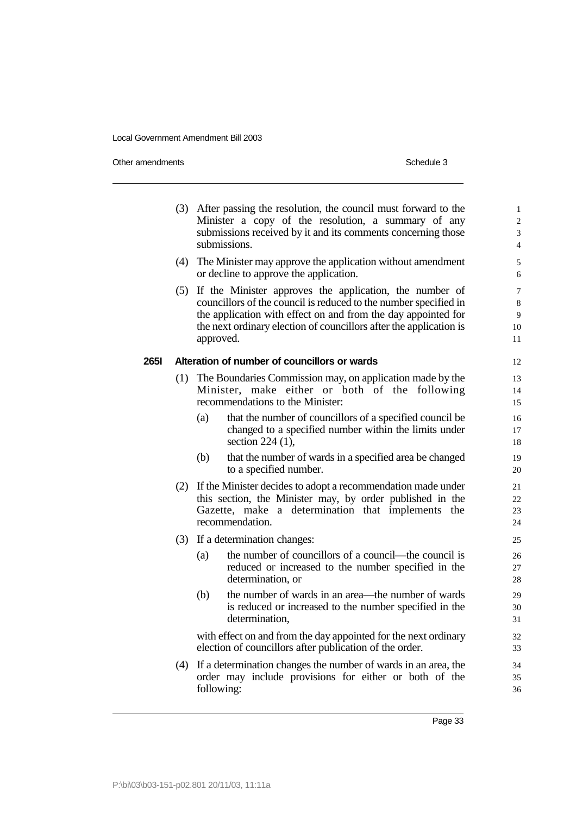Other amendments Schedule 3

|      | (3) |           | After passing the resolution, the council must forward to the<br>Minister a copy of the resolution, a summary of any<br>submissions received by it and its comments concerning those<br>submissions.                                                               | $\mathbf{1}$<br>$\overline{c}$<br>3<br>4 |
|------|-----|-----------|--------------------------------------------------------------------------------------------------------------------------------------------------------------------------------------------------------------------------------------------------------------------|------------------------------------------|
|      | (4) |           | The Minister may approve the application without amendment<br>or decline to approve the application.                                                                                                                                                               | 5<br>6                                   |
|      | (5) | approved. | If the Minister approves the application, the number of<br>councillors of the council is reduced to the number specified in<br>the application with effect on and from the day appointed for<br>the next ordinary election of councillors after the application is | 7<br>8<br>9<br>10<br>11                  |
| 265I |     |           | Alteration of number of councillors or wards                                                                                                                                                                                                                       | 12                                       |
|      | (1) |           | The Boundaries Commission may, on application made by the<br>Minister, make either or both of the following<br>recommendations to the Minister:                                                                                                                    | 13<br>14<br>15                           |
|      |     | (a)       | that the number of councillors of a specified council be<br>changed to a specified number within the limits under<br>section $224$ (1),                                                                                                                            | 16<br>17<br>18                           |
|      |     | (b)       | that the number of wards in a specified area be changed<br>to a specified number.                                                                                                                                                                                  | 19<br>20                                 |
|      | (2) |           | If the Minister decides to adopt a recommendation made under<br>this section, the Minister may, by order published in the<br>Gazette, make a determination that implements the<br>recommendation.                                                                  | 21<br>22<br>23<br>24                     |
|      | (3) |           | If a determination changes:                                                                                                                                                                                                                                        | 25                                       |
|      |     | (a)       | the number of councillors of a council—the council is<br>reduced or increased to the number specified in the<br>determination, or                                                                                                                                  | 26<br>27<br>28                           |
|      |     | (b)       | the number of wards in an area—the number of wards<br>is reduced or increased to the number specified in the<br>determination,                                                                                                                                     | 29<br>30<br>31                           |
|      |     |           | with effect on and from the day appointed for the next ordinary<br>election of councillors after publication of the order.                                                                                                                                         | 32<br>33                                 |
|      | (4) |           | If a determination changes the number of wards in an area, the<br>order may include provisions for either or both of the<br>following:                                                                                                                             | 34<br>35<br>36                           |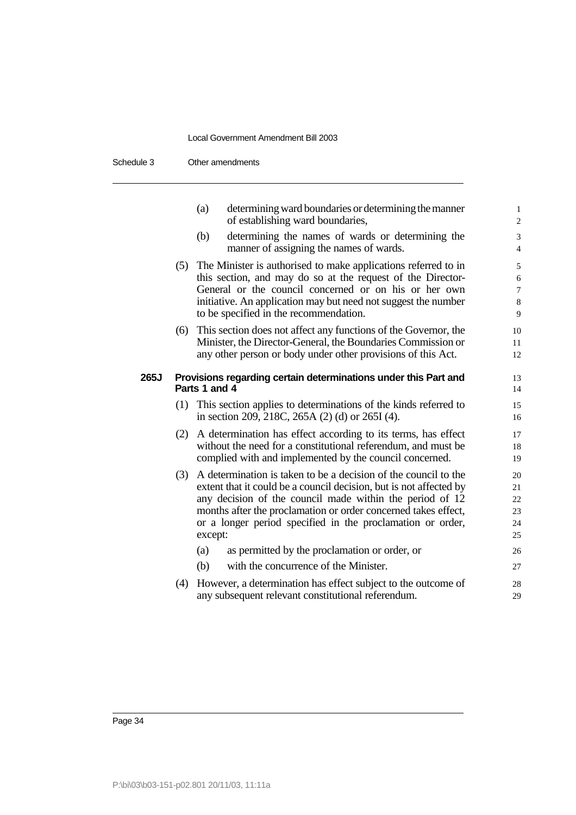| Schedule 3 | Other amendments |
|------------|------------------|
|------------|------------------|

|      |               | determining ward boundaries or determining the manner<br>(a)<br>of establishing ward boundaries,                                | $\mathbf{1}$<br>$\overline{\mathbf{c}}$ |  |  |  |  |
|------|---------------|---------------------------------------------------------------------------------------------------------------------------------|-----------------------------------------|--|--|--|--|
|      |               | (b)<br>determining the names of wards or determining the<br>manner of assigning the names of wards.                             | 3<br>$\overline{4}$                     |  |  |  |  |
|      | (5)           | The Minister is authorised to make applications referred to in                                                                  | 5                                       |  |  |  |  |
|      |               | this section, and may do so at the request of the Director-                                                                     | 6                                       |  |  |  |  |
|      |               | General or the council concerned or on his or her own                                                                           | 7                                       |  |  |  |  |
|      |               | initiative. An application may but need not suggest the number<br>to be specified in the recommendation.                        | 8<br>9                                  |  |  |  |  |
|      |               |                                                                                                                                 |                                         |  |  |  |  |
|      | (6)           | This section does not affect any functions of the Governor, the<br>Minister, the Director-General, the Boundaries Commission or | 10                                      |  |  |  |  |
|      |               | any other person or body under other provisions of this Act.                                                                    | 11<br>12                                |  |  |  |  |
|      |               |                                                                                                                                 |                                         |  |  |  |  |
| 265J |               | Provisions regarding certain determinations under this Part and                                                                 | 13                                      |  |  |  |  |
|      | Parts 1 and 4 |                                                                                                                                 |                                         |  |  |  |  |
|      | (1)           | This section applies to determinations of the kinds referred to                                                                 | 15                                      |  |  |  |  |
|      |               | in section 209, 218C, 265A (2) (d) or 265I (4).                                                                                 | 16                                      |  |  |  |  |
|      | (2)           | A determination has effect according to its terms, has effect                                                                   | 17                                      |  |  |  |  |
|      |               | without the need for a constitutional referendum, and must be                                                                   | 18                                      |  |  |  |  |
|      |               | complied with and implemented by the council concerned.                                                                         | 19                                      |  |  |  |  |
|      | (3)           | A determination is taken to be a decision of the council to the                                                                 | 20                                      |  |  |  |  |
|      |               | extent that it could be a council decision, but is not affected by                                                              | 21                                      |  |  |  |  |
|      |               | any decision of the council made within the period of 12                                                                        | 22                                      |  |  |  |  |
|      |               | months after the proclamation or order concerned takes effect,                                                                  | 23                                      |  |  |  |  |
|      |               | or a longer period specified in the proclamation or order,                                                                      | 24                                      |  |  |  |  |
|      |               | except:                                                                                                                         | 25                                      |  |  |  |  |
|      |               | as permitted by the proclamation or order, or<br>(a)                                                                            | 26                                      |  |  |  |  |
|      |               | (b)<br>with the concurrence of the Minister.                                                                                    | 27                                      |  |  |  |  |
|      | (4)           | However, a determination has effect subject to the outcome of                                                                   | 28                                      |  |  |  |  |
|      |               | any subsequent relevant constitutional referendum.                                                                              | 29                                      |  |  |  |  |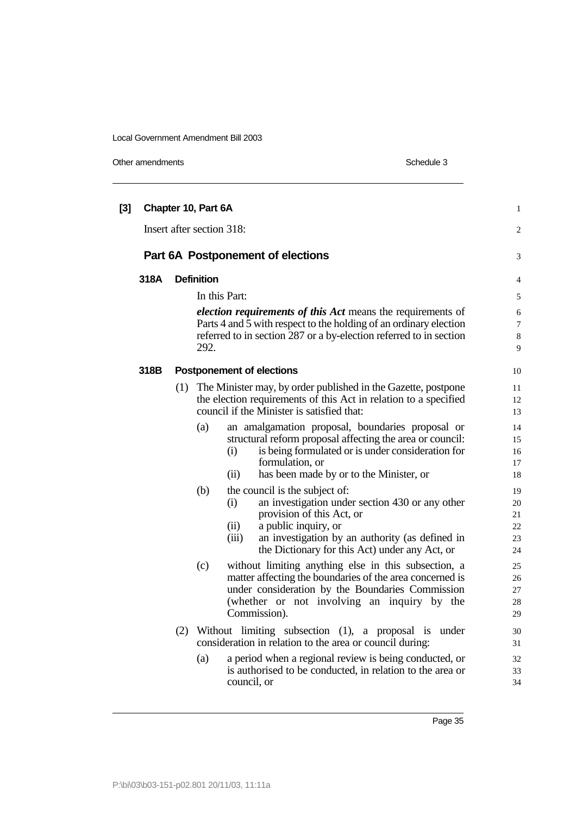Other amendments Schedule 3

| [3] |      |     | Chapter 10, Part 6A                                                                                                                                                                                                                                                        | $\mathbf{1}$                          |
|-----|------|-----|----------------------------------------------------------------------------------------------------------------------------------------------------------------------------------------------------------------------------------------------------------------------------|---------------------------------------|
|     |      |     | Insert after section 318:                                                                                                                                                                                                                                                  | 2                                     |
|     |      |     | Part 6A Postponement of elections                                                                                                                                                                                                                                          | 3                                     |
|     | 318A |     | <b>Definition</b>                                                                                                                                                                                                                                                          | $\overline{4}$                        |
|     |      |     | In this Part:                                                                                                                                                                                                                                                              | 5                                     |
|     |      |     | election requirements of this Act means the requirements of<br>Parts 4 and 5 with respect to the holding of an ordinary election<br>referred to in section 287 or a by-election referred to in section<br>292.                                                             | 6<br>$\tau$<br>$\,8\,$<br>$\mathbf Q$ |
|     | 318B |     | <b>Postponement of elections</b>                                                                                                                                                                                                                                           | 10                                    |
|     |      | (1) | The Minister may, by order published in the Gazette, postpone<br>the election requirements of this Act in relation to a specified<br>council if the Minister is satisfied that:                                                                                            | 11<br>12<br>13                        |
|     |      |     | (a)<br>an amalgamation proposal, boundaries proposal or<br>structural reform proposal affecting the area or council:<br>is being formulated or is under consideration for<br>(i)<br>formulation, or<br>has been made by or to the Minister, or<br>(ii)                     | 14<br>15<br>16<br>17<br>18            |
|     |      |     | (b)<br>the council is the subject of:<br>(i)<br>an investigation under section 430 or any other<br>provision of this Act, or<br>a public inquiry, or<br>(ii)<br>an investigation by an authority (as defined in<br>(iii)<br>the Dictionary for this Act) under any Act, or | 19<br>20<br>21<br>22<br>23<br>24      |
|     |      |     | (c)<br>without limiting anything else in this subsection, a<br>matter affecting the boundaries of the area concerned is<br>under consideration by the Boundaries Commission<br>(whether or not involving an inquiry by the<br>Commission).                                 | 25<br>26<br>27<br>28<br>29            |
|     |      | (2) | Without limiting subsection (1), a proposal is under<br>consideration in relation to the area or council during:<br>a period when a regional review is being conducted, or<br>(a)<br>is authorised to be conducted, in relation to the area or<br>council, or              | 30<br>31<br>32<br>33<br>34            |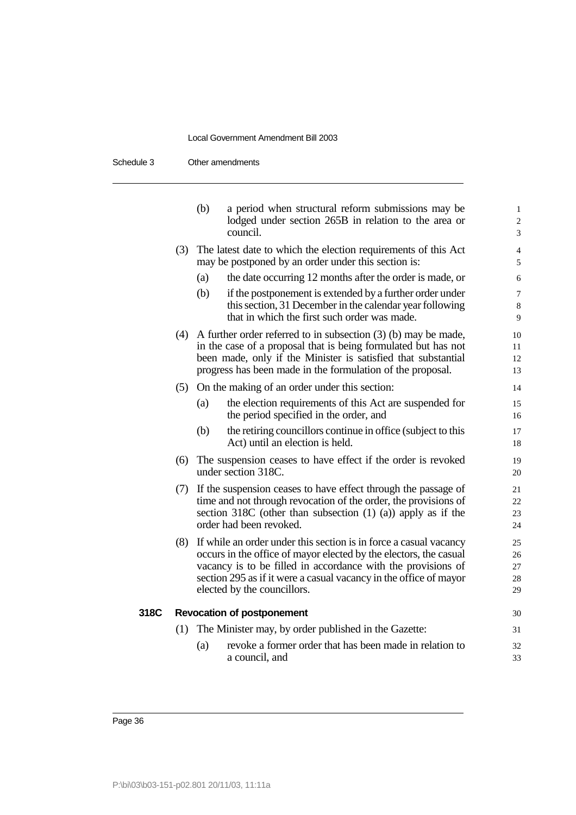|      |     | (b) | a period when structural reform submissions may be<br>lodged under section 265B in relation to the area or<br>council.                                                                                                                                                                                     | $\mathbf{1}$<br>$\overline{c}$<br>3 |
|------|-----|-----|------------------------------------------------------------------------------------------------------------------------------------------------------------------------------------------------------------------------------------------------------------------------------------------------------------|-------------------------------------|
|      | (3) |     | The latest date to which the election requirements of this Act<br>may be postponed by an order under this section is:                                                                                                                                                                                      | $\overline{4}$<br>5                 |
|      |     | (a) | the date occurring 12 months after the order is made, or                                                                                                                                                                                                                                                   | 6                                   |
|      |     | (b) | if the postponement is extended by a further order under<br>this section, 31 December in the calendar year following<br>that in which the first such order was made.                                                                                                                                       | $\overline{7}$<br>8<br>9            |
|      |     |     | $(4)$ A further order referred to in subsection $(3)$ (b) may be made,<br>in the case of a proposal that is being formulated but has not<br>been made, only if the Minister is satisfied that substantial<br>progress has been made in the formulation of the proposal.                                    | 10<br>11<br>12<br>13                |
|      | (5) |     | On the making of an order under this section:                                                                                                                                                                                                                                                              | 14                                  |
|      |     | (a) | the election requirements of this Act are suspended for<br>the period specified in the order, and                                                                                                                                                                                                          | 15<br>16                            |
|      |     | (b) | the retiring councillors continue in office (subject to this<br>Act) until an election is held.                                                                                                                                                                                                            | 17<br>18                            |
|      | (6) |     | The suspension ceases to have effect if the order is revoked<br>under section 318C.                                                                                                                                                                                                                        | 19<br>20                            |
|      | (7) |     | If the suspension ceases to have effect through the passage of<br>time and not through revocation of the order, the provisions of<br>section $318C$ (other than subsection $(1)$ $(a)$ ) apply as if the<br>order had been revoked.                                                                        | 21<br>22<br>23<br>24                |
|      | (8) |     | If while an order under this section is in force a casual vacancy<br>occurs in the office of mayor elected by the electors, the casual<br>vacancy is to be filled in accordance with the provisions of<br>section 295 as if it were a casual vacancy in the office of mayor<br>elected by the councillors. | 25<br>26<br>27<br>28<br>29          |
| 318C |     |     | <b>Revocation of postponement</b>                                                                                                                                                                                                                                                                          | 30                                  |
|      | (1) |     | The Minister may, by order published in the Gazette:                                                                                                                                                                                                                                                       | 31                                  |
|      |     | (a) | revoke a former order that has been made in relation to<br>a council, and                                                                                                                                                                                                                                  | 32<br>33                            |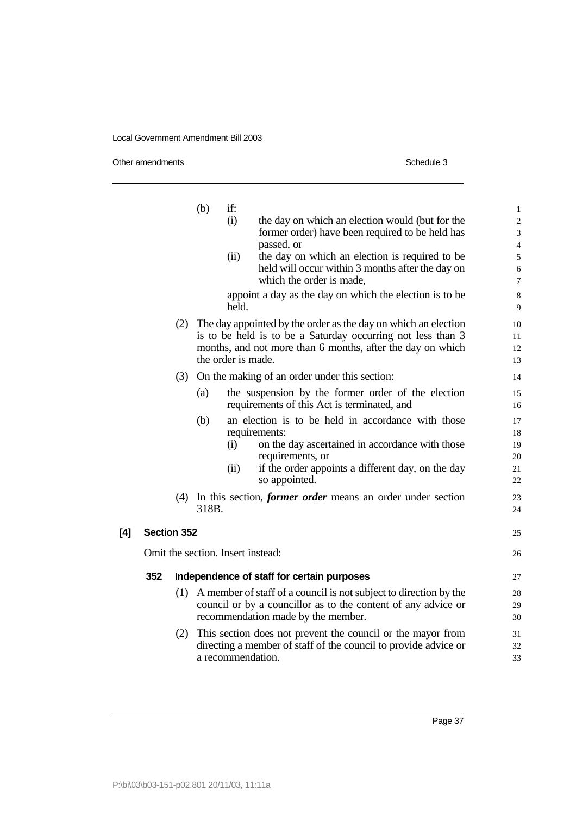Other amendments Schedule 3

|     |                    |     | (b)   | if:                |                                                                                                    | $\mathbf{1}$                 |
|-----|--------------------|-----|-------|--------------------|----------------------------------------------------------------------------------------------------|------------------------------|
|     |                    |     |       | (i)                | the day on which an election would (but for the<br>former order) have been required to be held has | $\overline{\mathbf{c}}$<br>3 |
|     |                    |     |       |                    | passed, or                                                                                         | $\overline{\mathcal{L}}$     |
|     |                    |     |       | (ii)               | the day on which an election is required to be                                                     | 5                            |
|     |                    |     |       |                    | held will occur within 3 months after the day on<br>which the order is made.                       | 6<br>$\overline{7}$          |
|     |                    |     |       |                    |                                                                                                    |                              |
|     |                    |     |       | held.              | appoint a day as the day on which the election is to be                                            | 8<br>9                       |
|     |                    | (2) |       |                    | The day appointed by the order as the day on which an election                                     | 10                           |
|     |                    |     |       |                    | is to be held is to be a Saturday occurring not less than 3                                        | 11                           |
|     |                    |     |       | the order is made. | months, and not more than 6 months, after the day on which                                         | 12<br>13                     |
|     |                    | (3) |       |                    | On the making of an order under this section:                                                      | 14                           |
|     |                    |     | (a)   |                    | the suspension by the former order of the election                                                 | 15                           |
|     |                    |     |       |                    | requirements of this Act is terminated, and                                                        | 16                           |
|     |                    |     | (b)   |                    | an election is to be held in accordance with those                                                 | 17                           |
|     |                    |     |       |                    | requirements:                                                                                      | 18                           |
|     |                    |     |       | (i)                | on the day ascertained in accordance with those                                                    | 19                           |
|     |                    |     |       |                    | requirements, or                                                                                   | 20                           |
|     |                    |     |       | (ii)               | if the order appoints a different day, on the day<br>so appointed.                                 | 21<br>22                     |
|     |                    |     | 318B. |                    | (4) In this section, <i>former order</i> means an order under section                              | 23<br>24                     |
| [4] | <b>Section 352</b> |     |       |                    |                                                                                                    | 25                           |
|     |                    |     |       |                    | Omit the section. Insert instead:                                                                  | 26                           |
|     | 352                |     |       |                    | Independence of staff for certain purposes                                                         | 27                           |
|     |                    |     |       |                    | (1) A member of staff of a council is not subject to direction by the                              | 28                           |
|     |                    |     |       |                    | council or by a councillor as to the content of any advice or                                      | 29                           |
|     |                    |     |       |                    | recommendation made by the member.                                                                 | 30                           |
|     |                    | (2) |       |                    | This section does not prevent the council or the mayor from                                        | 31                           |
|     |                    |     |       |                    | directing a member of staff of the council to provide advice or                                    | 32                           |
|     |                    |     |       | a recommendation.  |                                                                                                    | 33                           |
|     |                    |     |       |                    |                                                                                                    |                              |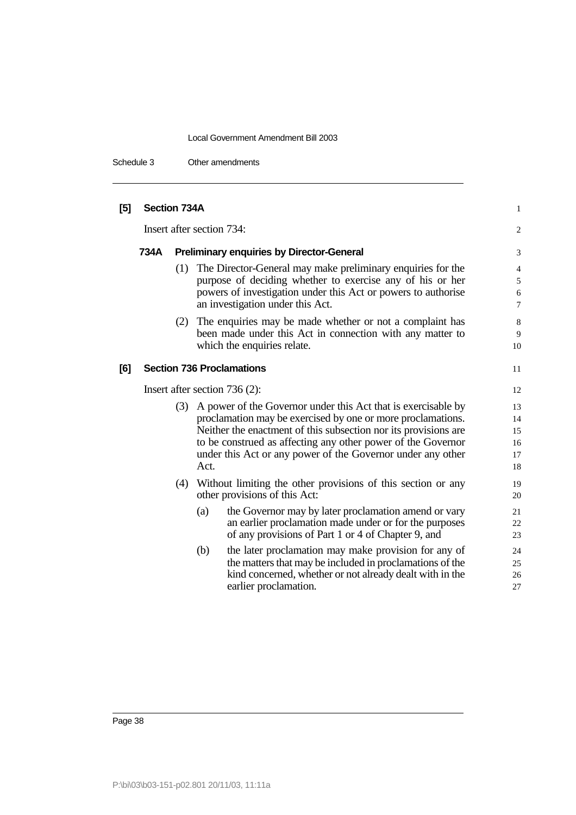Schedule 3 Other amendments

| [5] | Section 734A                    |     |                                                                                                                                                                                                                                                                                                                                        | 1                                                   |
|-----|---------------------------------|-----|----------------------------------------------------------------------------------------------------------------------------------------------------------------------------------------------------------------------------------------------------------------------------------------------------------------------------------------|-----------------------------------------------------|
|     |                                 |     | Insert after section 734:                                                                                                                                                                                                                                                                                                              | $\mathbf{2}$                                        |
|     | 734A                            |     | <b>Preliminary enquiries by Director-General</b>                                                                                                                                                                                                                                                                                       | 3                                                   |
|     |                                 | (1) | The Director-General may make preliminary enquiries for the<br>purpose of deciding whether to exercise any of his or her<br>powers of investigation under this Act or powers to authorise<br>an investigation under this Act.                                                                                                          | $\overline{4}$<br>5<br>$\sqrt{6}$<br>$\overline{7}$ |
|     |                                 | (2) | The enquiries may be made whether or not a complaint has<br>been made under this Act in connection with any matter to<br>which the enquiries relate.                                                                                                                                                                                   | 8<br>9<br>10                                        |
| [6] |                                 |     | <b>Section 736 Proclamations</b>                                                                                                                                                                                                                                                                                                       | 11                                                  |
|     | Insert after section $736(2)$ : |     |                                                                                                                                                                                                                                                                                                                                        | 12                                                  |
|     |                                 | (3) | A power of the Governor under this Act that is exercisable by<br>proclamation may be exercised by one or more proclamations.<br>Neither the enactment of this subsection nor its provisions are<br>to be construed as affecting any other power of the Governor<br>under this Act or any power of the Governor under any other<br>Act. | 13<br>14<br>15<br>16<br>17<br>18                    |
|     |                                 | (4) | Without limiting the other provisions of this section or any<br>other provisions of this Act:                                                                                                                                                                                                                                          | 19<br>20                                            |
|     |                                 |     | the Governor may by later proclamation amend or vary<br>(a)<br>an earlier proclamation made under or for the purposes<br>of any provisions of Part 1 or 4 of Chapter 9, and                                                                                                                                                            | 21<br>22<br>23                                      |
|     |                                 |     | the later proclamation may make provision for any of<br>(b)<br>the matters that may be included in proclamations of the<br>kind concerned, whether or not already dealt with in the<br>earlier proclamation.                                                                                                                           | 24<br>25<br>26<br>27                                |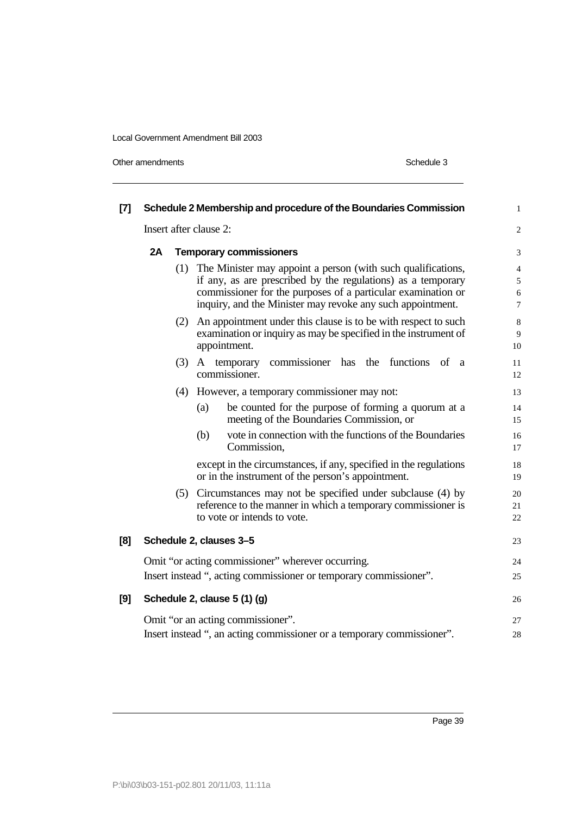Other amendments Schedule 3

| $[7]$ |                        |     | Schedule 2 Membership and procedure of the Boundaries Commission                                                                                                                                                                                               | $\mathbf{1}$                               |  |
|-------|------------------------|-----|----------------------------------------------------------------------------------------------------------------------------------------------------------------------------------------------------------------------------------------------------------------|--------------------------------------------|--|
|       | Insert after clause 2: |     |                                                                                                                                                                                                                                                                |                                            |  |
|       | 2A                     |     | <b>Temporary commissioners</b>                                                                                                                                                                                                                                 | 3                                          |  |
|       |                        |     | (1) The Minister may appoint a person (with such qualifications,<br>if any, as are prescribed by the regulations) as a temporary<br>commissioner for the purposes of a particular examination or<br>inquiry, and the Minister may revoke any such appointment. | $\overline{4}$<br>5<br>6<br>$\overline{7}$ |  |
|       |                        |     | (2) An appointment under this clause is to be with respect to such<br>examination or inquiry as may be specified in the instrument of<br>appointment.                                                                                                          | 8<br>9<br>10                               |  |
|       |                        | (3) | commissioner has the functions of a<br>A temporary<br>commissioner.                                                                                                                                                                                            | 11<br>12                                   |  |
|       |                        | (4) | However, a temporary commissioner may not:                                                                                                                                                                                                                     | 13                                         |  |
|       |                        |     | be counted for the purpose of forming a quorum at a<br>(a)<br>meeting of the Boundaries Commission, or                                                                                                                                                         | 14<br>15                                   |  |
|       |                        |     | vote in connection with the functions of the Boundaries<br>(b)<br>Commission,                                                                                                                                                                                  | 16<br>17                                   |  |
|       |                        |     | except in the circumstances, if any, specified in the regulations<br>or in the instrument of the person's appointment.                                                                                                                                         | 18<br>19                                   |  |
|       |                        |     | (5) Circumstances may not be specified under subclause (4) by<br>reference to the manner in which a temporary commissioner is<br>to vote or intends to vote.                                                                                                   | 20<br>21<br>22                             |  |
| [8]   |                        |     | Schedule 2, clauses 3-5                                                                                                                                                                                                                                        | 23                                         |  |
|       |                        |     | Omit "or acting commissioner" wherever occurring.<br>Insert instead ", acting commissioner or temporary commissioner".                                                                                                                                         | 24<br>25                                   |  |
| [9]   |                        |     | Schedule 2, clause 5 (1) (g)                                                                                                                                                                                                                                   | 26                                         |  |
|       |                        |     | Omit "or an acting commissioner".<br>Insert instead ", an acting commissioner or a temporary commissioner".                                                                                                                                                    | 27<br>28                                   |  |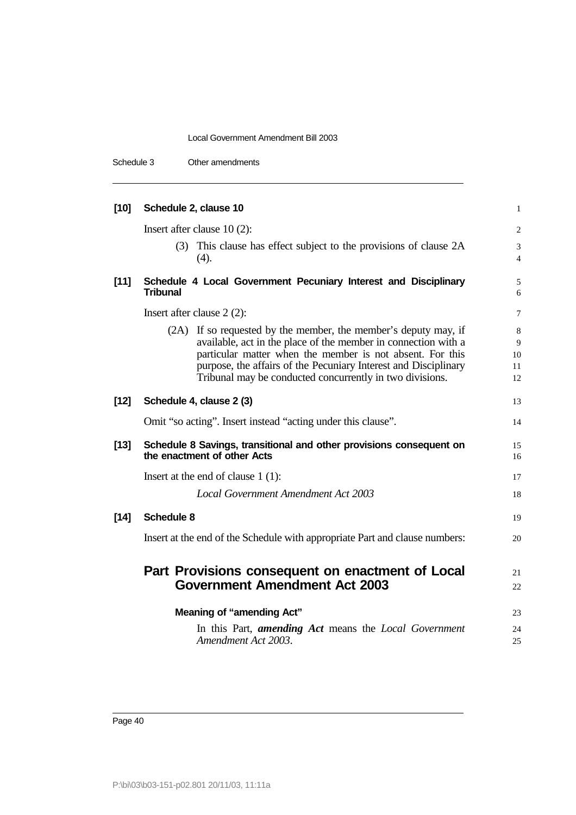Schedule 3 Other amendments

| [10]   | Schedule 2, clause 10                                                                                                                                                                                                                                                                                                         | $\mathbf{1}$                   |
|--------|-------------------------------------------------------------------------------------------------------------------------------------------------------------------------------------------------------------------------------------------------------------------------------------------------------------------------------|--------------------------------|
|        | Insert after clause $10(2)$ :                                                                                                                                                                                                                                                                                                 | 2                              |
|        | (3) This clause has effect subject to the provisions of clause 2A<br>(4).                                                                                                                                                                                                                                                     | 3<br>$\overline{4}$            |
| $[11]$ | Schedule 4 Local Government Pecuniary Interest and Disciplinary<br><b>Tribunal</b>                                                                                                                                                                                                                                            | 5<br>6                         |
|        | Insert after clause $2(2)$ :                                                                                                                                                                                                                                                                                                  | 7                              |
|        | (2A) If so requested by the member, the member's deputy may, if<br>available, act in the place of the member in connection with a<br>particular matter when the member is not absent. For this<br>purpose, the affairs of the Pecuniary Interest and Disciplinary<br>Tribunal may be conducted concurrently in two divisions. | $\,8\,$<br>9<br>10<br>11<br>12 |
| $[12]$ | Schedule 4, clause 2 (3)                                                                                                                                                                                                                                                                                                      | 13                             |
|        | Omit "so acting". Insert instead "acting under this clause".                                                                                                                                                                                                                                                                  | 14                             |
| $[13]$ | Schedule 8 Savings, transitional and other provisions consequent on<br>the enactment of other Acts                                                                                                                                                                                                                            | 15<br>16                       |
|        | Insert at the end of clause $1(1)$ :                                                                                                                                                                                                                                                                                          | 17                             |
|        | <b>Local Government Amendment Act 2003</b>                                                                                                                                                                                                                                                                                    | 18                             |
| $[14]$ | <b>Schedule 8</b>                                                                                                                                                                                                                                                                                                             | 19                             |
|        | Insert at the end of the Schedule with appropriate Part and clause numbers:                                                                                                                                                                                                                                                   | 20                             |
|        | Part Provisions consequent on enactment of Local<br><b>Government Amendment Act 2003</b>                                                                                                                                                                                                                                      | 21<br>22                       |
|        | <b>Meaning of "amending Act"</b><br>In this Part, <i>amending Act</i> means the <i>Local Government</i><br>Amendment Act 2003.                                                                                                                                                                                                | 23<br>24<br>25                 |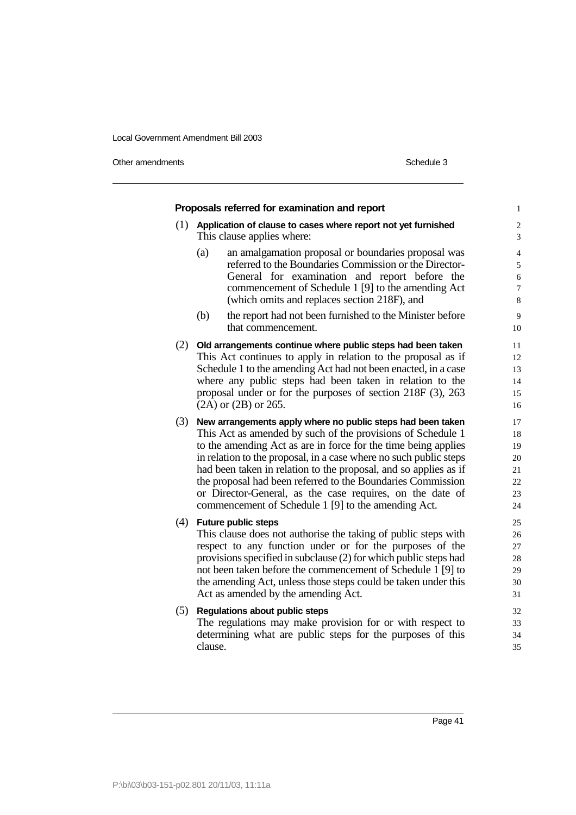Other amendments Schedule 3

|     | Proposals referred for examination and report                                                                        |    |
|-----|----------------------------------------------------------------------------------------------------------------------|----|
|     | $(1)$ Application of clause to cases where report not yet furnished<br>This clause applies where:                    |    |
|     | an amalgamation proposal or boundaries proposal was<br>(a)<br>referred to the Boundaries Commission or the Director- |    |
|     | General for examination and report before the                                                                        |    |
|     | commencement of Schedule 1 [9] to the amending Act                                                                   |    |
|     | (which omits and replaces section 218F), and                                                                         |    |
|     | (b)<br>the report had not been furnished to the Minister before                                                      |    |
|     | that commencement.                                                                                                   | 10 |
|     | (2) Old arrangements continue where public steps had been taken                                                      | 11 |
|     | This Act continues to apply in relation to the proposal as if                                                        | 12 |
|     | Schedule 1 to the amending Act had not been enacted, in a case                                                       | 13 |
|     | where any public steps had been taken in relation to the                                                             | 14 |
|     | proposal under or for the purposes of section $218F(3)$ , $263$                                                      | 15 |
|     | $(2A)$ or $(2B)$ or $265$ .                                                                                          | 16 |
|     | (3) New arrangements apply where no public steps had been taken                                                      | 17 |
|     | This Act as amended by such of the provisions of Schedule 1                                                          | 18 |
|     | to the amending Act as are in force for the time being applies                                                       | 19 |
|     | in relation to the proposal, in a case where no such public steps                                                    | 20 |
|     | had been taken in relation to the proposal, and so applies as if                                                     | 21 |
|     | the proposal had been referred to the Boundaries Commission                                                          | 22 |
|     | or Director-General, as the case requires, on the date of                                                            | 23 |
|     | commencement of Schedule 1 [9] to the amending Act.                                                                  | 24 |
| (4) | <b>Future public steps</b>                                                                                           | 25 |
|     | This clause does not authorise the taking of public steps with                                                       | 26 |
|     | respect to any function under or for the purposes of the                                                             | 27 |
|     | provisions specified in subclause (2) for which public steps had                                                     | 28 |
|     | not been taken before the commencement of Schedule 1 [9] to                                                          | 29 |
|     | the amending Act, unless those steps could be taken under this                                                       | 30 |
|     | Act as amended by the amending Act.                                                                                  | 31 |
| (5) | <b>Regulations about public steps</b>                                                                                | 32 |
|     | The regulations may make provision for or with respect to                                                            | 33 |
|     | determining what are public steps for the purposes of this                                                           | 34 |
|     | clause.                                                                                                              | 35 |
|     |                                                                                                                      |    |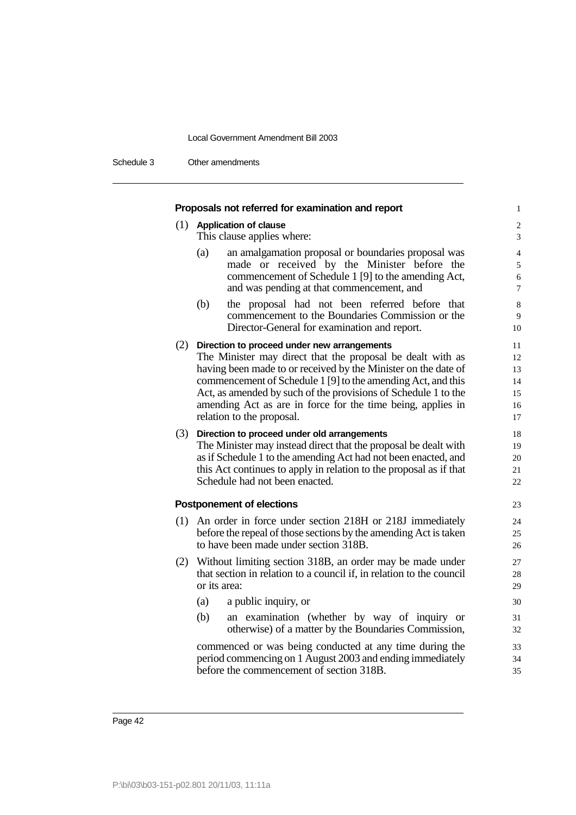Schedule 3 Other amendments

| Proposals not referred for examination and report                                                                                                                                                                                                                                                                                                                                                             | $\mathbf{1}$                                         |
|---------------------------------------------------------------------------------------------------------------------------------------------------------------------------------------------------------------------------------------------------------------------------------------------------------------------------------------------------------------------------------------------------------------|------------------------------------------------------|
| (1) Application of clause<br>This clause applies where:                                                                                                                                                                                                                                                                                                                                                       | $\sqrt{2}$<br>3                                      |
| an amalgamation proposal or boundaries proposal was<br>(a)<br>made or received by the Minister before the<br>commencement of Schedule 1 [9] to the amending Act,<br>and was pending at that commencement, and                                                                                                                                                                                                 | $\overline{4}$<br>$\sqrt{5}$<br>$\sqrt{6}$<br>$\tau$ |
| (b)<br>the proposal had not been referred before that<br>commencement to the Boundaries Commission or the<br>Director-General for examination and report.                                                                                                                                                                                                                                                     | $\,8\,$<br>9<br>10                                   |
| (2) Direction to proceed under new arrangements<br>The Minister may direct that the proposal be dealt with as<br>having been made to or received by the Minister on the date of<br>commencement of Schedule 1 [9] to the amending Act, and this<br>Act, as amended by such of the provisions of Schedule 1 to the<br>amending Act as are in force for the time being, applies in<br>relation to the proposal. | 11<br>12<br>13<br>14<br>15<br>16<br>17               |
| (3) Direction to proceed under old arrangements<br>The Minister may instead direct that the proposal be dealt with<br>as if Schedule 1 to the amending Act had not been enacted, and<br>this Act continues to apply in relation to the proposal as if that<br>Schedule had not been enacted.                                                                                                                  | 18<br>19<br>20<br>21<br>22                           |
| <b>Postponement of elections</b>                                                                                                                                                                                                                                                                                                                                                                              | 23                                                   |
| (1) An order in force under section 218H or 218J immediately<br>before the repeal of those sections by the amending Act is taken<br>to have been made under section 318B.                                                                                                                                                                                                                                     | 24<br>25<br>26                                       |
| (2) Without limiting section 318B, an order may be made under<br>that section in relation to a council if, in relation to the council<br>or its area:                                                                                                                                                                                                                                                         | 27<br>28<br>29                                       |
| a public inquiry, or<br>(a)                                                                                                                                                                                                                                                                                                                                                                                   | 30                                                   |
| (b)<br>an examination (whether by way of inquiry or<br>otherwise) of a matter by the Boundaries Commission,                                                                                                                                                                                                                                                                                                   | 31<br>32                                             |
| commenced or was being conducted at any time during the<br>period commencing on 1 August 2003 and ending immediately<br>before the commencement of section 318B.                                                                                                                                                                                                                                              | 33<br>34<br>35                                       |
|                                                                                                                                                                                                                                                                                                                                                                                                               |                                                      |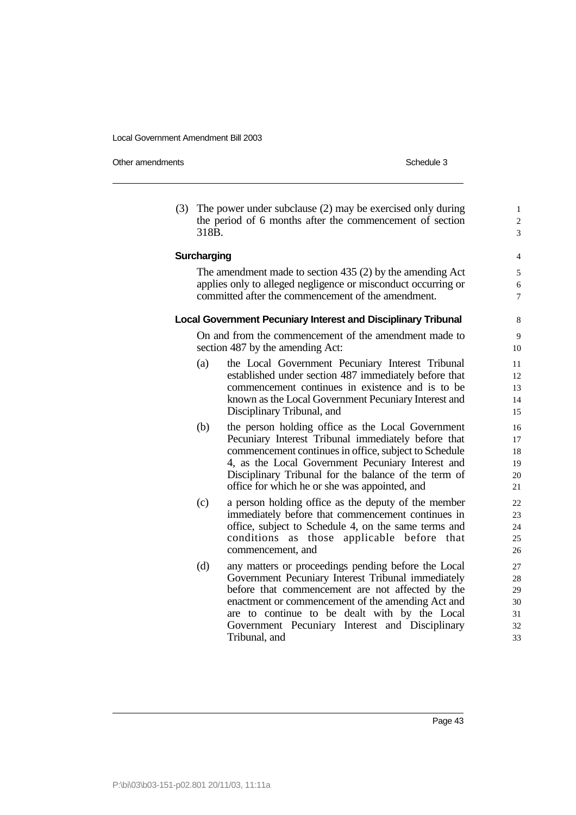Other amendments **Schedule 3** Schedule 3

(3) The power under subclause (2) may be exercised only during 1 the period of 6 months after the commencement of section  $\frac{2}{3}$  $318B.$   $3$ 

#### The amendment made to section  $435(2)$  by the amending Act  $5$ applies only to alleged negligence or misconduct occurring or 6 committed after the commencement of the amendment.  $\frac{7}{100}$

**Surcharging** 4

#### **Local Government Pecuniary Interest and Disciplinary Tribunal** 8

On and from the commencement of the amendment made to 9 section 487 by the amending Act: 10

- (a) the Local Government Pecuniary Interest Tribunal 11 established under section 487 immediately before that 12 commencement continues in existence and is to be 13 known as the Local Government Pecuniary Interest and 14 Disciplinary Tribunal, and 15
- (b) the person holding office as the Local Government 16 Pecuniary Interest Tribunal immediately before that 17 commencement continues in office, subject to Schedule 18 4, as the Local Government Pecuniary Interest and 19 Disciplinary Tribunal for the balance of the term of 20 office for which he or she was appointed, and 21
- (c) a person holding office as the deputy of the member 22 immediately before that commencement continues in 23 office, subject to Schedule 4, on the same terms and 24 conditions as those applicable before that 25 commencement, and 26
- (d) any matters or proceedings pending before the Local 27 Government Pecuniary Interest Tribunal immediately 28 before that commencement are not affected by the 29 enactment or commencement of the amending Act and 30 are to continue to be dealt with by the Local 31 Government Pecuniary Interest and Disciplinary 32 Tribunal, and 33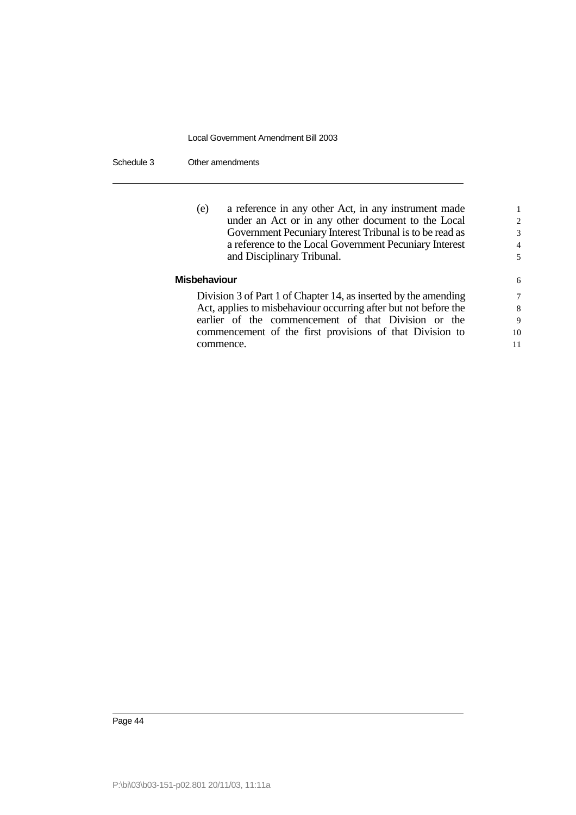Schedule 3 Other amendments

| $\mathcal{L}$<br>3 |
|--------------------|
|                    |
|                    |
| $\overline{4}$     |
| 5                  |
| 6                  |
| 7                  |
| 8                  |
|                    |

earlier of the commencement of that Division or the 9 commencement of the first provisions of that Division to 10 commence. 11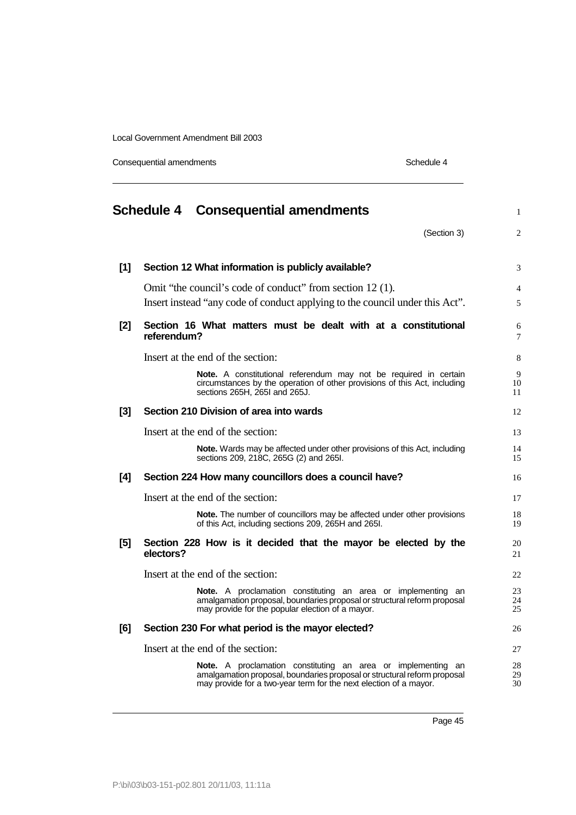Consequential amendments **Schedule 4** Schedule 4

|     |             | <b>Schedule 4 Consequential amendments</b>                                                                                                                                                                           | $\mathbf{1}$        |
|-----|-------------|----------------------------------------------------------------------------------------------------------------------------------------------------------------------------------------------------------------------|---------------------|
|     |             | (Section 3)                                                                                                                                                                                                          | $\overline{2}$      |
| [1] |             | Section 12 What information is publicly available?                                                                                                                                                                   | 3                   |
|     |             | Omit "the council's code of conduct" from section 12(1).<br>Insert instead "any code of conduct applying to the council under this Act".                                                                             | $\overline{4}$<br>5 |
| [2] | referendum? | Section 16 What matters must be dealt with at a constitutional                                                                                                                                                       | 6<br>7              |
|     |             | Insert at the end of the section:                                                                                                                                                                                    | 8                   |
|     |             | Note. A constitutional referendum may not be required in certain<br>circumstances by the operation of other provisions of this Act, including<br>sections 265H, 265I and 265J.                                       | 9<br>10<br>11       |
| [3] |             | Section 210 Division of area into wards                                                                                                                                                                              | 12                  |
|     |             | Insert at the end of the section:                                                                                                                                                                                    | 13                  |
|     |             | <b>Note.</b> Wards may be affected under other provisions of this Act, including<br>sections 209, 218C, 265G (2) and 265I.                                                                                           | 14<br>15            |
| [4] |             | Section 224 How many councillors does a council have?                                                                                                                                                                | 16                  |
|     |             | Insert at the end of the section:                                                                                                                                                                                    | 17                  |
|     |             | <b>Note.</b> The number of councillors may be affected under other provisions<br>of this Act, including sections 209, 265H and 265I.                                                                                 | 18<br>19            |
| [5] | electors?   | Section 228 How is it decided that the mayor be elected by the                                                                                                                                                       | 20<br>21            |
|     |             | Insert at the end of the section:                                                                                                                                                                                    | 22                  |
|     |             | <b>Note.</b> A proclamation constituting an area or implementing an<br>amalgamation proposal, boundaries proposal or structural reform proposal<br>may provide for the popular election of a mayor.                  | 23<br>24<br>25      |
| [6] |             | Section 230 For what period is the mayor elected?                                                                                                                                                                    | 26                  |
|     |             | Insert at the end of the section:                                                                                                                                                                                    | 27                  |
|     |             | <b>Note.</b> A proclamation constituting an area or implementing an<br>amalgamation proposal, boundaries proposal or structural reform proposal<br>may provide for a two-year term for the next election of a mayor. | 28<br>29<br>30      |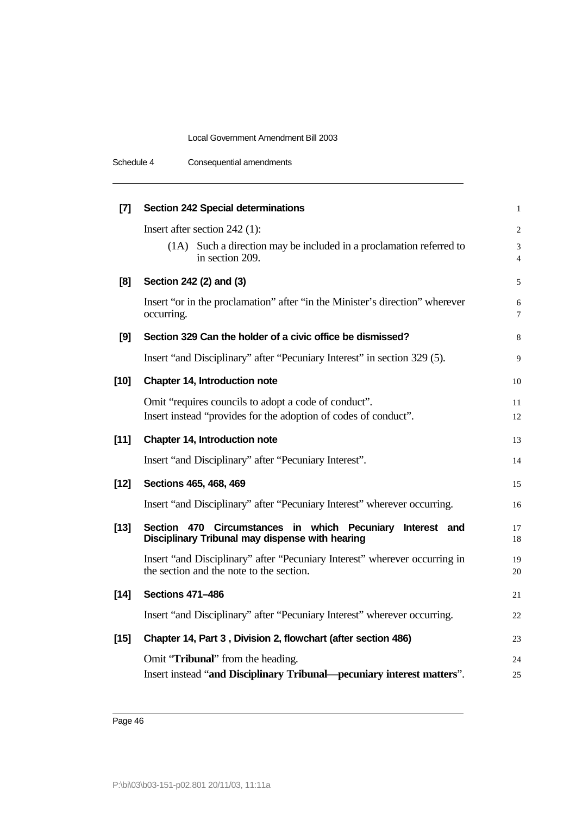| Schedule 4 | Consequential amendments |  |
|------------|--------------------------|--|
|            |                          |  |

| $[7]$  | <b>Section 242 Special determinations</b>                                                                              | $\mathbf{1}$                     |
|--------|------------------------------------------------------------------------------------------------------------------------|----------------------------------|
|        | Insert after section $242$ (1):                                                                                        | $\overline{c}$                   |
|        | (1A) Such a direction may be included in a proclamation referred to<br>in section 209.                                 | $\overline{3}$<br>$\overline{4}$ |
| [8]    | Section 242 (2) and (3)                                                                                                | 5                                |
|        | Insert "or in the proclamation" after "in the Minister's direction" wherever<br>occurring.                             | 6<br>$\overline{7}$              |
| [9]    | Section 329 Can the holder of a civic office be dismissed?                                                             | 8                                |
|        | Insert "and Disciplinary" after "Pecuniary Interest" in section 329 (5).                                               | 9                                |
| $[10]$ | Chapter 14, Introduction note                                                                                          | 10                               |
|        | Omit "requires councils to adopt a code of conduct".                                                                   | 11                               |
|        | Insert instead "provides for the adoption of codes of conduct".                                                        | 12                               |
| $[11]$ | Chapter 14, Introduction note                                                                                          | 13                               |
|        | Insert "and Disciplinary" after "Pecuniary Interest".                                                                  | 14                               |
| $[12]$ | Sections 465, 468, 469                                                                                                 | 15                               |
|        | Insert "and Disciplinary" after "Pecuniary Interest" wherever occurring.                                               | 16                               |
| $[13]$ | Section 470 Circumstances in which Pecuniary<br>Interest and<br>Disciplinary Tribunal may dispense with hearing        | 17<br>18                         |
|        | Insert "and Disciplinary" after "Pecuniary Interest" wherever occurring in<br>the section and the note to the section. | 19<br>20                         |
| $[14]$ | <b>Sections 471-486</b>                                                                                                | 21                               |
|        | Insert "and Disciplinary" after "Pecuniary Interest" wherever occurring.                                               | 22                               |
| $[15]$ | Chapter 14, Part 3, Division 2, flowchart (after section 486)                                                          | 23                               |
|        | Omit "Tribunal" from the heading.                                                                                      | 24                               |
|        | Insert instead "and Disciplinary Tribunal—pecuniary interest matters".                                                 | 25                               |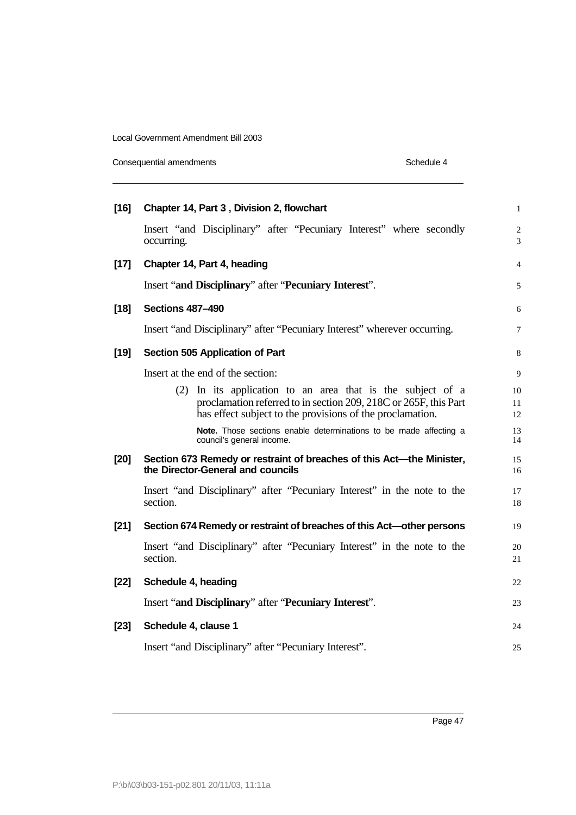Consequential amendments **Schedule 4** Schedule 4

| $[16]$ | Chapter 14, Part 3, Division 2, flowchart                                                                                                                                                   | $\mathbf{1}$                     |
|--------|---------------------------------------------------------------------------------------------------------------------------------------------------------------------------------------------|----------------------------------|
|        | Insert "and Disciplinary" after "Pecuniary Interest" where secondly<br>occurring.                                                                                                           | $\overline{c}$<br>$\overline{3}$ |
| $[17]$ | Chapter 14, Part 4, heading                                                                                                                                                                 | $\overline{4}$                   |
|        | Insert "and Disciplinary" after "Pecuniary Interest".                                                                                                                                       | 5                                |
| $[18]$ | <b>Sections 487-490</b>                                                                                                                                                                     | 6                                |
|        | Insert "and Disciplinary" after "Pecuniary Interest" wherever occurring.                                                                                                                    | $\overline{7}$                   |
| $[19]$ | Section 505 Application of Part                                                                                                                                                             | 8                                |
|        | Insert at the end of the section:                                                                                                                                                           | 9                                |
|        | (2) In its application to an area that is the subject of a<br>proclamation referred to in section 209, 218C or 265F, this Part<br>has effect subject to the provisions of the proclamation. | 10<br>11<br>12                   |
|        | Note. Those sections enable determinations to be made affecting a<br>council's general income.                                                                                              | 13<br>14                         |
| $[20]$ | Section 673 Remedy or restraint of breaches of this Act-the Minister,<br>the Director-General and councils                                                                                  | 15<br>16                         |
|        | Insert "and Disciplinary" after "Pecuniary Interest" in the note to the<br>section.                                                                                                         | 17<br>18                         |
| $[21]$ | Section 674 Remedy or restraint of breaches of this Act-other persons                                                                                                                       | 19                               |
|        | Insert "and Disciplinary" after "Pecuniary Interest" in the note to the<br>section.                                                                                                         | 20<br>21                         |
| $[22]$ | Schedule 4, heading                                                                                                                                                                         | 22                               |
|        | Insert "and Disciplinary" after "Pecuniary Interest".                                                                                                                                       | 23                               |
| $[23]$ | Schedule 4, clause 1                                                                                                                                                                        | 24                               |
|        | Insert "and Disciplinary" after "Pecuniary Interest".                                                                                                                                       | 25                               |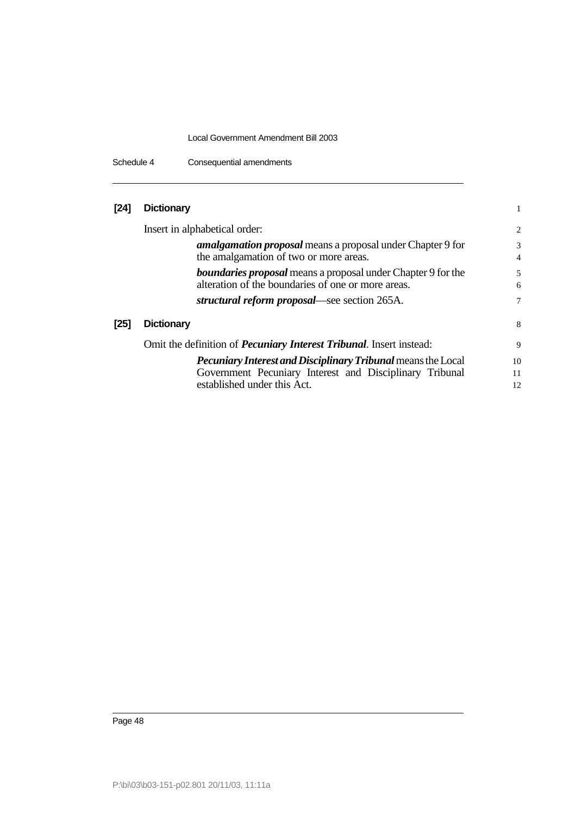Schedule 4 Consequential amendments

| [24] Dictionary |  |
|-----------------|--|
|                 |  |

|        | Insert in alphabetical order:                                                                                             | 2                   |
|--------|---------------------------------------------------------------------------------------------------------------------------|---------------------|
|        | <i>amalgamation proposal</i> means a proposal under Chapter 9 for<br>the amalgamation of two or more areas.               | 3<br>$\overline{4}$ |
|        | <b>boundaries proposal</b> means a proposal under Chapter 9 for the<br>alteration of the boundaries of one or more areas. | 5<br>6              |
|        | structural reform proposal—see section 265A.                                                                              | 7                   |
| $[25]$ | <b>Dictionary</b>                                                                                                         | 8                   |
|        | Omit the definition of <i>Pecuniary Interest Tribunal</i> . Insert instead:                                               | 9                   |
|        | <b>Pecuniary Interest and Disciplinary Tribunal means the Local</b>                                                       | 10                  |
|        | Government Pecuniary Interest and Disciplinary Tribunal                                                                   | 11                  |
|        | established under this Act.                                                                                               | 12                  |